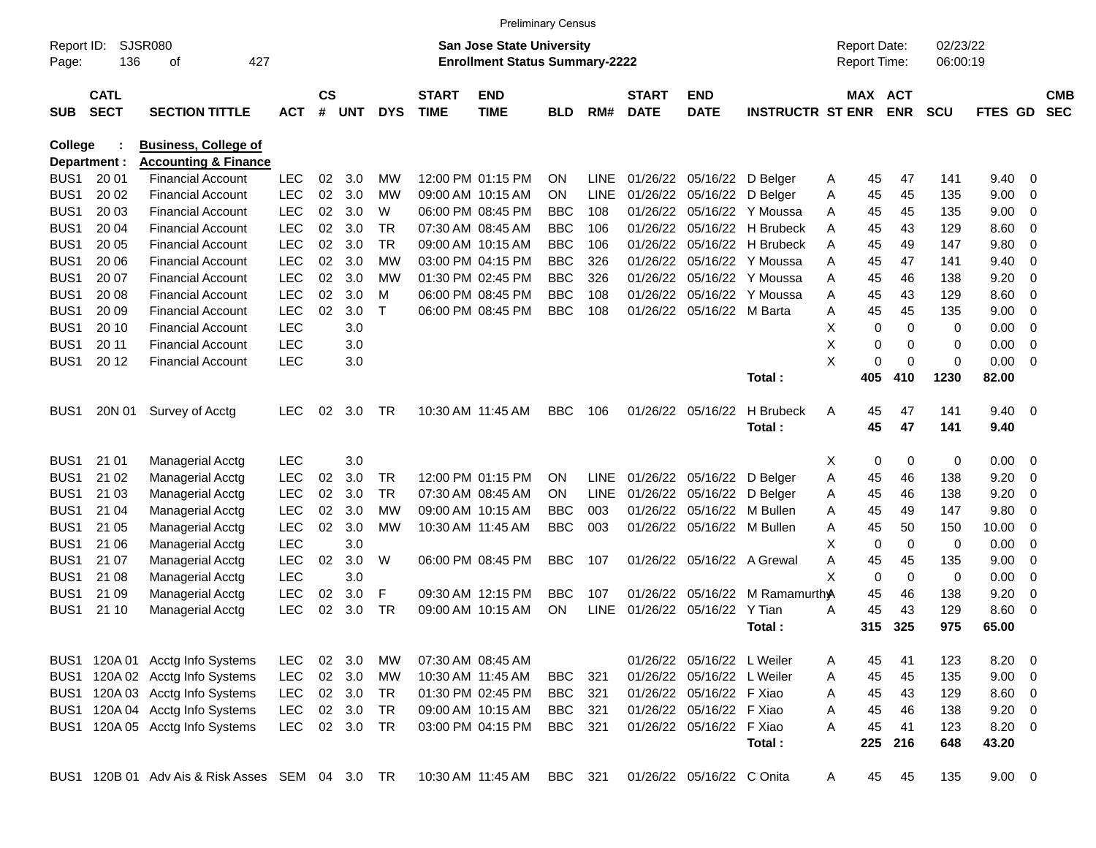|                     |                            |                                                 |            |                    |            |            |                             | <b>Preliminary Census</b>                                                 |            |             |                             |                            |                             |                                     |                            |                      |             |                          |                          |
|---------------------|----------------------------|-------------------------------------------------|------------|--------------------|------------|------------|-----------------------------|---------------------------------------------------------------------------|------------|-------------|-----------------------------|----------------------------|-----------------------------|-------------------------------------|----------------------------|----------------------|-------------|--------------------------|--------------------------|
| Report ID:<br>Page: | 136                        | <b>SJSR080</b><br>427<br>οf                     |            |                    |            |            |                             | <b>San Jose State University</b><br><b>Enrollment Status Summary-2222</b> |            |             |                             |                            |                             | <b>Report Date:</b><br>Report Time: |                            | 02/23/22<br>06:00:19 |             |                          |                          |
| <b>SUB</b>          | <b>CATL</b><br><b>SECT</b> | <b>SECTION TITTLE</b>                           | <b>ACT</b> | $\mathsf{cs}$<br># | <b>UNT</b> | <b>DYS</b> | <b>START</b><br><b>TIME</b> | <b>END</b><br><b>TIME</b>                                                 | <b>BLD</b> | RM#         | <b>START</b><br><b>DATE</b> | <b>END</b><br><b>DATE</b>  | <b>INSTRUCTR ST ENR</b>     |                                     | MAX ACT<br><b>ENR</b>      | SCU                  | FTES GD     |                          | <b>CMB</b><br><b>SEC</b> |
| <b>College</b>      |                            | <b>Business, College of</b>                     |            |                    |            |            |                             |                                                                           |            |             |                             |                            |                             |                                     |                            |                      |             |                          |                          |
|                     | Department :               | <b>Accounting &amp; Finance</b>                 |            |                    |            |            |                             |                                                                           |            |             |                             |                            |                             |                                     |                            |                      |             |                          |                          |
| BUS <sub>1</sub>    | 20 01                      | <b>Financial Account</b>                        | <b>LEC</b> | 02                 | 3.0        | МW         |                             | 12:00 PM 01:15 PM                                                         | <b>ON</b>  | LINE        |                             | 01/26/22 05/16/22 D Belger |                             | Α                                   | 45<br>47                   | 141                  | 9.40        | 0                        |                          |
| BUS <sub>1</sub>    | 20 02                      | <b>Financial Account</b>                        | <b>LEC</b> | 02                 | 3.0        | МW         |                             | 09:00 AM 10:15 AM                                                         | <b>ON</b>  | <b>LINE</b> |                             | 01/26/22 05/16/22 D Belger |                             | Α                                   | 45<br>45                   | 135                  | 9.00        | 0                        |                          |
| BUS <sub>1</sub>    | 20 03                      | <b>Financial Account</b>                        | <b>LEC</b> | 02                 | 3.0        | W          |                             | 06:00 PM_08:45 PM                                                         | <b>BBC</b> | 108         |                             |                            | 01/26/22 05/16/22 Y Moussa  | A                                   | 45<br>45                   | 135                  | 9.00        | 0                        |                          |
| BUS <sub>1</sub>    | 20 04                      | <b>Financial Account</b>                        | <b>LEC</b> | 02                 | 3.0        | TR         |                             | 07:30 AM 08:45 AM                                                         | <b>BBC</b> | 106         |                             |                            | 01/26/22 05/16/22 H Brubeck | A                                   | 45<br>43                   | 129                  | 8.60        | 0                        |                          |
| BUS <sub>1</sub>    | 20 05                      | <b>Financial Account</b>                        | <b>LEC</b> | 02                 | 3.0        | TR         |                             | 09:00 AM 10:15 AM                                                         | <b>BBC</b> | 106         | 01/26/22                    |                            | 05/16/22 H Brubeck          | A                                   | 45<br>49                   | 147                  | 9.80        | 0                        |                          |
| BUS <sub>1</sub>    | 20 06                      | <b>Financial Account</b>                        | <b>LEC</b> | 02                 | 3.0        | МW         |                             | 03:00 PM 04:15 PM                                                         | <b>BBC</b> | 326         |                             |                            | 01/26/22 05/16/22 Y Moussa  | A                                   | 45<br>47                   | 141                  | 9.40        | 0                        |                          |
| BUS <sub>1</sub>    | 20 07                      | <b>Financial Account</b>                        | <b>LEC</b> | 02                 | 3.0        | МW         |                             | 01:30 PM 02:45 PM                                                         | <b>BBC</b> | 326         |                             |                            | 01/26/22 05/16/22 Y Moussa  | A                                   | 45<br>46                   | 138                  | 9.20        | 0                        |                          |
| BUS <sub>1</sub>    | 20 08                      | <b>Financial Account</b>                        | <b>LEC</b> | 02                 | 3.0        | м          |                             | 06:00 PM 08:45 PM                                                         | <b>BBC</b> | 108         |                             |                            | 01/26/22 05/16/22 Y Moussa  | A                                   | 45<br>43                   | 129                  | 8.60        | 0                        |                          |
| BUS <sub>1</sub>    | 20 09                      | <b>Financial Account</b>                        | <b>LEC</b> | 02                 | 3.0        | т          |                             | 06:00 PM 08:45 PM                                                         | <b>BBC</b> | 108         |                             | 01/26/22 05/16/22 M Barta  |                             | A                                   | 45<br>45                   | 135                  | 9.00        | 0                        |                          |
| BUS <sub>1</sub>    | 20 10                      | <b>Financial Account</b>                        | <b>LEC</b> |                    | 3.0        |            |                             |                                                                           |            |             |                             |                            |                             | х                                   | 0<br>0                     | 0                    | 0.00        | 0                        |                          |
| BUS <sub>1</sub>    | 20 11                      | <b>Financial Account</b>                        | <b>LEC</b> |                    | 3.0        |            |                             |                                                                           |            |             |                             |                            |                             | Χ                                   | $\mathbf 0$<br>$\mathbf 0$ | 0                    | 0.00        | 0                        |                          |
| BUS <sub>1</sub>    | 20 12                      | <b>Financial Account</b>                        | <b>LEC</b> |                    | 3.0        |            |                             |                                                                           |            |             |                             |                            |                             | X                                   | $\mathbf 0$<br>$\mathbf 0$ | 0                    | 0.00        | 0                        |                          |
|                     |                            |                                                 |            |                    |            |            |                             |                                                                           |            |             |                             |                            | Total:                      | 405                                 | 410                        | 1230                 | 82.00       |                          |                          |
|                     |                            |                                                 |            |                    |            |            |                             |                                                                           |            |             |                             |                            |                             |                                     |                            |                      |             |                          |                          |
| BUS <sub>1</sub>    | 20N 01                     | Survey of Acctg                                 | <b>LEC</b> | 02                 | 3.0        | TR.        |                             | 10:30 AM 11:45 AM                                                         | <b>BBC</b> | 106         |                             | 01/26/22 05/16/22          | <b>H</b> Brubeck            | Α                                   | 45<br>47                   | 141                  | 9.40        | $\overline{\phantom{0}}$ |                          |
|                     |                            |                                                 |            |                    |            |            |                             |                                                                           |            |             |                             |                            | Total:                      |                                     | 45<br>47                   | 141                  | 9.40        |                          |                          |
| BUS <sub>1</sub>    | 21 01                      | <b>Managerial Acctg</b>                         | <b>LEC</b> |                    | 3.0        |            |                             |                                                                           |            |             |                             |                            |                             | Х                                   | 0<br>0                     | 0                    | 0.00        | 0                        |                          |
| BUS <sub>1</sub>    | 21 02                      | <b>Managerial Acctg</b>                         | <b>LEC</b> | 02                 | 3.0        | TR         |                             | 12:00 PM 01:15 PM                                                         | <b>ON</b>  | LINE        |                             | 01/26/22 05/16/22          | D Belger                    | Α                                   | 45<br>46                   | 138                  | 9.20        | 0                        |                          |
| BUS <sub>1</sub>    | 21 03                      | <b>Managerial Acctg</b>                         | <b>LEC</b> | 02                 | 3.0        | TR         |                             | 07:30 AM 08:45 AM                                                         | <b>ON</b>  | <b>LINE</b> |                             | 01/26/22 05/16/22          | D Belger                    | Α                                   | 45<br>46                   | 138                  | 9.20        | 0                        |                          |
| BUS <sub>1</sub>    | 21 04                      | <b>Managerial Acctg</b>                         | <b>LEC</b> | 02                 | 3.0        | МW         |                             | 09:00 AM 10:15 AM                                                         | <b>BBC</b> | 003         |                             | 01/26/22 05/16/22 M Bullen |                             | A                                   | 45<br>49                   | 147                  | 9.80        | 0                        |                          |
| BUS <sub>1</sub>    | 21 05                      | <b>Managerial Acctg</b>                         | <b>LEC</b> | 02                 | 3.0        | МW         |                             | 10:30 AM 11:45 AM                                                         | <b>BBC</b> | 003         |                             | 01/26/22 05/16/22 M Bullen |                             | A                                   | 45<br>50                   | 150                  | 10.00       | 0                        |                          |
| BUS <sub>1</sub>    | 21 06                      | <b>Managerial Acctg</b>                         | <b>LEC</b> |                    | 3.0        |            |                             |                                                                           |            |             |                             |                            |                             | х                                   | $\mathbf 0$<br>0           | 0                    | 0.00        | 0                        |                          |
| BUS <sub>1</sub>    | 21 07                      | Managerial Acctg                                | <b>LEC</b> | 02                 | 3.0        | W          |                             | 06:00 PM 08:45 PM                                                         | <b>BBC</b> | 107         |                             | 01/26/22 05/16/22 A Grewal |                             | A                                   | 45<br>45                   | 135                  | 9.00        | 0                        |                          |
| BUS <sub>1</sub>    | 21 08                      | <b>Managerial Acctg</b>                         | <b>LEC</b> |                    | 3.0        |            |                             |                                                                           |            |             |                             |                            |                             | X                                   | $\mathbf 0$<br>0           | 0                    | 0.00        | 0                        |                          |
| BUS <sub>1</sub>    | 21 09                      | <b>Managerial Acctg</b>                         | <b>LEC</b> | 02                 | 3.0        | F          |                             | 09:30 AM 12:15 PM                                                         | <b>BBC</b> | 107         |                             | 01/26/22 05/16/22          | M Ramamurth <sub>A</sub>    |                                     | 45<br>46                   | 138                  | 9.20        | 0                        |                          |
| BUS <sub>1</sub>    | 21 10                      | <b>Managerial Acctg</b>                         | <b>LEC</b> | 02                 | 3.0        | TR         |                             | 09:00 AM 10:15 AM                                                         | <b>ON</b>  | <b>LINE</b> |                             | 01/26/22 05/16/22          | Y Tian                      | A                                   | 45<br>43                   | 129                  | 8.60        | 0                        |                          |
|                     |                            |                                                 |            |                    |            |            |                             |                                                                           |            |             |                             |                            | Total:                      | 315                                 | 325                        | 975                  | 65.00       |                          |                          |
|                     |                            |                                                 |            |                    |            |            |                             |                                                                           |            |             |                             |                            |                             |                                     |                            |                      |             |                          |                          |
|                     |                            | BUS1 120A 01 Acctg Info Systems                 | <b>LEC</b> |                    | 02 3.0     | МW         |                             | 07:30 AM 08:45 AM                                                         |            |             |                             | 01/26/22 05/16/22 L Weiler |                             | A                                   | 45<br>41                   | 123                  | $8.20 \ 0$  |                          |                          |
|                     |                            | BUS1 120A 02 Acctg Info Systems                 | <b>LEC</b> |                    | 02 3.0     | МW         |                             | 10:30 AM 11:45 AM                                                         | BBC        | 321         |                             | 01/26/22 05/16/22 L Weiler |                             | Α                                   | 45<br>45                   | 135                  | $9.00 \t 0$ |                          |                          |
|                     |                            | BUS1 120A 03 Acctg Info Systems                 | <b>LEC</b> |                    | 02 3.0     | TR         |                             | 01:30 PM 02:45 PM                                                         | BBC        | 321         |                             | 01/26/22 05/16/22 F Xiao   |                             | Α                                   | 45<br>43                   | 129                  | $8.60 \t 0$ |                          |                          |
|                     |                            | BUS1 120A 04 Acctg Info Systems                 | <b>LEC</b> |                    | 02 3.0     | TR         |                             | 09:00 AM 10:15 AM                                                         | <b>BBC</b> | 321         |                             | 01/26/22 05/16/22 F Xiao   |                             | Α                                   | 45<br>46                   | 138                  | $9.20 \ 0$  |                          |                          |
|                     |                            | BUS1 120A 05 Acctg Info Systems                 | <b>LEC</b> |                    | 02 3.0     | TR         |                             | 03:00 PM 04:15 PM                                                         | BBC        | 321         |                             | 01/26/22 05/16/22 F Xiao   |                             | Α                                   | 45<br>41                   | 123                  | $8.20 \ 0$  |                          |                          |
|                     |                            |                                                 |            |                    |            |            |                             |                                                                           |            |             |                             |                            | Total:                      | 225                                 | 216                        | 648                  | 43.20       |                          |                          |
|                     |                            |                                                 |            |                    |            |            |                             |                                                                           |            |             |                             |                            |                             |                                     |                            |                      |             |                          |                          |
|                     |                            | BUS1 120B 01 Adv Ais & Risk Asses SEM 04 3.0 TR |            |                    |            |            |                             | 10:30 AM 11:45 AM                                                         | BBC 321    |             |                             | 01/26/22 05/16/22 C Onita  |                             | A                                   | 45<br>45                   | 135                  | $9.00 \t 0$ |                          |                          |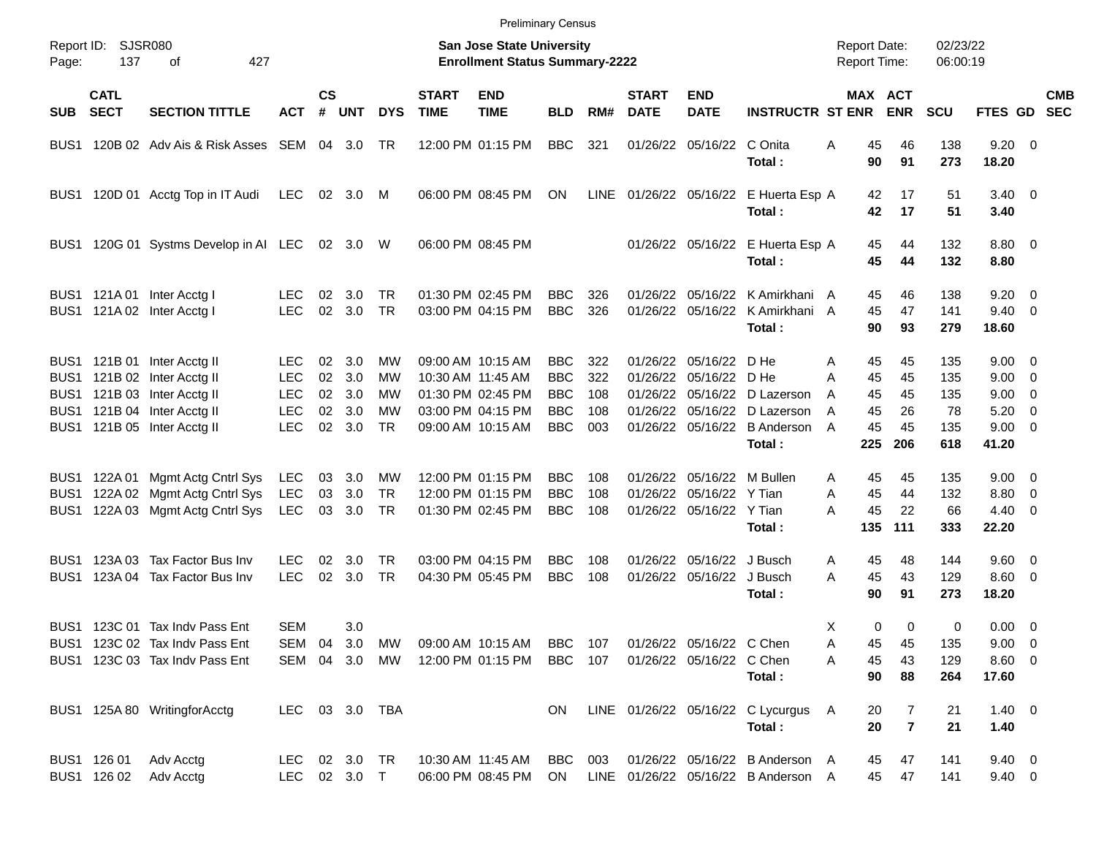|                                                                              |                            |                                                                                                      |                                                      |                      |                          |                              |                             | <b>Preliminary Census</b>                                                        |                                                      |                          |                                              |                                                      |                                                                       |                                            |                              |                         |                                          |                                        |                          |
|------------------------------------------------------------------------------|----------------------------|------------------------------------------------------------------------------------------------------|------------------------------------------------------|----------------------|--------------------------|------------------------------|-----------------------------|----------------------------------------------------------------------------------|------------------------------------------------------|--------------------------|----------------------------------------------|------------------------------------------------------|-----------------------------------------------------------------------|--------------------------------------------|------------------------------|-------------------------|------------------------------------------|----------------------------------------|--------------------------|
| Report ID:<br>Page:                                                          | <b>SJSR080</b><br>137      | 427<br>оf                                                                                            |                                                      |                      |                          |                              |                             | <b>San Jose State University</b><br><b>Enrollment Status Summary-2222</b>        |                                                      |                          |                                              |                                                      |                                                                       | <b>Report Date:</b><br><b>Report Time:</b> |                              | 02/23/22<br>06:00:19    |                                          |                                        |                          |
| <b>SUB</b>                                                                   | <b>CATL</b><br><b>SECT</b> | <b>SECTION TITTLE</b>                                                                                | <b>ACT</b>                                           | $\mathsf{cs}$<br>#   | <b>UNT</b>               | <b>DYS</b>                   | <b>START</b><br><b>TIME</b> | <b>END</b><br><b>TIME</b>                                                        | <b>BLD</b>                                           | RM#                      | <b>START</b><br><b>DATE</b>                  | <b>END</b><br><b>DATE</b>                            | <b>INSTRUCTR ST ENR</b>                                               | MAX ACT                                    | <b>ENR</b>                   | <b>SCU</b>              | FTES GD                                  |                                        | <b>CMB</b><br><b>SEC</b> |
| BUS1                                                                         |                            | 120B 02 Adv Ais & Risk Asses SEM                                                                     |                                                      | 04                   | 3.0                      | TR                           |                             | 12:00 PM 01:15 PM                                                                | <b>BBC</b>                                           | 321                      | 01/26/22                                     | 05/16/22                                             | C Onita<br>Total:                                                     | A<br>45<br>90                              | 46<br>91                     | 138<br>273              | $9.20 \ 0$<br>18.20                      |                                        |                          |
| BUS <sub>1</sub>                                                             |                            | 120D 01 Acctg Top in IT Audi                                                                         | LEC                                                  |                      | 02 3.0                   | M                            |                             | 06:00 PM 08:45 PM                                                                | ON                                                   | LINE                     |                                              | 01/26/22 05/16/22                                    | E Huerta Esp A<br>Total:                                              | 42<br>42                                   | 17<br>17                     | 51<br>51                | $3.40 \quad 0$<br>3.40                   |                                        |                          |
| BUS <sub>1</sub>                                                             |                            | 120G 01 Systms Develop in AI LEC                                                                     |                                                      |                      | 02 3.0                   | W                            |                             | 06:00 PM 08:45 PM                                                                |                                                      |                          |                                              | 01/26/22 05/16/22                                    | E Huerta Esp A<br>Total:                                              | 45<br>45                                   | 44<br>44                     | 132<br>132              | 8.80 0<br>8.80                           |                                        |                          |
| BUS <sub>1</sub><br>BUS <sub>1</sub>                                         |                            | 121A 01 Inter Acctg I<br>121A 02 Inter Acctg I                                                       | <b>LEC</b><br><b>LEC</b>                             | 02<br>02             | 3.0<br>3.0               | <b>TR</b><br><b>TR</b>       |                             | 01:30 PM 02:45 PM<br>03:00 PM 04:15 PM                                           | <b>BBC</b><br><b>BBC</b>                             | 326<br>326               | 01/26/22<br>01/26/22                         | 05/16/22<br>05/16/22                                 | K Amirkhani A<br>K Amirkhani A<br>Total:                              | 45<br>45<br>90                             | 46<br>47<br>93               | 138<br>141<br>279       | 9.20<br>9.40<br>18.60                    | $\overline{\mathbf{0}}$<br>0           |                          |
| BUS <sub>1</sub><br>BUS <sub>1</sub><br>BUS <sub>1</sub><br>BUS <sub>1</sub> |                            | 121B 01 Inter Acctg II<br>121B 02 Inter Acctg II<br>121B 03 Inter Acctg II<br>121B 04 Inter Acctg II | <b>LEC</b><br><b>LEC</b><br><b>LEC</b><br><b>LEC</b> | 02<br>02<br>02<br>02 | 3.0<br>3.0<br>3.0<br>3.0 | МW<br>МW<br>МW<br>МW         |                             | 09:00 AM 10:15 AM<br>10:30 AM 11:45 AM<br>01:30 PM 02:45 PM<br>03:00 PM 04:15 PM | <b>BBC</b><br><b>BBC</b><br><b>BBC</b><br><b>BBC</b> | 322<br>322<br>108<br>108 | 01/26/22<br>01/26/22<br>01/26/22<br>01/26/22 | 05/16/22<br>05/16/22<br>05/16/22<br>05/16/22         | D He<br>D He<br>D Lazerson<br>D Lazerson                              | Α<br>45<br>A<br>45<br>45<br>A<br>45<br>A   | 45<br>45<br>45<br>26         | 135<br>135<br>135<br>78 | 9.00<br>9.00<br>9.00<br>5.20             | $\overline{\mathbf{0}}$<br>0<br>0<br>0 |                          |
| BUS <sub>1</sub>                                                             |                            | 121B 05 Inter Acctg II                                                                               | <b>LEC</b>                                           | 02                   | 3.0                      | <b>TR</b>                    |                             | 09:00 AM 10:15 AM                                                                | <b>BBC</b>                                           | 003                      |                                              | 01/26/22 05/16/22                                    | <b>B</b> Anderson<br>Total:                                           | 45<br>A<br>225                             | 45<br>206                    | 135<br>618              | 9.00<br>41.20                            | 0                                      |                          |
| BUS <sub>1</sub><br>BUS <sub>1</sub><br>BUS <sub>1</sub>                     | 122A 01                    | Mgmt Actg Cntrl Sys<br>122A 02 Mgmt Actg Cntrl Sys<br>122A 03 Mgmt Actg Cntrl Sys                    | LEC<br>LEC<br>LEC                                    | 03<br>03<br>03       | 3.0<br>3.0<br>3.0        | MW<br><b>TR</b><br><b>TR</b> |                             | 12:00 PM 01:15 PM<br>12:00 PM 01:15 PM<br>01:30 PM 02:45 PM                      | <b>BBC</b><br><b>BBC</b><br><b>BBC</b>               | 108<br>108<br>108        | 01/26/22<br>01/26/22<br>01/26/22             | 05/16/22<br>05/16/22<br>05/16/22                     | M Bullen<br>Y Tian<br>Y Tian<br>Total:                                | 45<br>A<br>45<br>A<br>45<br>Α<br>135       | 45<br>44<br>22<br>111        | 135<br>132<br>66<br>333 | 9.00<br>8.80<br>4.40<br>22.20            | $\overline{\phantom{0}}$<br>0<br>0     |                          |
| BUS1<br>BUS <sub>1</sub>                                                     |                            | 123A 03 Tax Factor Bus Inv<br>123A 04 Tax Factor Bus Inv                                             | <b>LEC</b><br><b>LEC</b>                             | 02<br>02             | 3.0<br>3.0               | <b>TR</b><br><b>TR</b>       |                             | 03:00 PM 04:15 PM<br>04:30 PM 05:45 PM                                           | <b>BBC</b><br><b>BBC</b>                             | 108<br>108               | 01/26/22<br>01/26/22                         | 05/16/22<br>05/16/22                                 | J Busch<br>J Busch<br>Total:                                          | 45<br>A<br>45<br>A<br>90                   | 48<br>43<br>91               | 144<br>129<br>273       | 9.60<br>8.60<br>18.20                    | $\overline{\phantom{0}}$<br>0          |                          |
|                                                                              |                            | BUS1 123C 01 Tax Indy Pass Ent<br>BUS1 123C 02 Tax Indv Pass Ent<br>BUS1 123C 03 Tax Indv Pass Ent   | <b>SEM</b><br>SEM 04 3.0<br>SEM 04 3.0               |                      | 3.0                      | MW<br>MW                     |                             | 09:00 AM 10:15 AM<br>12:00 PM 01:15 PM                                           | BBC<br><b>BBC</b> 107                                | 107                      |                                              | 01/26/22 05/16/22 C Chen<br>01/26/22 05/16/22 C Chen | Total:                                                                | X<br>0<br>45<br>Α<br>45<br>Α<br>90         | 0<br>45<br>43<br>88          | 0<br>135<br>129<br>264  | 0.00<br>$9.00 \t 0$<br>$8.60$ 0<br>17.60 | $\overline{\phantom{0}}$               |                          |
|                                                                              |                            | BUS1 125A 80 WritingforAcctg                                                                         | LEC 03 3.0 TBA                                       |                      |                          |                              |                             |                                                                                  | ON                                                   |                          |                                              |                                                      | LINE 01/26/22 05/16/22 C Lycurgus<br>Total:                           | - A<br>20<br>20                            | 7<br>$\overline{\mathbf{r}}$ | 21<br>21                | $1.40 \ 0$<br>1.40                       |                                        |                          |
|                                                                              | BUS1 126 01<br>BUS1 126 02 | Adv Acctg<br>Adv Acctg                                                                               | <b>LEC</b><br>LEC 02 3.0 T                           |                      | 02 3.0 TR                |                              |                             | 10:30 AM 11:45 AM<br>06:00 PM 08:45 PM                                           | BBC<br>ON                                            | 003                      |                                              |                                                      | 01/26/22 05/16/22 B Anderson A<br>LINE 01/26/22 05/16/22 B Anderson A | 45<br>45                                   | 47<br>47                     | 141<br>141              | $9.40 \quad 0$<br>$9.40 \ 0$             |                                        |                          |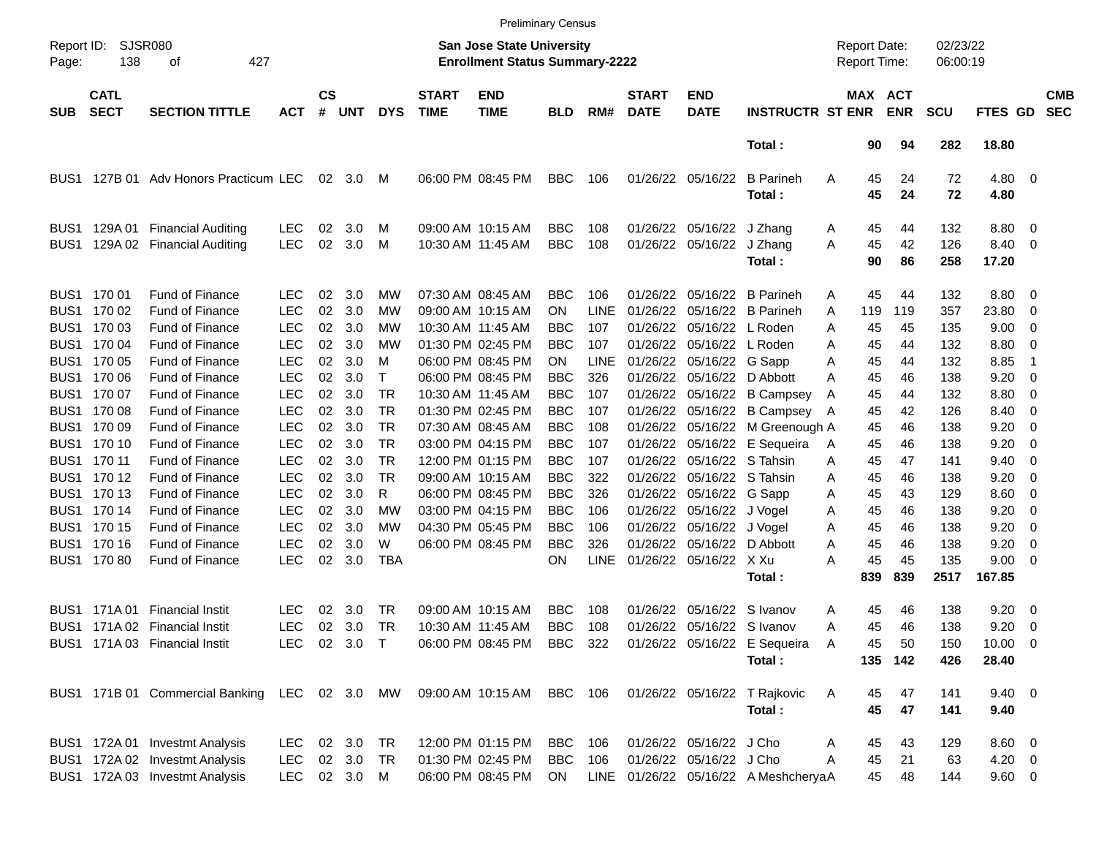|                                              |                            |                                                                            |                                        |                    |                   |                                     |                             | <b>Preliminary Census</b>                                                 |                                        |                    |                                  |                                                    |                                                                    |                                     |                       |                      |                        |                                                     |                          |
|----------------------------------------------|----------------------------|----------------------------------------------------------------------------|----------------------------------------|--------------------|-------------------|-------------------------------------|-----------------------------|---------------------------------------------------------------------------|----------------------------------------|--------------------|----------------------------------|----------------------------------------------------|--------------------------------------------------------------------|-------------------------------------|-----------------------|----------------------|------------------------|-----------------------------------------------------|--------------------------|
| Report ID:<br>Page:                          | SJSR080<br>138             | 427<br>οf                                                                  |                                        |                    |                   |                                     |                             | <b>San Jose State University</b><br><b>Enrollment Status Summary-2222</b> |                                        |                    |                                  |                                                    |                                                                    | <b>Report Date:</b><br>Report Time: |                       | 02/23/22<br>06:00:19 |                        |                                                     |                          |
| <b>SUB</b>                                   | <b>CATL</b><br><b>SECT</b> | <b>SECTION TITTLE</b>                                                      | <b>ACT</b>                             | $\mathsf{cs}$<br># | <b>UNT</b>        | <b>DYS</b>                          | <b>START</b><br><b>TIME</b> | <b>END</b><br><b>TIME</b>                                                 | BLD                                    | RM#                | <b>START</b><br><b>DATE</b>      | <b>END</b><br><b>DATE</b>                          | <b>INSTRUCTR ST ENR</b>                                            |                                     | MAX ACT<br><b>ENR</b> | <b>SCU</b>           | FTES GD                |                                                     | <b>CMB</b><br><b>SEC</b> |
|                                              |                            |                                                                            |                                        |                    |                   |                                     |                             |                                                                           |                                        |                    |                                  |                                                    | Total:                                                             | 90                                  | 94                    | 282                  | 18.80                  |                                                     |                          |
| BUS <sub>1</sub>                             |                            | 127B 01 Adv Honors Practicum LEC                                           |                                        | 02                 | 3.0               | M                                   |                             | 06:00 PM 08:45 PM                                                         | <b>BBC</b>                             | 106                |                                  | 01/26/22 05/16/22                                  | <b>B</b> Parineh<br>Total:                                         | A<br>45<br>45                       | 24<br>24              | 72<br>72             | $4.80\ 0$<br>4.80      |                                                     |                          |
| BUS <sub>1</sub><br>BUS1                     |                            | 129A 01 Financial Auditing<br>129A 02 Financial Auditing                   | <b>LEC</b><br><b>LEC</b>               | 02<br>02           | 3.0<br>3.0        | M<br>M                              |                             | 09:00 AM 10:15 AM<br>10:30 AM 11:45 AM                                    | <b>BBC</b><br><b>BBC</b>               | 108<br>108         |                                  | 01/26/22 05/16/22<br>01/26/22 05/16/22             | J Zhang<br>J Zhang<br>Total:                                       | Α<br>45<br>45<br>A<br>90            | 44<br>42<br>86        | 132<br>126<br>258    | 8.80<br>8.40<br>17.20  | $\overline{\mathbf{0}}$<br>$\overline{\phantom{0}}$ |                          |
| BUS <sub>1</sub>                             | BUS1 170 01<br>170 02      | <b>Fund of Finance</b><br><b>Fund of Finance</b>                           | <b>LEC</b><br><b>LEC</b>               | 02<br>02           | 3.0<br>3.0        | MW<br>МW                            |                             | 07:30 AM 08:45 AM<br>09:00 AM 10:15 AM                                    | <b>BBC</b><br>ΟN                       | 106<br>LINE        | 01/26/22<br>01/26/22             | 05/16/22<br>05/16/22                               | <b>B</b> Parineh<br><b>B</b> Parineh                               | 45<br>A<br>119<br>A                 | 44<br>119             | 132<br>357           | 8.80<br>23.80          | - 0<br>- 0                                          |                          |
| BUS <sub>1</sub><br>BUS <sub>1</sub>         | 170 03<br>170 04           | <b>Fund of Finance</b><br>Fund of Finance                                  | <b>LEC</b><br><b>LEC</b>               | 02<br>02           | 3.0<br>3.0        | МW<br>МW                            |                             | 10:30 AM 11:45 AM<br>01:30 PM 02:45 PM                                    | <b>BBC</b><br><b>BBC</b>               | 107<br>107         | 01/26/22<br>01/26/22             | 05/16/22<br>05/16/22                               | L Roden<br>L Roden                                                 | 45<br>A<br>45<br>A                  | 45<br>44              | 135<br>132           | 9.00<br>8.80           | - 0<br>- 0                                          |                          |
| BUS <sub>1</sub><br>BUS <sub>1</sub>         | 170 05<br>170 06           | <b>Fund of Finance</b><br><b>Fund of Finance</b><br><b>Fund of Finance</b> | <b>LEC</b><br><b>LEC</b>               | 02<br>02           | 3.0<br>3.0        | M<br>т                              |                             | 06:00 PM 08:45 PM<br>06:00 PM 08:45 PM                                    | <b>ON</b><br><b>BBC</b><br><b>BBC</b>  | <b>LINE</b><br>326 | 01/26/22<br>01/26/22             | 05/16/22 G Sapp<br>05/16/22                        | D Abbott                                                           | 45<br>A<br>45<br>A                  | 44<br>46              | 132<br>138           | 8.85<br>9.20           | -1<br>- 0                                           |                          |
| BUS <sub>1</sub><br>BUS <sub>1</sub><br>BUS1 | 170 07<br>170 08<br>170 09 | <b>Fund of Finance</b><br><b>Fund of Finance</b>                           | <b>LEC</b><br><b>LEC</b><br><b>LEC</b> | 02<br>02<br>02     | 3.0<br>3.0<br>3.0 | <b>TR</b><br><b>TR</b><br><b>TR</b> |                             | 10:30 AM 11:45 AM<br>01:30 PM 02:45 PM<br>07:30 AM 08:45 AM               | <b>BBC</b><br><b>BBC</b>               | 107<br>107<br>108  | 01/26/22<br>01/26/22<br>01/26/22 |                                                    | 05/16/22 B Campsey<br>05/16/22 B Campsey<br>05/16/22 M Greenough A | 45<br>A<br>45<br>A<br>45            | 44<br>42<br>46        | 132<br>126<br>138    | 8.80<br>8.40<br>9.20   | - 0<br>- 0<br>- 0                                   |                          |
| BUS <sub>1</sub><br>BUS <sub>1</sub>         | 170 10<br>170 11           | <b>Fund of Finance</b><br><b>Fund of Finance</b>                           | <b>LEC</b><br><b>LEC</b>               | 02<br>02           | 3.0<br>3.0        | <b>TR</b><br><b>TR</b>              |                             | 03:00 PM 04:15 PM<br>12:00 PM 01:15 PM                                    | <b>BBC</b><br><b>BBC</b>               | 107<br>107         | 01/26/22<br>01/26/22             | 05/16/22 S Tahsin                                  | 05/16/22 E Sequeira                                                | 45<br>A<br>45<br>A                  | 46<br>47              | 138<br>141           | 9.20<br>9.40           | - 0<br>- 0                                          |                          |
| BUS1<br>BUS <sub>1</sub><br>BUS <sub>1</sub> | 170 12<br>170 13<br>170 14 | <b>Fund of Finance</b><br><b>Fund of Finance</b><br><b>Fund of Finance</b> | <b>LEC</b><br><b>LEC</b><br><b>LEC</b> | 02<br>02<br>02     | 3.0<br>3.0<br>3.0 | <b>TR</b><br>R<br>МW                |                             | 09:00 AM 10:15 AM<br>06:00 PM 08:45 PM<br>03:00 PM 04:15 PM               | <b>BBC</b><br><b>BBC</b><br><b>BBC</b> | 322<br>326<br>106  | 01/26/22<br>01/26/22<br>01/26/22 | 05/16/22 S Tahsin<br>05/16/22<br>05/16/22          | G Sapp<br>J Vogel                                                  | 45<br>A<br>45<br>A<br>45<br>A       | 46<br>43<br>46        | 138<br>129<br>138    | 9.20<br>8.60<br>9.20   | - 0<br>- 0<br>- 0                                   |                          |
| BUS <sub>1</sub><br>BUS <sub>1</sub>         | 170 15<br>170 16           | <b>Fund of Finance</b><br><b>Fund of Finance</b>                           | <b>LEC</b><br><b>LEC</b>               | 02<br>02           | 3.0<br>3.0        | МW<br>W                             |                             | 04:30 PM 05:45 PM<br>06:00 PM 08:45 PM                                    | <b>BBC</b><br><b>BBC</b>               | 106<br>326         | 01/26/22<br>01/26/22             | 05/16/22<br>05/16/22                               | J Vogel<br>D Abbott                                                | 45<br>A<br>45<br>A                  | 46<br>46              | 138<br>138           | 9.20<br>9.20           | - 0<br>0                                            |                          |
| BUS <sub>1</sub>                             | 17080                      | <b>Fund of Finance</b>                                                     | <b>LEC</b>                             | 02                 | 3.0               | <b>TBA</b>                          |                             |                                                                           | ON                                     | LINE               |                                  | 01/26/22 05/16/22 X Xu                             | Total:                                                             | 45<br>А<br>839                      | 45<br>839             | 135<br>2517          | 9.00<br>167.85         | - 0                                                 |                          |
| BUS1                                         | 171A 01                    | <b>Financial Instit</b><br>BUS1 171A 02 Financial Instit                   | <b>LEC</b><br><b>LEC</b>               | 02<br>02           | 3.0<br>3.0        | TR<br><b>TR</b>                     |                             | 09:00 AM 10:15 AM<br>10:30 AM 11:45 AM                                    | <b>BBC</b><br><b>BBC</b>               | 108<br>108         | 01/26/22                         | 05/16/22<br>01/26/22 05/16/22 S Ivanov             | S Ivanov                                                           | 45<br>Α<br>45<br>A                  | 46<br>46              | 138<br>138           | 9.20<br>9.20           | - 0<br>- 0                                          |                          |
|                                              |                            | BUS1 171A 03 Financial Instit                                              | LEC                                    |                    | 02 3.0 T          |                                     |                             |                                                                           |                                        |                    |                                  |                                                    | 06:00 PM 08:45 PM BBC 322 01/26/22 05/16/22 E Sequeira<br>Total:   | 45<br>A                             | 50<br>135 142         | 150<br>426           | $10.00 \t 0$<br>28.40  |                                                     |                          |
|                                              |                            | BUS1 171B 01 Commercial Banking LEC 02 3.0 MW                              |                                        |                    |                   |                                     |                             | 09:00 AM 10:15 AM BBC 106                                                 |                                        |                    |                                  |                                                    | 01/26/22 05/16/22 T Rajkovic<br>Total:                             | A<br>45                             | 47<br>45<br>47        | 141<br>141           | $9.40 \quad 0$<br>9.40 |                                                     |                          |
|                                              |                            | BUS1 172A 01 Investmt Analysis<br>BUS1 172A 02 Investmt Analysis           | <b>LEC</b><br><b>LEC</b>               |                    | 02 3.0<br>02 3.0  | TR<br>TR                            |                             | 12:00 PM 01:15 PM<br>01:30 PM 02:45 PM                                    | <b>BBC</b><br><b>BBC</b> 106           | 106                |                                  | 01/26/22 05/16/22 J Cho<br>01/26/22 05/16/22 J Cho |                                                                    | A<br>45<br>A<br>45                  | 43<br>21              | 129<br>63            | 8.60 0<br>$4.20 \ 0$   |                                                     |                          |
|                                              |                            | BUS1 172A 03 Investmt Analysis                                             | LEC 02 3.0 M                           |                    |                   |                                     |                             | 06:00 PM 08:45 PM                                                         | ON                                     |                    |                                  |                                                    | LINE 01/26/22 05/16/22 A MeshcheryaA                               | 45                                  | 48                    | 144                  | $9.60\quad 0$          |                                                     |                          |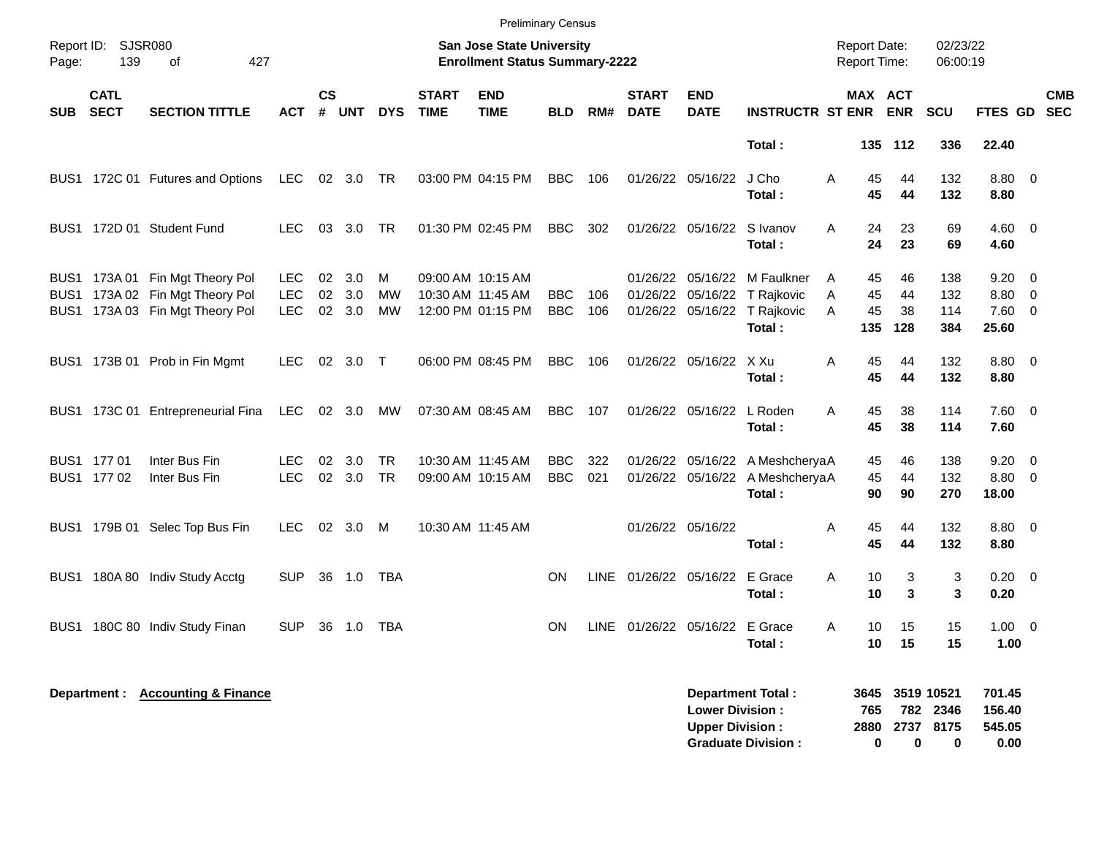|            |                            |                                                                                                       |                                        |                    |                   |                        |                             | <b>Preliminary Census</b>                                          |                          |            |                                |                                                  |                                                                              |                                            |                                     |                          |                                              |                          |  |
|------------|----------------------------|-------------------------------------------------------------------------------------------------------|----------------------------------------|--------------------|-------------------|------------------------|-----------------------------|--------------------------------------------------------------------|--------------------------|------------|--------------------------------|--------------------------------------------------|------------------------------------------------------------------------------|--------------------------------------------|-------------------------------------|--------------------------|----------------------------------------------|--------------------------|--|
| Page:      | Report ID: SJSR080<br>139  | 427<br>of                                                                                             |                                        |                    |                   |                        |                             | San Jose State University<br><b>Enrollment Status Summary-2222</b> |                          |            |                                |                                                  |                                                                              | <b>Report Date:</b><br><b>Report Time:</b> |                                     | 02/23/22<br>06:00:19     |                                              |                          |  |
| <b>SUB</b> | <b>CATL</b><br><b>SECT</b> | <b>SECTION TITTLE</b>                                                                                 | <b>ACT</b>                             | $\mathsf{cs}$<br># | <b>UNT</b>        | <b>DYS</b>             | <b>START</b><br><b>TIME</b> | <b>END</b><br><b>TIME</b>                                          | <b>BLD</b>               | RM#        | <b>START</b><br><b>DATE</b>    | <b>END</b><br><b>DATE</b>                        | <b>INSTRUCTR ST ENR</b>                                                      | MAX ACT                                    | <b>ENR</b>                          | <b>SCU</b>               | FTES GD                                      | <b>CMB</b><br><b>SEC</b> |  |
|            |                            |                                                                                                       |                                        |                    |                   |                        |                             |                                                                    |                          |            |                                |                                                  | Total:                                                                       |                                            | 135 112                             | 336                      | 22.40                                        |                          |  |
|            |                            | BUS1 172C 01 Futures and Options                                                                      | LEC                                    |                    | 02 3.0 TR         |                        |                             | 03:00 PM 04:15 PM                                                  | <b>BBC</b>               | 106        |                                | 01/26/22 05/16/22                                | J Cho<br>Total:                                                              | 45<br>Α<br>45                              | 44<br>44                            | 132<br>132               | 8.80 0<br>8.80                               |                          |  |
|            |                            | BUS1 172D 01 Student Fund                                                                             | <b>LEC</b>                             | 03                 | 3.0               | <b>TR</b>              |                             | 01:30 PM 02:45 PM                                                  | <b>BBC</b>               | 302        |                                | 01/26/22 05/16/22                                | S Ivanov<br>Total:                                                           | A<br>24<br>24                              | 23<br>23                            | 69<br>69                 | $4.60 \ 0$<br>4.60                           |                          |  |
|            |                            | BUS1 173A 01 Fin Mgt Theory Pol<br>BUS1 173A 02 Fin Mgt Theory Pol<br>BUS1 173A 03 Fin Mgt Theory Pol | <b>LEC</b><br><b>LEC</b><br><b>LEC</b> | 02<br>02<br>02     | 3.0<br>3.0<br>3.0 | м<br>МW<br><b>MW</b>   |                             | 09:00 AM 10:15 AM<br>10:30 AM 11:45 AM<br>12:00 PM 01:15 PM        | <b>BBC</b><br><b>BBC</b> | 106<br>106 | 01/26/22<br>01/26/22           | 05/16/22                                         | M Faulkner<br>05/16/22 T Rajkovic<br>01/26/22 05/16/22 T Rajkovic<br>Total:  | 45<br>A<br>45<br>Α<br>45<br>A<br>135       | 46<br>44<br>38<br>128               | 138<br>132<br>114<br>384 | $9.20 \ 0$<br>8.80 0<br>$7.60 \t 0$<br>25.60 |                          |  |
|            |                            | BUS1 173B 01 Prob in Fin Mgmt                                                                         | <b>LEC</b>                             |                    | 02 3.0 T          |                        |                             | 06:00 PM 08:45 PM                                                  | <b>BBC</b>               | 106        |                                | 01/26/22 05/16/22 X Xu                           | Total:                                                                       | 45<br>A<br>45                              | 44<br>44                            | 132<br>132               | 8.80 0<br>8.80                               |                          |  |
|            |                            | BUS1 173C 01 Entrepreneurial Fina LEC 02 3.0                                                          |                                        |                    |                   | MW                     |                             | 07:30 AM 08:45 AM                                                  | <b>BBC</b>               | 107        |                                | 01/26/22 05/16/22                                | L Roden<br>Total:                                                            | 45<br>A<br>45                              | 38<br>38                            | 114<br>114               | $7.60 \t 0$<br>7.60                          |                          |  |
|            | BUS1 177 01<br>BUS1 177 02 | Inter Bus Fin<br>Inter Bus Fin                                                                        | <b>LEC</b><br><b>LEC</b>               | 02                 | 3.0<br>02 3.0     | <b>TR</b><br><b>TR</b> |                             | 10:30 AM 11:45 AM<br>09:00 AM 10:15 AM                             | <b>BBC</b><br><b>BBC</b> | 322<br>021 |                                |                                                  | 01/26/22 05/16/22 A MeshcheryaA<br>01/26/22 05/16/22 A MeshcheryaA<br>Total: | 45<br>45<br>90                             | 46<br>44<br>90                      | 138<br>132<br>270        | $9.20 \ 0$<br>8.80 0<br>18.00                |                          |  |
|            |                            | BUS1 179B 01 Selec Top Bus Fin                                                                        | <b>LEC</b>                             |                    | 02 3.0            | M                      |                             | 10:30 AM 11:45 AM                                                  |                          |            |                                | 01/26/22 05/16/22                                | Total:                                                                       | 45<br>Α<br>45                              | 44<br>44                            | 132<br>132               | 8.80 0<br>8.80                               |                          |  |
|            |                            | BUS1 180A 80 Indiv Study Acctg                                                                        | <b>SUP</b>                             |                    | 36 1.0            | TBA                    |                             |                                                                    | <b>ON</b>                | LINE       | 01/26/22 05/16/22              |                                                  | E Grace<br>Total:                                                            | Α<br>10<br>10                              | 3<br>3                              | 3<br>3                   | $0.20 \ 0$<br>0.20                           |                          |  |
|            |                            | BUS1 180C 80 Indiv Study Finan                                                                        | <b>SUP</b>                             |                    | 36 1.0 TBA        |                        |                             |                                                                    | <b>ON</b>                |            | LINE 01/26/22 05/16/22 E Grace |                                                  | Total:                                                                       | Α<br>10                                    | 15<br>$10 \qquad 15$                | 15<br>15                 | $1.00 \t 0$<br>1.00                          |                          |  |
|            |                            | Department : Accounting & Finance                                                                     |                                        |                    |                   |                        |                             |                                                                    |                          |            |                                | <b>Lower Division:</b><br><b>Upper Division:</b> | <b>Department Total:</b><br><b>Graduate Division:</b>                        | 765<br>2880<br>0                           | 3645 3519 10521<br>782<br>2737<br>0 | 2346<br>8175<br>0        | 701.45<br>156.40<br>545.05<br>0.00           |                          |  |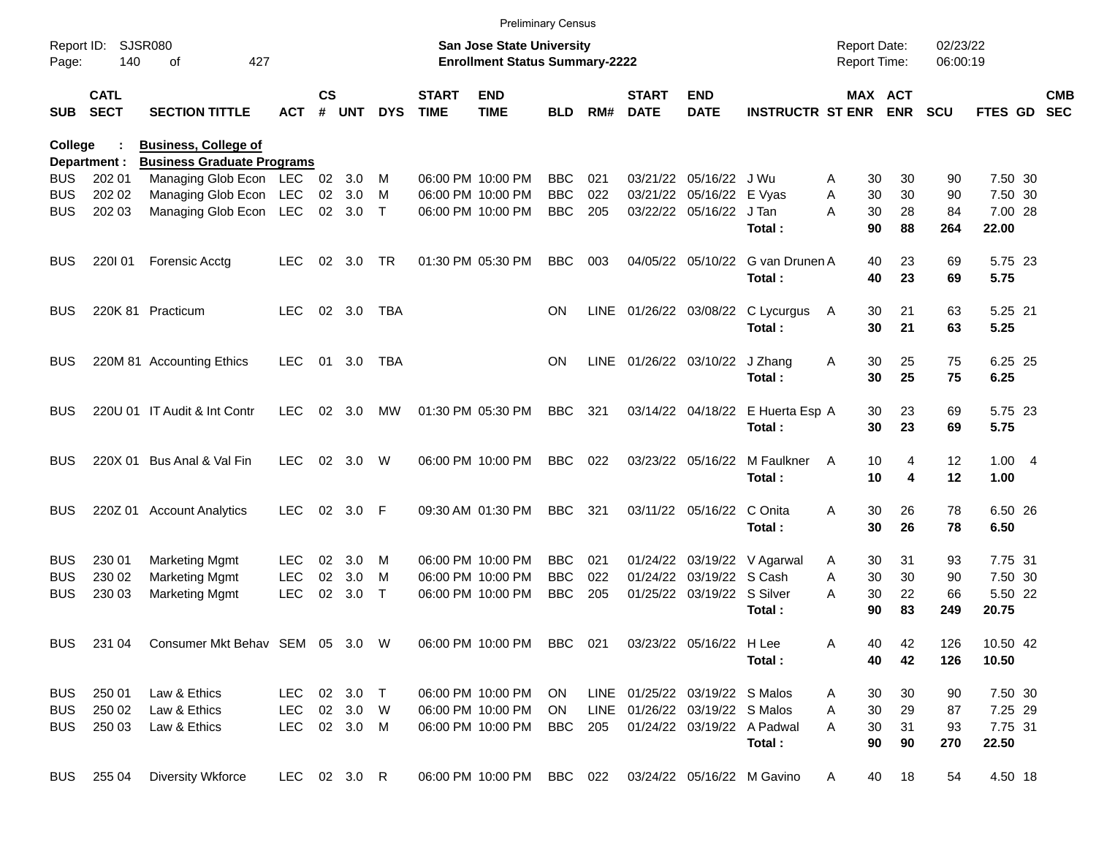|                          |                            |                                                  |              |                |               |              |                             | <b>Preliminary Census</b>                                                 |                          |            |                             |                                |                                             |                                     |                       |                      |                    |                          |
|--------------------------|----------------------------|--------------------------------------------------|--------------|----------------|---------------|--------------|-----------------------------|---------------------------------------------------------------------------|--------------------------|------------|-----------------------------|--------------------------------|---------------------------------------------|-------------------------------------|-----------------------|----------------------|--------------------|--------------------------|
| Page:                    | Report ID: SJSR080<br>140  | 427<br>οf                                        |              |                |               |              |                             | <b>San Jose State University</b><br><b>Enrollment Status Summary-2222</b> |                          |            |                             |                                |                                             | <b>Report Date:</b><br>Report Time: |                       | 02/23/22<br>06:00:19 |                    |                          |
| <b>SUB</b>               | <b>CATL</b><br><b>SECT</b> | <b>SECTION TITTLE</b>                            | <b>ACT</b>   | <b>CS</b><br># | <b>UNT</b>    | <b>DYS</b>   | <b>START</b><br><b>TIME</b> | <b>END</b><br><b>TIME</b>                                                 | <b>BLD</b>               | RM#        | <b>START</b><br><b>DATE</b> | <b>END</b><br><b>DATE</b>      | <b>INSTRUCTR ST ENR</b>                     |                                     | MAX ACT<br><b>ENR</b> | SCU                  | <b>FTES GD</b>     | <b>CMB</b><br><b>SEC</b> |
| <b>College</b>           |                            | <b>Business, College of</b>                      |              |                |               |              |                             |                                                                           |                          |            |                             |                                |                                             |                                     |                       |                      |                    |                          |
|                          | Department :               | <b>Business Graduate Programs</b>                |              |                |               |              |                             |                                                                           |                          |            |                             |                                |                                             |                                     |                       |                      |                    |                          |
| <b>BUS</b>               | 202 01                     | Managing Glob Econ LEC 02 3.0                    |              |                |               | M            |                             | 06:00 PM 10:00 PM<br>06:00 PM 10:00 PM                                    | <b>BBC</b>               | 021        |                             | 03/21/22 05/16/22              | J Wu                                        | A                                   | 30<br>30              | 90                   | 7.50 30            |                          |
| <b>BUS</b><br><b>BUS</b> | 202 02<br>202 03           | Managing Glob Econ LEC<br>Managing Glob Econ LEC |              | 02             | 3.0<br>02 3.0 | M<br>$\top$  |                             | 06:00 PM 10:00 PM                                                         | <b>BBC</b><br><b>BBC</b> | 022<br>205 | 03/21/22                    | 05/16/22<br>03/22/22 05/16/22  | E Vyas<br>J Tan                             | A<br>A                              | 30<br>30<br>28<br>30  | 90<br>84             | 7.50 30<br>7.00 28 |                          |
|                          |                            |                                                  |              |                |               |              |                             |                                                                           |                          |            |                             |                                | Total:                                      |                                     | 90<br>88              | 264                  | 22.00              |                          |
| <b>BUS</b>               | 220101                     | <b>Forensic Acctg</b>                            | <b>LEC</b>   |                | 02 3.0        | <b>TR</b>    |                             | 01:30 PM 05:30 PM                                                         | <b>BBC</b>               | 003        |                             | 04/05/22 05/10/22              | G van Drunen A<br>Total:                    |                                     | 23<br>40<br>23<br>40  | 69<br>69             | 5.75 23<br>5.75    |                          |
| <b>BUS</b>               |                            | 220K 81 Practicum                                | <b>LEC</b>   |                | 02 3.0        | <b>TBA</b>   |                             |                                                                           | ON                       |            |                             |                                | LINE 01/26/22 03/08/22 C Lycurgus<br>Total: | A                                   | 21<br>30<br>30<br>21  | 63<br>63             | 5.25 21<br>5.25    |                          |
| <b>BUS</b>               |                            | 220M 81 Accounting Ethics                        | <b>LEC</b>   | 01             | 3.0           | TBA          |                             |                                                                           | <b>ON</b>                |            |                             | LINE 01/26/22 03/10/22 J Zhang |                                             | Α                                   | 25<br>30              | 75                   | 6.25 25            |                          |
|                          |                            |                                                  |              |                |               |              |                             |                                                                           |                          |            |                             |                                | Total:                                      |                                     | 30<br>25              | 75                   | 6.25               |                          |
| <b>BUS</b>               |                            | 220U 01 IT Audit & Int Contr                     | <b>LEC</b>   |                | 02 3.0        | <b>MW</b>    |                             | 01:30 PM 05:30 PM                                                         | <b>BBC</b>               | 321        |                             |                                | 03/14/22 04/18/22 E Huerta Esp A            |                                     | 23<br>30              | 69                   | 5.75 23            |                          |
|                          |                            |                                                  |              |                |               |              |                             |                                                                           |                          |            |                             |                                | Total:                                      |                                     | 30<br>23              | 69                   | 5.75               |                          |
| <b>BUS</b>               |                            | 220X 01 Bus Anal & Val Fin                       | <b>LEC</b>   | 02             | 3.0           | W            |                             | 06:00 PM 10:00 PM                                                         | <b>BBC</b>               | 022        |                             | 03/23/22 05/16/22              | M Faulkner                                  | A                                   | 10<br>4               | 12                   | 1.004              |                          |
|                          |                            |                                                  |              |                |               |              |                             |                                                                           |                          |            |                             |                                | Total:                                      |                                     | 10<br>4               | 12                   | 1.00               |                          |
| <b>BUS</b>               |                            | 220Z 01 Account Analytics                        | <b>LEC</b>   | 02             | 3.0           | -F           |                             | 09:30 AM 01:30 PM                                                         | <b>BBC</b>               | 321        |                             | 03/11/22 05/16/22              | C Onita                                     | A                                   | 30<br>26              | 78                   | 6.50 26            |                          |
|                          |                            |                                                  |              |                |               |              |                             |                                                                           |                          |            |                             |                                | Total:                                      |                                     | 30<br>26              | 78                   | 6.50               |                          |
| <b>BUS</b>               | 230 01                     | <b>Marketing Mgmt</b>                            | <b>LEC</b>   | 02             | 3.0           | M            |                             | 06:00 PM 10:00 PM                                                         | <b>BBC</b>               | 021        |                             | 01/24/22 03/19/22              | V Agarwal                                   | A                                   | 31<br>30              | 93                   | 7.75 31            |                          |
| <b>BUS</b>               | 230 02                     | <b>Marketing Mgmt</b>                            | <b>LEC</b>   | 02             | 3.0           | M            |                             | 06:00 PM 10:00 PM                                                         | <b>BBC</b>               | 022        | 01/24/22                    | 03/19/22 S Cash                |                                             | A                                   | 30<br>30              | 90                   | 7.50 30            |                          |
| <b>BUS</b>               | 230 03                     | <b>Marketing Mgmt</b>                            | <b>LEC</b>   | 02             | 3.0           | $\mathsf{T}$ |                             | 06:00 PM 10:00 PM                                                         | <b>BBC</b>               | 205        |                             | 01/25/22 03/19/22 S Silver     |                                             | A                                   | 30<br>22              | 66                   | 5.50 22            |                          |
|                          |                            |                                                  |              |                |               |              |                             |                                                                           |                          |            |                             |                                | Total:                                      |                                     | 83<br>90              | 249                  | 20.75              |                          |
| <b>BUS</b>               |                            | 231 04 Consumer Mkt Behav SEM 05 3.0 W           |              |                |               |              |                             | 06:00 PM 10:00 PM                                                         | BBC 021                  |            |                             | 03/23/22 05/16/22 H Lee        |                                             | A                                   | 42<br>40              | 126                  | 10.50 42           |                          |
|                          |                            |                                                  |              |                |               |              |                             |                                                                           |                          |            |                             |                                | Total:                                      |                                     | 40<br>42              | 126                  | 10.50              |                          |
| <b>BUS</b>               | 250 01                     | Law & Ethics                                     | LEC          |                | 02 3.0        | $\top$       |                             | 06:00 PM 10:00 PM                                                         | ON                       |            |                             | LINE 01/25/22 03/19/22 S Malos |                                             | A                                   | 30<br>30              | 90                   | 7.50 30            |                          |
| <b>BUS</b>               | 250 02                     | Law & Ethics                                     | LEC          |                | 02 3.0        | W            |                             | 06:00 PM 10:00 PM                                                         | ON                       |            |                             | LINE 01/26/22 03/19/22 S Malos |                                             | A                                   | 29<br>30              | 87                   | 7.25 29            |                          |
| BUS                      | 250 03                     | Law & Ethics                                     | LEC 02 3.0 M |                |               |              |                             | 06:00 PM 10:00 PM                                                         | BBC 205                  |            |                             | 01/24/22 03/19/22 A Padwal     |                                             | A                                   | 30<br>31              | 93                   | 7.75 31            |                          |
|                          |                            |                                                  |              |                |               |              |                             |                                                                           |                          |            |                             |                                | Total:                                      |                                     | 90<br>90              | 270                  | 22.50              |                          |
| <b>BUS</b>               | 255 04                     | <b>Diversity Wkforce</b>                         | LEC 02 3.0 R |                |               |              |                             | 06:00 PM 10:00 PM BBC 022 03/24/22 05/16/22 M Gavino                      |                          |            |                             |                                |                                             | A                                   | 40<br>18              | 54                   | 4.50 18            |                          |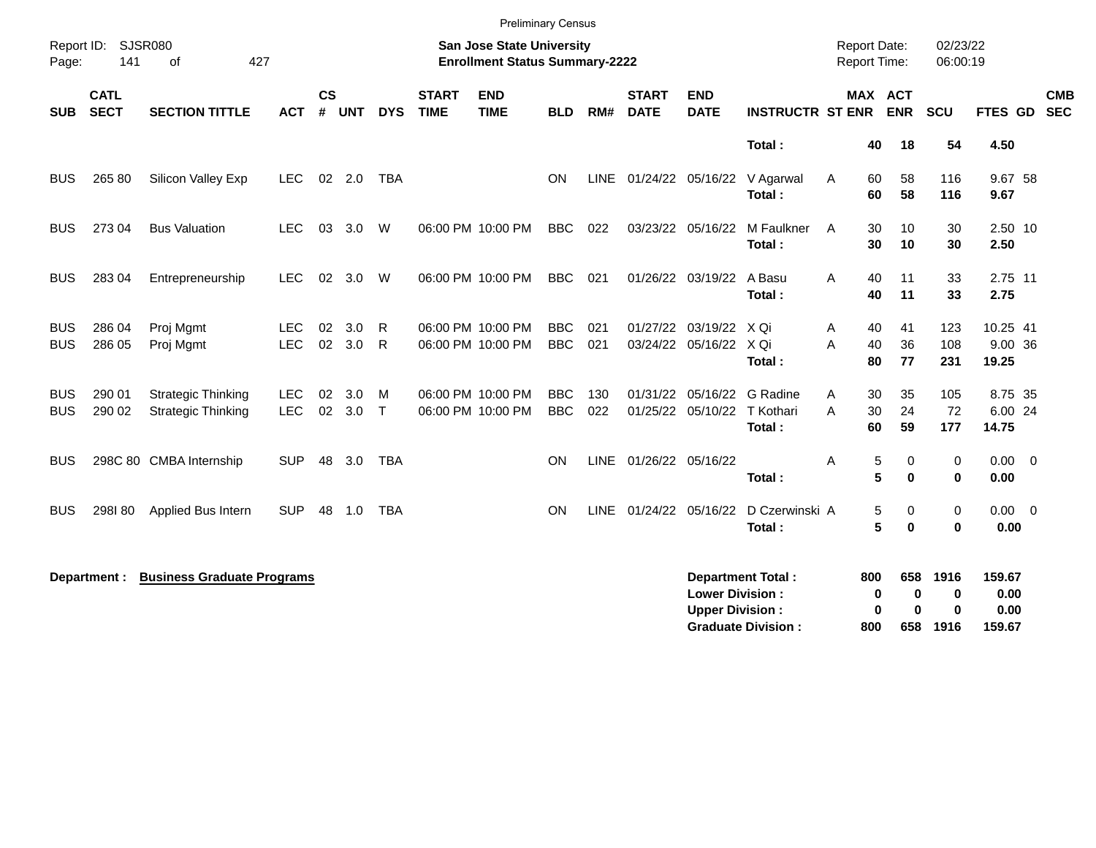|                          | <b>Preliminary Census</b><br>02/23/22<br><b>Report Date:</b>                                                        |                                                        |                          |                   |            |                    |                             |                                        |                          |             |                             |                                                  |                                                       |                            |                                   |                        |                                  |                          |  |
|--------------------------|---------------------------------------------------------------------------------------------------------------------|--------------------------------------------------------|--------------------------|-------------------|------------|--------------------|-----------------------------|----------------------------------------|--------------------------|-------------|-----------------------------|--------------------------------------------------|-------------------------------------------------------|----------------------------|-----------------------------------|------------------------|----------------------------------|--------------------------|--|
| Page:                    | Report ID: SJSR080<br><b>San Jose State University</b><br>427<br>141<br><b>Enrollment Status Summary-2222</b><br>of |                                                        |                          |                   |            |                    |                             |                                        |                          |             |                             |                                                  |                                                       |                            | <b>Report Time:</b>               | 06:00:19               |                                  |                          |  |
| <b>SUB</b>               | <b>CATL</b><br><b>SECT</b>                                                                                          | <b>SECTION TITTLE</b>                                  | <b>ACT</b>               | <b>CS</b><br>$\#$ | <b>UNT</b> | <b>DYS</b>         | <b>START</b><br><b>TIME</b> | <b>END</b><br><b>TIME</b>              | <b>BLD</b>               | RM#         | <b>START</b><br><b>DATE</b> | <b>END</b><br><b>DATE</b>                        | <b>INSTRUCTR ST ENR</b>                               |                            | MAX ACT<br><b>ENR</b>             | SCU                    | FTES GD                          | <b>CMB</b><br><b>SEC</b> |  |
|                          |                                                                                                                     |                                                        |                          |                   |            |                    |                             |                                        |                          |             |                             |                                                  | Total:                                                | 40                         | 18                                | 54                     | 4.50                             |                          |  |
| <b>BUS</b>               | 265 80                                                                                                              | Silicon Valley Exp                                     | <b>LEC</b>               |                   | 02 2.0     | <b>TBA</b>         |                             |                                        | <b>ON</b>                | LINE        |                             |                                                  | 01/24/22 05/16/22 V Agarwal<br>Total:                 | A<br>60<br>60              | 58<br>58                          | 116<br>116             | 9.67 58<br>9.67                  |                          |  |
| <b>BUS</b>               | 273 04                                                                                                              | <b>Bus Valuation</b>                                   | <b>LEC</b>               | 03                | 3.0        | W                  |                             | 06:00 PM 10:00 PM                      | <b>BBC</b>               | 022         |                             | 03/23/22 05/16/22                                | M Faulkner<br>Total:                                  | $\overline{A}$<br>30<br>30 | 10<br>10                          | 30<br>30               | 2.50 10<br>2.50                  |                          |  |
| <b>BUS</b>               | 283 04                                                                                                              | Entrepreneurship                                       | <b>LEC</b>               | 02                | 3.0        | W                  |                             | 06:00 PM 10:00 PM                      | <b>BBC</b>               | 021         |                             | 01/26/22 03/19/22                                | A Basu<br>Total:                                      | A<br>40<br>40              | 11<br>11                          | 33<br>33               | 2.75 11<br>2.75                  |                          |  |
| <b>BUS</b><br><b>BUS</b> | 286 04<br>286 05                                                                                                    | Proj Mgmt<br>Proj Mgmt                                 | <b>LEC</b><br><b>LEC</b> | 02<br>02          | 3.0<br>3.0 | R.<br>$\mathsf{R}$ |                             | 06:00 PM 10:00 PM<br>06:00 PM 10:00 PM | <b>BBC</b><br><b>BBC</b> | 021<br>021  |                             | 01/27/22 03/19/22 X Qi<br>03/24/22 05/16/22 X Qi | Total:                                                | 40<br>Α<br>40<br>A<br>80   | 41<br>36<br>77                    | 123<br>108<br>231      | 10.25 41<br>9.00 36<br>19.25     |                          |  |
| <b>BUS</b><br><b>BUS</b> | 290 01<br>290 02                                                                                                    | <b>Strategic Thinking</b><br><b>Strategic Thinking</b> | <b>LEC</b><br><b>LEC</b> | 02<br>02          | 3.0<br>3.0 | м<br>$\top$        |                             | 06:00 PM 10:00 PM<br>06:00 PM 10:00 PM | <b>BBC</b><br><b>BBC</b> | 130<br>022  | 01/25/22                    | 01/31/22 05/16/22 G Radine<br>05/10/22           | T Kothari<br>Total:                                   | 30<br>Α<br>30<br>A<br>60   | 35<br>24<br>59                    | 105<br>72<br>177       | 8.75 35<br>6.00 24<br>14.75      |                          |  |
| <b>BUS</b>               |                                                                                                                     | 298C 80 CMBA Internship                                | <b>SUP</b>               | 48                | 3.0        | <b>TBA</b>         |                             |                                        | OΝ                       | <b>LINE</b> | 01/26/22 05/16/22           |                                                  | Total:                                                | Α                          | 5<br>$\mathbf 0$<br>5<br>$\bf{0}$ | 0<br>$\mathbf{0}$      | $0.00 \t 0$<br>0.00              |                          |  |
| <b>BUS</b>               | 298180                                                                                                              | Applied Bus Intern                                     | <b>SUP</b>               | 48                | 1.0        | <b>TBA</b>         |                             |                                        | <b>ON</b>                | <b>LINE</b> |                             | 01/24/22 05/16/22                                | D Czerwinski A<br>Total:                              |                            | 5<br>0<br>5<br>$\bf{0}$           | 0<br>$\bf{0}$          | $0.00 \t 0$<br>0.00              |                          |  |
|                          | Department :                                                                                                        | <b>Business Graduate Programs</b>                      |                          |                   |            |                    |                             |                                        |                          |             |                             | <b>Lower Division:</b><br><b>Upper Division:</b> | <b>Department Total:</b><br><b>Graduate Division:</b> | 800<br>800                 | 658<br>0<br>0<br>0<br>0<br>658    | 1916<br>0<br>0<br>1916 | 159.67<br>0.00<br>0.00<br>159.67 |                          |  |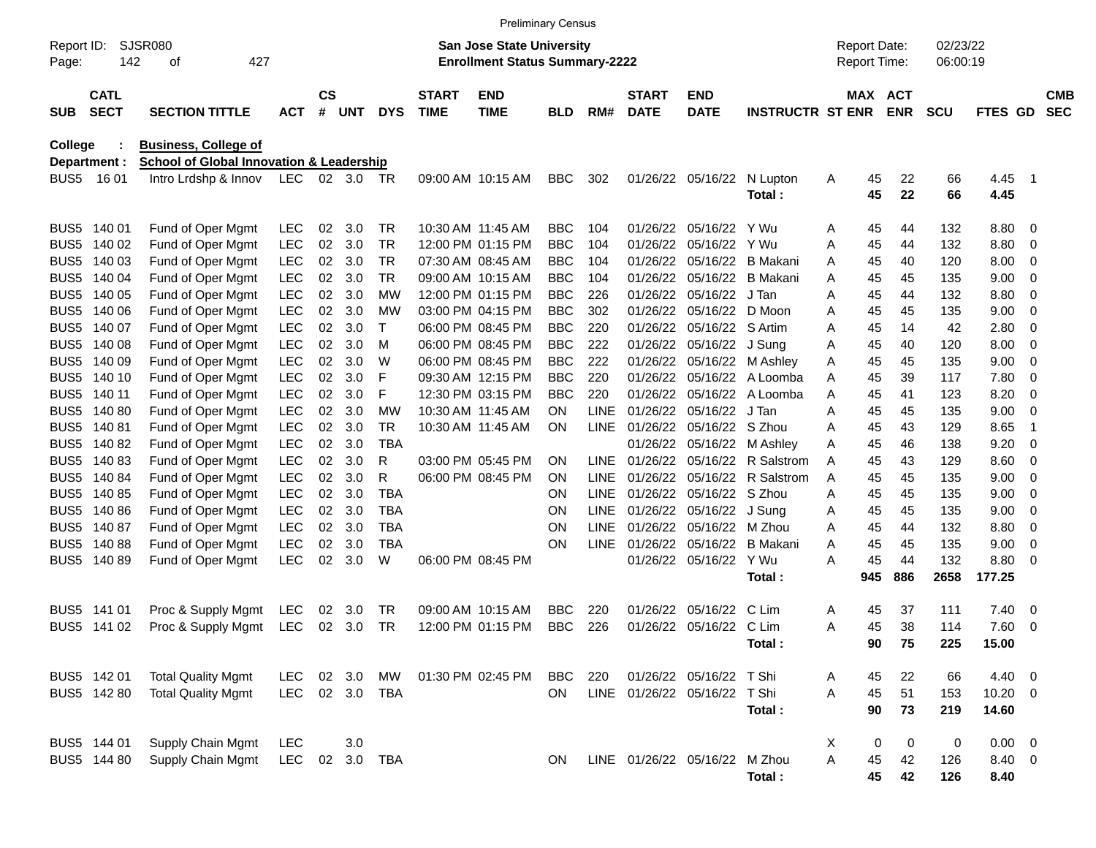|                     |                            |                                                     |            |                |            |            |                             | <b>Preliminary Census</b>                                                 |            |             |                             |                              |                         |   |                                     |            |                      |              |                |                          |
|---------------------|----------------------------|-----------------------------------------------------|------------|----------------|------------|------------|-----------------------------|---------------------------------------------------------------------------|------------|-------------|-----------------------------|------------------------------|-------------------------|---|-------------------------------------|------------|----------------------|--------------|----------------|--------------------------|
| Report ID:<br>Page: | 142                        | SJSR080<br>427<br>οf                                |            |                |            |            |                             | <b>San Jose State University</b><br><b>Enrollment Status Summary-2222</b> |            |             |                             |                              |                         |   | <b>Report Date:</b><br>Report Time: |            | 02/23/22<br>06:00:19 |              |                |                          |
| <b>SUB</b>          | <b>CATL</b><br><b>SECT</b> | <b>SECTION TITTLE</b>                               | <b>ACT</b> | <b>CS</b><br># | <b>UNT</b> | <b>DYS</b> | <b>START</b><br><b>TIME</b> | <b>END</b><br><b>TIME</b>                                                 | <b>BLD</b> | RM#         | <b>START</b><br><b>DATE</b> | <b>END</b><br><b>DATE</b>    | <b>INSTRUCTR ST ENR</b> |   | MAX ACT                             | <b>ENR</b> | <b>SCU</b>           | FTES GD      |                | <b>CMB</b><br><b>SEC</b> |
| <b>College</b>      |                            | <b>Business, College of</b>                         |            |                |            |            |                             |                                                                           |            |             |                             |                              |                         |   |                                     |            |                      |              |                |                          |
|                     | Department :               | <b>School of Global Innovation &amp; Leadership</b> |            |                |            |            |                             |                                                                           |            |             |                             |                              |                         |   |                                     |            |                      |              |                |                          |
| BUS <sub>5</sub>    | 16 01                      | Intro Lrdshp & Innov                                | <b>LEC</b> |                | 02 3.0 TR  |            |                             | 09:00 AM 10:15 AM                                                         | <b>BBC</b> | 302         |                             | 01/26/22 05/16/22            | N Lupton<br>Total:      | Α | 45<br>45                            | 22<br>22   | 66<br>66             | 4.45<br>4.45 | - 1            |                          |
| BUS <sub>5</sub>    | 140 01                     | Fund of Oper Mgmt                                   | LEC        | 02             | 3.0        | <b>TR</b>  |                             | 10:30 AM 11:45 AM                                                         | <b>BBC</b> | 104         | 01/26/22                    | 05/16/22                     | Y Wu                    | Α | 45                                  | 44         | 132                  | 8.80         | - 0            |                          |
| BUS <sub>5</sub>    | 140 02                     | Fund of Oper Mgmt                                   | <b>LEC</b> | 02             | 3.0        | <b>TR</b>  |                             | 12:00 PM 01:15 PM                                                         | <b>BBC</b> | 104         | 01/26/22                    | 05/16/22                     | Y Wu                    | A | 45                                  | 44         | 132                  | 8.80         | 0              |                          |
| BUS <sub>5</sub>    | 140 03                     | Fund of Oper Mgmt                                   | <b>LEC</b> | 02             | 3.0        | <b>TR</b>  |                             | 07:30 AM 08:45 AM                                                         | <b>BBC</b> | 104         | 01/26/22                    | 05/16/22                     | <b>B</b> Makani         | A | 45                                  | 40         | 120                  | 8.00         | 0              |                          |
| BUS <sub>5</sub>    | 140 04                     | Fund of Oper Mgmt                                   | <b>LEC</b> | 02             | 3.0        | <b>TR</b>  |                             | 09:00 AM 10:15 AM                                                         | <b>BBC</b> | 104         | 01/26/22                    | 05/16/22                     | <b>B</b> Makani         | Α | 45                                  | 45         | 135                  | 9.00         | 0              |                          |
| BUS <sub>5</sub>    | 140 05                     | Fund of Oper Mgmt                                   | <b>LEC</b> | 02             | 3.0        | <b>MW</b>  |                             | 12:00 PM 01:15 PM                                                         | <b>BBC</b> | 226         | 01/26/22                    | 05/16/22                     | J Tan                   | Α | 45                                  | 44         | 132                  | 8.80         | 0              |                          |
| BUS <sub>5</sub>    | 140 06                     | Fund of Oper Mgmt                                   | <b>LEC</b> | 02             | 3.0        | <b>MW</b>  |                             | 03:00 PM 04:15 PM                                                         | <b>BBC</b> | 302         | 01/26/22                    | 05/16/22                     | D Moon                  | Α | 45                                  | 45         | 135                  | 9.00         | 0              |                          |
| BUS <sub>5</sub>    | 140 07                     | Fund of Oper Mgmt                                   | <b>LEC</b> | 02             | 3.0        | $\top$     |                             | 06:00 PM 08:45 PM                                                         | <b>BBC</b> | 220         | 01/26/22                    | 05/16/22                     | S Artim                 | Α | 45                                  | 14         | 42                   | 2.80         | 0              |                          |
| BUS <sub>5</sub>    | 140 08                     | Fund of Oper Mgmt                                   | <b>LEC</b> | 02             | 3.0        | м          |                             | 06:00 PM 08:45 PM                                                         | <b>BBC</b> | 222         | 01/26/22                    | 05/16/22                     | J Sung                  | Α | 45                                  | 40         | 120                  | 8.00         | 0              |                          |
| BUS <sub>5</sub>    | 140 09                     | Fund of Oper Mgmt                                   | <b>LEC</b> | 02             | 3.0        | W          |                             | 06:00 PM 08:45 PM                                                         | <b>BBC</b> | 222         | 01/26/22                    | 05/16/22                     | M Ashley                | Α | 45                                  | 45         | 135                  | 9.00         | $\mathbf 0$    |                          |
| BUS <sub>5</sub>    | 140 10                     | Fund of Oper Mgmt                                   | <b>LEC</b> | 02             | 3.0        | F          |                             | 09:30 AM 12:15 PM                                                         | <b>BBC</b> | 220         | 01/26/22                    | 05/16/22                     | A Loomba                | A | 45                                  | 39         | 117                  | 7.80         | 0              |                          |
| BUS <sub>5</sub>    | 140 11                     | Fund of Oper Mgmt                                   | <b>LEC</b> | 02             | 3.0        | F          |                             | 12:30 PM 03:15 PM                                                         | <b>BBC</b> | 220         | 01/26/22                    | 05/16/22                     | A Loomba                | A | 45                                  | 41         | 123                  | 8.20         | 0              |                          |
| BUS <sub>5</sub>    | 140 80                     | Fund of Oper Mgmt                                   | <b>LEC</b> | 02             | 3.0        | MW         |                             | 10:30 AM 11:45 AM                                                         | <b>ON</b>  | <b>LINE</b> | 01/26/22                    | 05/16/22                     | J Tan                   | Α | 45                                  | 45         | 135                  | 9.00         | $\mathbf 0$    |                          |
| BUS <sub>5</sub>    | 14081                      | Fund of Oper Mgmt                                   | <b>LEC</b> | 02             | 3.0        | <b>TR</b>  |                             | 10:30 AM 11:45 AM                                                         | ON         | <b>LINE</b> | 01/26/22                    | 05/16/22                     | S Zhou                  | Α | 45                                  | 43         | 129                  | 8.65         | $\overline{1}$ |                          |
| BUS <sub>5</sub>    | 14082                      | Fund of Oper Mgmt                                   | <b>LEC</b> | 02             | 3.0        | <b>TBA</b> |                             |                                                                           |            |             | 01/26/22                    |                              | 05/16/22 M Ashley       | Α | 45                                  | 46         | 138                  | 9.20         | - 0            |                          |
| BUS <sub>5</sub>    | 14083                      | Fund of Oper Mgmt                                   | <b>LEC</b> | 02             | 3.0        | R          |                             | 03:00 PM 05:45 PM                                                         | ON         | <b>LINE</b> | 01/26/22                    | 05/16/22                     | R Salstrom              | Α | 45                                  | 43         | 129                  | 8.60         | 0              |                          |
| BUS <sub>5</sub>    | 140 84                     | Fund of Oper Mgmt                                   | <b>LEC</b> | 02             | 3.0        | R          |                             | 06:00 PM 08:45 PM                                                         | ΟN         | <b>LINE</b> | 01/26/22                    | 05/16/22                     | R Salstrom              | A | 45                                  | 45         | 135                  | 9.00         | 0              |                          |
| BUS <sub>5</sub>    | 140 85                     | Fund of Oper Mgmt                                   | <b>LEC</b> | 02             | 3.0        | <b>TBA</b> |                             |                                                                           | ΟN         | <b>LINE</b> | 01/26/22                    | 05/16/22                     | S Zhou                  | A | 45                                  | 45         | 135                  | 9.00         | 0              |                          |
| BUS <sub>5</sub>    | 140 86                     | Fund of Oper Mgmt                                   | <b>LEC</b> | 02             | 3.0        | <b>TBA</b> |                             |                                                                           | ON         | <b>LINE</b> | 01/26/22                    | 05/16/22                     | J Sung                  | Α | 45                                  | 45         | 135                  | 9.00         | 0              |                          |
| BUS <sub>5</sub>    | 14087                      | Fund of Oper Mgmt                                   | <b>LEC</b> | 02             | 3.0        | <b>TBA</b> |                             |                                                                           | ON         | LINE        | 01/26/22                    | 05/16/22                     | M Zhou                  | Α | 45                                  | 44         | 132                  | 8.80         | 0              |                          |
| BUS <sub>5</sub>    | 14088                      | Fund of Oper Mgmt                                   | <b>LEC</b> | 02             | 3.0        | <b>TBA</b> |                             |                                                                           | ON         | <b>LINE</b> | 01/26/22                    | 05/16/22                     | <b>B</b> Makani         | Α | 45                                  | 45         | 135                  | 9.00         | 0              |                          |
| BUS5                | 14089                      | Fund of Oper Mgmt                                   | <b>LEC</b> | 02             | 3.0        | W          |                             | 06:00 PM 08:45 PM                                                         |            |             | 01/26/22                    | 05/16/22                     | Y Wu                    | Α | 45                                  | 44         | 132                  | 8.80         | - 0            |                          |
|                     |                            |                                                     |            |                |            |            |                             |                                                                           |            |             |                             |                              | Total:                  |   | 945                                 | 886        | 2658                 | 177.25       |                |                          |
| BUS <sub>5</sub>    | 141 01                     | Proc & Supply Mgmt                                  | LEC        | 02             | 3.0        | <b>TR</b>  |                             | 09:00 AM 10:15 AM                                                         | <b>BBC</b> | 220         | 01/26/22                    | 05/16/22                     | C Lim                   | A | 45                                  | 37         | 111                  | 7.40         | - 0            |                          |
| BUS <sub>5</sub>    | 141 02                     | Proc & Supply Mgmt                                  | <b>LEC</b> |                | 02 3.0     | <b>TR</b>  |                             | 12:00 PM 01:15 PM                                                         | <b>BBC</b> | 226         | 01/26/22                    | 05/16/22                     | C Lim                   | A | 45                                  | 38         | 114                  | 7.60         | -0             |                          |
|                     |                            |                                                     |            |                |            |            |                             |                                                                           |            |             |                             |                              | Total:                  |   | 90                                  | 75         | 225                  | 15.00        |                |                          |
|                     | BUS5 142 01                | <b>Total Quality Mgmt</b>                           | LEC        |                | 02 3.0     | MW         |                             | 01:30 PM 02:45 PM                                                         | BBC        | 220         |                             | 01/26/22 05/16/22 TShi       |                         | A | 45                                  | 22         | 66                   | 4.40 0       |                |                          |
|                     | BUS5 142 80                | <b>Total Quality Mgmt</b>                           | <b>LEC</b> |                | 02 3.0     | TBA        |                             |                                                                           | ON         |             |                             | LINE 01/26/22 05/16/22 T Shi |                         | Α | 45                                  | 51         | 153                  | $10.20 \t 0$ |                |                          |
|                     |                            |                                                     |            |                |            |            |                             |                                                                           |            |             |                             |                              | Total:                  |   | 90                                  | 73         | 219                  | 14.60        |                |                          |
|                     | BUS5 144 01                | Supply Chain Mgmt                                   | LEC        |                | 3.0        |            |                             |                                                                           |            |             |                             |                              |                         | X | 0                                   | 0          | 0                    | $0.00 \t 0$  |                |                          |
|                     | BUS5 144 80                | Supply Chain Mgmt                                   | LEC        |                | 02 3.0     | <b>TBA</b> |                             |                                                                           | ON         |             | LINE 01/26/22 05/16/22      |                              | M Zhou                  | A | 45                                  | 42         | 126                  | 8.40 0       |                |                          |
|                     |                            |                                                     |            |                |            |            |                             |                                                                           |            |             |                             |                              | Total:                  |   | 45                                  | 42         | 126                  | 8.40         |                |                          |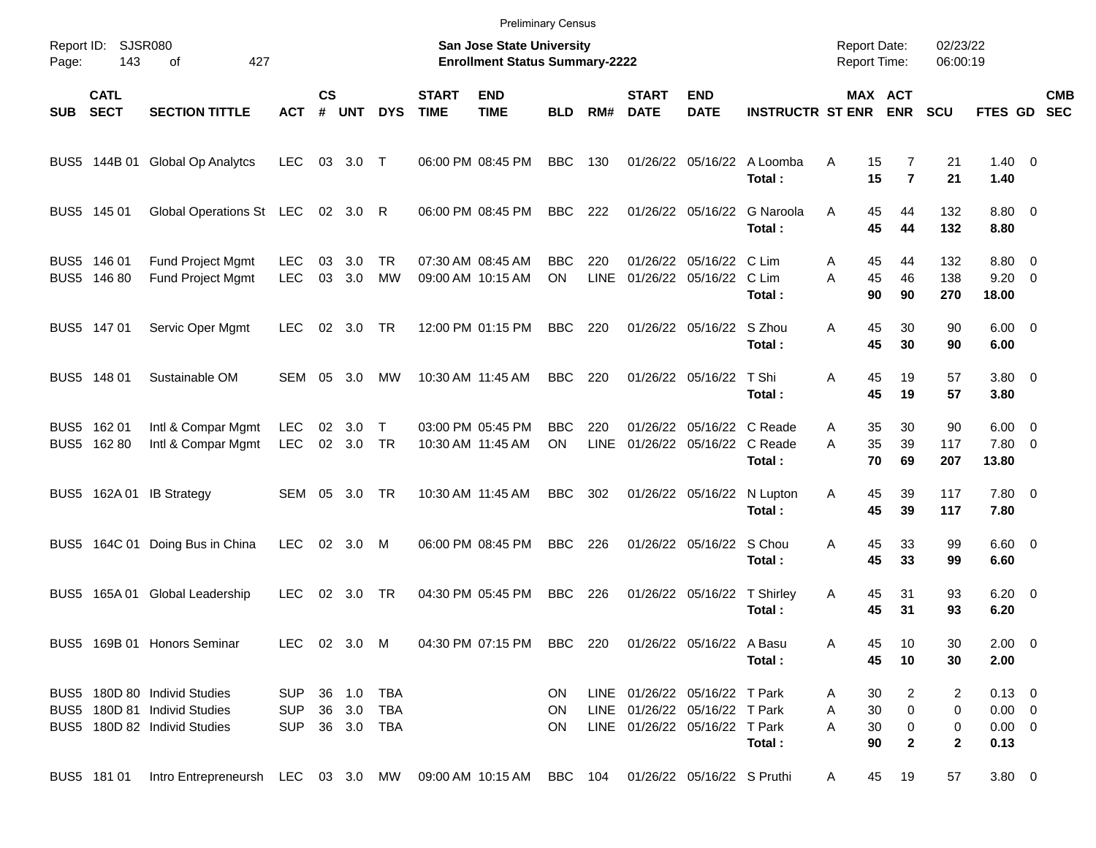|       |                            |                                                                                              |                                        |                    |                  |                                 |                             | <b>Preliminary Census</b>                                                 |                              |                    |                             |                                                                                                 |                          |                                            |                                                  |                             |                                                     |                          |
|-------|----------------------------|----------------------------------------------------------------------------------------------|----------------------------------------|--------------------|------------------|---------------------------------|-----------------------------|---------------------------------------------------------------------------|------------------------------|--------------------|-----------------------------|-------------------------------------------------------------------------------------------------|--------------------------|--------------------------------------------|--------------------------------------------------|-----------------------------|-----------------------------------------------------|--------------------------|
| Page: | Report ID: SJSR080<br>143  | 427<br>of                                                                                    |                                        |                    |                  |                                 |                             | <b>San Jose State University</b><br><b>Enrollment Status Summary-2222</b> |                              |                    |                             |                                                                                                 |                          | <b>Report Date:</b><br><b>Report Time:</b> |                                                  | 02/23/22<br>06:00:19        |                                                     |                          |
| SUB   | <b>CATL</b><br><b>SECT</b> | <b>SECTION TITTLE</b>                                                                        | <b>ACT</b>                             | $\mathsf{cs}$<br># | <b>UNT</b>       | <b>DYS</b>                      | <b>START</b><br><b>TIME</b> | <b>END</b><br><b>TIME</b>                                                 | <b>BLD</b>                   | RM#                | <b>START</b><br><b>DATE</b> | <b>END</b><br><b>DATE</b>                                                                       | <b>INSTRUCTR ST ENR</b>  |                                            | MAX ACT<br><b>ENR</b>                            | <b>SCU</b>                  | FTES GD                                             | <b>CMB</b><br><b>SEC</b> |
|       | BUS5 144B 01               | <b>Global Op Analytcs</b>                                                                    | <b>LEC</b>                             |                    | 03 3.0 T         |                                 |                             | 06:00 PM 08:45 PM                                                         | <b>BBC</b>                   | 130                |                             | 01/26/22 05/16/22                                                                               | A Loomba<br>Total:       | A<br>15<br>15                              | 7<br>$\overline{7}$                              | 21<br>21                    | $1.40 \ 0$<br>1.40                                  |                          |
|       | BUS5 145 01                | Global Operations St LEC                                                                     |                                        |                    | 02 3.0           | R                               |                             | 06:00 PM 08:45 PM                                                         | <b>BBC</b>                   | 222                |                             | 01/26/22 05/16/22                                                                               | G Naroola<br>Total:      | 45<br>A<br>45                              | 44<br>44                                         | 132<br>132                  | 8.80 0<br>8.80                                      |                          |
|       | BUS5 146 01<br>BUS5 146 80 | Fund Project Mgmt<br><b>Fund Project Mgmt</b>                                                | <b>LEC</b><br><b>LEC</b>               | 03<br>03           | 3.0<br>3.0       | TR<br><b>MW</b>                 |                             | 07:30 AM 08:45 AM<br>09:00 AM 10:15 AM                                    | BBC<br><b>ON</b>             | 220<br><b>LINE</b> | 01/26/22<br>01/26/22        | 05/16/22<br>05/16/22                                                                            | C Lim<br>C Lim<br>Total: | 45<br>A<br>45<br>A<br>90                   | 44<br>46<br>90                                   | 132<br>138<br>270           | 8.80 0<br>$9.20 \ 0$<br>18.00                       |                          |
|       | BUS5 147 01                | Servic Oper Mgmt                                                                             | LEC.                                   | 02 <sub>o</sub>    | 3.0              | TR                              |                             | 12:00 PM 01:15 PM                                                         | <b>BBC</b>                   | 220                |                             | 01/26/22 05/16/22                                                                               | S Zhou<br>Total:         | 45<br>A<br>45                              | 30<br>30                                         | 90<br>90                    | $6.00 \quad 0$<br>6.00                              |                          |
|       | BUS5 148 01                | Sustainable OM                                                                               | SEM                                    | 05                 | 3.0              | MW                              |                             | 10:30 AM 11:45 AM                                                         | <b>BBC</b>                   | 220                |                             | 01/26/22 05/16/22                                                                               | T Shi<br>Total:          | 45<br>A<br>45                              | 19<br>19                                         | 57<br>57                    | $3.80\ 0$<br>3.80                                   |                          |
|       | BUS5 162 01<br>BUS5 162 80 | Intl & Compar Mgmt<br>Intl & Compar Mgmt                                                     | LEC<br>LEC                             | 02                 | 3.0<br>02 3.0 TR | Т                               |                             | 03:00 PM 05:45 PM<br>10:30 AM 11:45 AM                                    | BBC<br>ON                    | 220<br><b>LINE</b> | 01/26/22                    | 05/16/22 C Reade<br>01/26/22 05/16/22                                                           | C Reade<br>Total:        | 35<br>A<br>35<br>A<br>70                   | 30<br>39<br>69                                   | 90<br>117<br>207            | $6.00 \quad 0$<br>7.80 0<br>13.80                   |                          |
|       |                            | BUS5 162A 01 IB Strategy                                                                     | SEM 05 3.0                             |                    |                  | TR                              |                             | 10:30 AM 11:45 AM                                                         | <b>BBC</b>                   | 302                |                             | 01/26/22 05/16/22                                                                               | N Lupton<br>Total:       | 45<br>Α<br>45                              | 39<br>39                                         | 117<br>117                  | 7.80 0<br>7.80                                      |                          |
|       |                            | BUS5 164C 01 Doing Bus in China                                                              | <b>LEC</b>                             | 02                 | 3.0              | M                               |                             | 06:00 PM 08:45 PM                                                         | <b>BBC</b>                   | 226                |                             | 01/26/22 05/16/22                                                                               | S Chou<br>Total:         | 45<br>A<br>45                              | 33<br>33                                         | 99<br>99                    | $6.60$ 0<br>6.60                                    |                          |
|       |                            | BUS5 165A 01 Global Leadership                                                               | <b>LEC</b>                             | 02                 | 3.0              | TR                              |                             | 04:30 PM 05:45 PM                                                         | <b>BBC</b>                   | 226                |                             | 01/26/22 05/16/22                                                                               | T Shirley<br>Total:      | 45<br>A<br>45                              | 31<br>31                                         | 93<br>93                    | $6.20 \quad 0$<br>6.20                              |                          |
|       |                            | BUS5 169B 01 Honors Seminar                                                                  | LEC 02 3.0 M                           |                    |                  |                                 |                             | 04:30 PM 07:15 PM BBC 220                                                 |                              |                    |                             | 01/26/22 05/16/22 A Basu                                                                        | Total:                   | Α<br>45<br>45                              | 10<br>10                                         | 30<br>30                    | $2.00 \t 0$<br>2.00                                 |                          |
|       |                            | BUS5 180D 80 Individ Studies<br>BUS5 180D 81 Individ Studies<br>BUS5 180D 82 Individ Studies | <b>SUP</b><br><b>SUP</b><br><b>SUP</b> |                    | 36 3.0           | 36 1.0 TBA<br>TBA<br>36 3.0 TBA |                             |                                                                           | <b>ON</b><br>ON<br><b>ON</b> |                    |                             | LINE 01/26/22 05/16/22 T Park<br>LINE 01/26/22 05/16/22 T Park<br>LINE 01/26/22 05/16/22 T Park | Total:                   | 30<br>A<br>30<br>Α<br>A<br>30<br>90        | $\overline{c}$<br>0<br>$\pmb{0}$<br>$\mathbf{2}$ | 2<br>0<br>0<br>$\mathbf{2}$ | $0.13 \ 0$<br>$0.00 \quad 0$<br>$0.00 \t 0$<br>0.13 |                          |
|       | BUS5 181 01                | Intro Entrepreneursh LEC 03 3.0 MW 09:00 AM 10:15 AM BBC 104                                 |                                        |                    |                  |                                 |                             |                                                                           |                              |                    |                             | 01/26/22 05/16/22 S Pruthi                                                                      |                          | 45<br>A                                    | 19                                               | 57                          | $3.80\ 0$                                           |                          |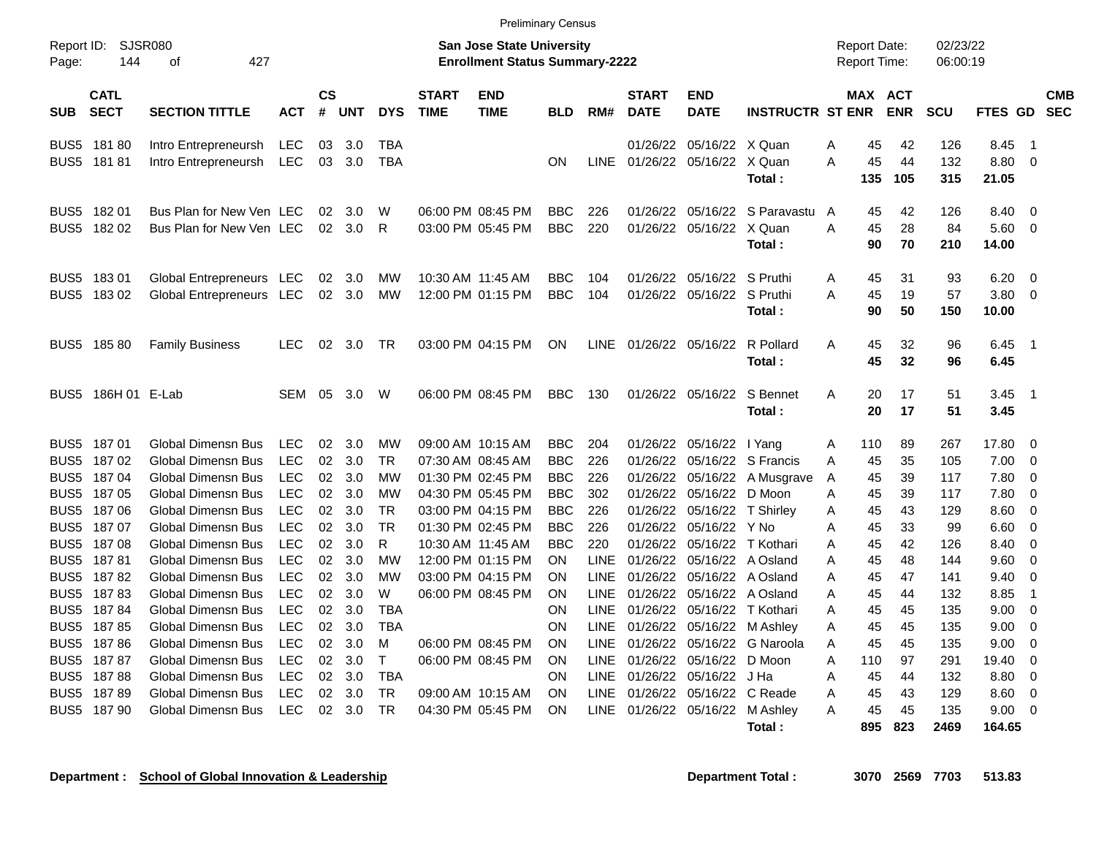|                                  |                            |                                                                              |                                        |                    |                   |                                         |                             | <b>Preliminary Census</b>                                          |                          |                                           |                             |                                                             |                                        |                                |                       |                      |                       |                          |
|----------------------------------|----------------------------|------------------------------------------------------------------------------|----------------------------------------|--------------------|-------------------|-----------------------------------------|-----------------------------|--------------------------------------------------------------------|--------------------------|-------------------------------------------|-----------------------------|-------------------------------------------------------------|----------------------------------------|--------------------------------|-----------------------|----------------------|-----------------------|--------------------------|
| Page:                            | Report ID: SJSR080<br>144  | 427<br>оf                                                                    |                                        |                    |                   |                                         |                             | San Jose State University<br><b>Enrollment Status Summary-2222</b> |                          |                                           |                             |                                                             |                                        | Report Date:<br>Report Time:   |                       | 02/23/22<br>06:00:19 |                       |                          |
| <b>SUB</b>                       | <b>CATL</b><br><b>SECT</b> | <b>SECTION TITTLE</b>                                                        | <b>ACT</b>                             | $\mathsf{cs}$<br># | <b>UNT</b>        | <b>DYS</b>                              | <b>START</b><br><b>TIME</b> | <b>END</b><br><b>TIME</b>                                          | <b>BLD</b>               | RM#                                       | <b>START</b><br><b>DATE</b> | <b>END</b><br><b>DATE</b>                                   | <b>INSTRUCTR ST ENR</b>                |                                | MAX ACT<br><b>ENR</b> | <b>SCU</b>           | <b>FTES GD</b>        | <b>CMB</b><br><b>SEC</b> |
| BUS5<br>BUS5                     | 181 80<br>181 81           | Intro Entrepreneursh<br>Intro Entrepreneursh                                 | LEC<br><b>LEC</b>                      | 03<br>03           | 3.0<br>3.0        | TBA<br><b>TBA</b>                       |                             |                                                                    | ΟN                       | <b>LINE</b>                               | 01/26/22                    | 05/16/22 X Quan<br>01/26/22 05/16/22 X Quan                 | Total :                                | 45<br>A<br>A<br>45<br>135      | 42<br>44<br>105       | 126<br>132<br>315    | 8.45<br>8.80<br>21.05 | -1<br>$\mathbf 0$        |
| BUS5                             | BUS5 182 01<br>18202       | Bus Plan for New Ven LEC<br>Bus Plan for New Ven LEC                         |                                        | 02<br>02           | 3.0<br>3.0        | W<br>R                                  |                             | 06:00 PM 08:45 PM<br>03:00 PM 05:45 PM                             | BBC<br>BBC               | 226<br>220                                | 01/26/22<br>01/26/22        | 05/16/22<br>05/16/22 X Quan                                 | S Paravastu<br>Total:                  | A<br>45<br>A<br>45<br>90       | 42<br>28<br>70        | 126<br>84<br>210     | 8.40<br>5.60<br>14.00 | 0<br>0                   |
| BUS <sub>5</sub>                 | 18301<br>BUS5 18302        | Global Entrepreneurs LEC<br>Global Entrepreneurs LEC                         |                                        | 02<br>02           | 3.0<br>3.0        | MW<br>МW                                |                             | 10:30 AM 11:45 AM<br>12:00 PM 01:15 PM                             | BBC<br><b>BBC</b>        | 104<br>104                                | 01/26/22                    | 05/16/22<br>01/26/22 05/16/22 S Pruthi                      | S Pruthi<br>Total :                    | A<br>45<br>A<br>45<br>90       | 31<br>19<br>50        | 93<br>57<br>150      | 6.20<br>3.80<br>10.00 | 0<br>0                   |
|                                  | BUS5 18580                 | <b>Family Business</b>                                                       | LEC                                    | 02                 | 3.0               | TR                                      |                             | 03:00 PM 04:15 PM                                                  | ΟN                       | <b>LINE</b>                               |                             | 01/26/22 05/16/22                                           | R Pollard<br>Total :                   | Α<br>45<br>45                  | 32<br>32              | 96<br>96             | 6.45<br>6.45          | -1                       |
|                                  | BUS5 186H 01 E-Lab         |                                                                              | <b>SEM</b>                             | 05                 | 3.0               | W                                       |                             | 06:00 PM 08:45 PM                                                  | BBC                      | 130                                       |                             | 01/26/22 05/16/22                                           | S Bennet<br>Total:                     | 20<br>Α<br>20                  | 17<br>17              | 51<br>51             | 3.45<br>3.45          | - 1                      |
| BUS <sub>5</sub><br>BUS5         | 18701<br>18702             | Global Dimensn Bus<br><b>Global Dimensn Bus</b>                              | <b>LEC</b><br><b>LEC</b>               | 02<br>02           | 3.0<br>3.0        | <b>MW</b><br><b>TR</b>                  |                             | 09:00 AM 10:15 AM<br>07:30 AM 08:45 AM                             | BBC<br>BBC               | 204<br>226                                | 01/26/22                    | 05/16/22                                                    | I Yang<br>01/26/22 05/16/22 S Francis  | A<br>110<br>A<br>45            | 89<br>35              | 267<br>105           | 17.80<br>7.00         | 0<br>0                   |
| BUS <sub>5</sub><br>BUS5         | 18704<br>18705             | Global Dimensn Bus<br>Global Dimensn Bus                                     | <b>LEC</b><br><b>LEC</b>               | 02<br>02           | 3.0<br>3.0        | <b>MW</b><br><b>MW</b>                  |                             | 01:30 PM 02:45 PM<br>04:30 PM 05:45 PM                             | <b>BBC</b><br><b>BBC</b> | 226<br>302                                |                             | 01/26/22 05/16/22                                           | 01/26/22 05/16/22 A Musgrave<br>D Moon | A<br>45<br>А<br>45             | 39<br>39              | 117<br>117           | 7.80<br>7.80          | $\mathbf 0$<br>0         |
| BUS5<br>BUS5                     | 18706<br>187 07            | <b>Global Dimensn Bus</b><br>Global Dimensn Bus                              | <b>LEC</b><br>LEC                      | 02<br>02           | 3.0<br>3.0        | <b>TR</b><br><b>TR</b>                  |                             | 03:00 PM 04:15 PM<br>01:30 PM 02:45 PM                             | BBC<br><b>BBC</b>        | 226<br>226                                |                             | 01/26/22 05/16/22 T Shirley<br>01/26/22 05/16/22 Y No       |                                        | Α<br>45<br>A<br>45             | 43<br>33              | 129<br>99            | 8.60<br>6.60          | 0<br>0                   |
| BUS <sub>5</sub><br>BUS5<br>BUS5 | 18708<br>18781<br>18782    | <b>Global Dimensn Bus</b><br>Global Dimensn Bus<br><b>Global Dimensn Bus</b> | <b>LEC</b><br><b>LEC</b><br><b>LEC</b> | 02<br>02<br>02     | 3.0<br>3.0<br>3.0 | R<br><b>MW</b><br><b>MW</b>             |                             | 10:30 AM 11:45 AM<br>12:00 PM 01:15 PM<br>03:00 PM 04:15 PM        | <b>BBC</b><br>ON<br>OΝ   | 220<br><b>LINE</b><br><b>LINE</b>         | 01/26/22                    | 01/26/22 05/16/22<br>05/16/22<br>01/26/22 05/16/22 A Osland | T Kothari<br>A Osland                  | Α<br>45<br>А<br>45<br>Α<br>45  | 42<br>48<br>47        | 126<br>144<br>141    | 8.40<br>9.60<br>9.40  | 0<br>0<br>0              |
| BUS5<br>BUS <sub>5</sub>         | 18783<br>18784             | Global Dimensn Bus<br>Global Dimensn Bus                                     | <b>LEC</b><br><b>LEC</b>               | 02<br>02           | 3.0<br>3.0        | W<br><b>TBA</b>                         |                             | 06:00 PM 08:45 PM                                                  | OΝ<br>ON                 | <b>LINE</b><br><b>LINE</b>                | 01/26/22                    | 05/16/22<br>01/26/22 05/16/22                               | A Osland<br>T Kothari                  | А<br>45<br>45<br>A             | 44<br>45              | 132<br>135           | 8.85<br>9.00          | $\overline{1}$<br>0      |
| BUS5<br>BUS5                     | 18785<br>18786             | Global Dimensn Bus<br><b>Global Dimensn Bus</b>                              | <b>LEC</b><br>LEC                      | 02<br>02           | 3.0<br>3.0        | <b>TBA</b><br>м                         |                             | 06:00 PM 08:45 PM                                                  | ΟN<br>OΝ                 | <b>LINE</b><br><b>LINE</b>                | 01/26/22                    | 05/16/22<br>01/26/22 05/16/22                               | M Ashley<br>G Naroola                  | Α<br>45<br>Α<br>45             | 45<br>45              | 135<br>135           | 9.00<br>9.00          | 0<br>0                   |
| BUS5<br>BUS <sub>5</sub><br>BUS5 | 187 87<br>18788<br>18789   | <b>Global Dimensn Bus</b><br>Global Dimensn Bus<br><b>Global Dimensn Bus</b> | <b>LEC</b><br><b>LEC</b><br>LEC        | 02<br>02<br>02     | 3.0<br>3.0<br>3.0 | $\mathsf{T}$<br><b>TBA</b><br><b>TR</b> |                             | 06:00 PM 08:45 PM<br>09:00 AM 10:15 AM                             | ΟN<br>OΝ<br>ΟN           | <b>LINE</b><br><b>LINE</b><br><b>LINE</b> | 01/26/22<br>01/26/22        | 05/16/22<br>01/26/22 05/16/22<br>05/16/22                   | D Moon<br>J Ha<br>C Reade              | Α<br>110<br>45<br>Α<br>45<br>Α | 97<br>44<br>43        | 291<br>132<br>129    | 19.40<br>8.80<br>8.60 | 0<br>$\mathbf 0$<br>0    |
|                                  | BUS5 187 90                | Global Dimensn Bus                                                           | <b>LEC</b>                             | 02                 | 3.0               | <b>TR</b>                               |                             | 04:30 PM 05:45 PM                                                  | OΝ                       | <b>LINE</b>                               |                             | 01/26/22 05/16/22                                           | M Ashlev<br>Total :                    | 45<br>A<br>895                 | 45<br>823             | 135<br>2469          | 9.00<br>164.65        | $\mathbf 0$              |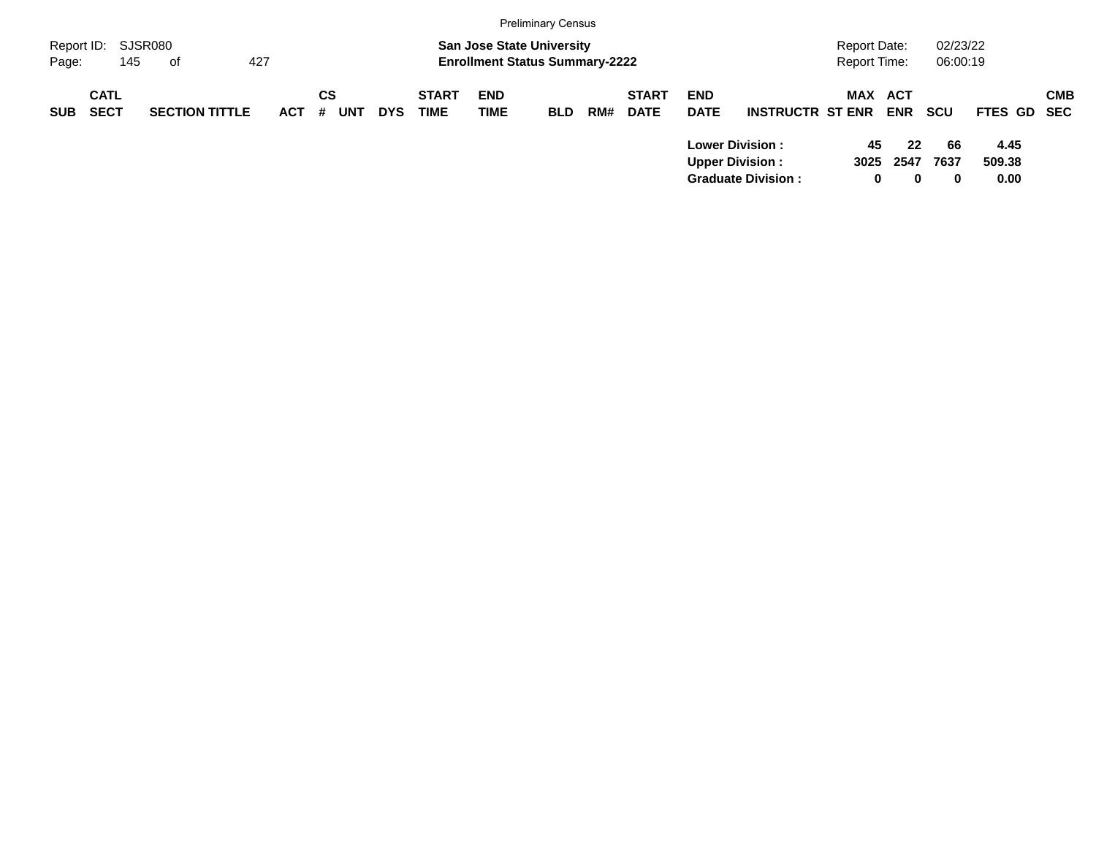|                     |                            |                       |            |         |            |            |                             |                                                                           | <b>Preliminary Census</b> |     |                             |                           |                                                                               |                              |                                 |                      |                        |            |
|---------------------|----------------------------|-----------------------|------------|---------|------------|------------|-----------------------------|---------------------------------------------------------------------------|---------------------------|-----|-----------------------------|---------------------------|-------------------------------------------------------------------------------|------------------------------|---------------------------------|----------------------|------------------------|------------|
| Report ID:<br>Page: | 145                        | SJSR080<br>427<br>of  |            |         |            |            |                             | <b>San Jose State University</b><br><b>Enrollment Status Summary-2222</b> |                           |     |                             |                           |                                                                               | Report Date:<br>Report Time: |                                 | 02/23/22<br>06:00:19 |                        |            |
| <b>SUB</b>          | <b>CATL</b><br><b>SECT</b> | <b>SECTION TITTLE</b> | <b>ACT</b> | CS<br># | <b>UNT</b> | <b>DYS</b> | <b>START</b><br><b>TIME</b> | <b>END</b><br><b>TIME</b>                                                 | <b>BLD</b>                | RM# | <b>START</b><br><b>DATE</b> | <b>END</b><br><b>DATE</b> | <b>INSTRUCTR ST ENR</b>                                                       |                              | MAX ACT<br><b>ENR</b>           | <b>SCU</b>           | FTES GD SEC            | <b>CMB</b> |
|                     |                            |                       |            |         |            |            |                             |                                                                           |                           |     |                             |                           | <b>Lower Division:</b><br><b>Upper Division:</b><br><b>Graduate Division:</b> | 45<br>3025                   | 22<br>2547<br>$\mathbf{0}$<br>0 | 66<br>7637<br>0      | 4.45<br>509.38<br>0.00 |            |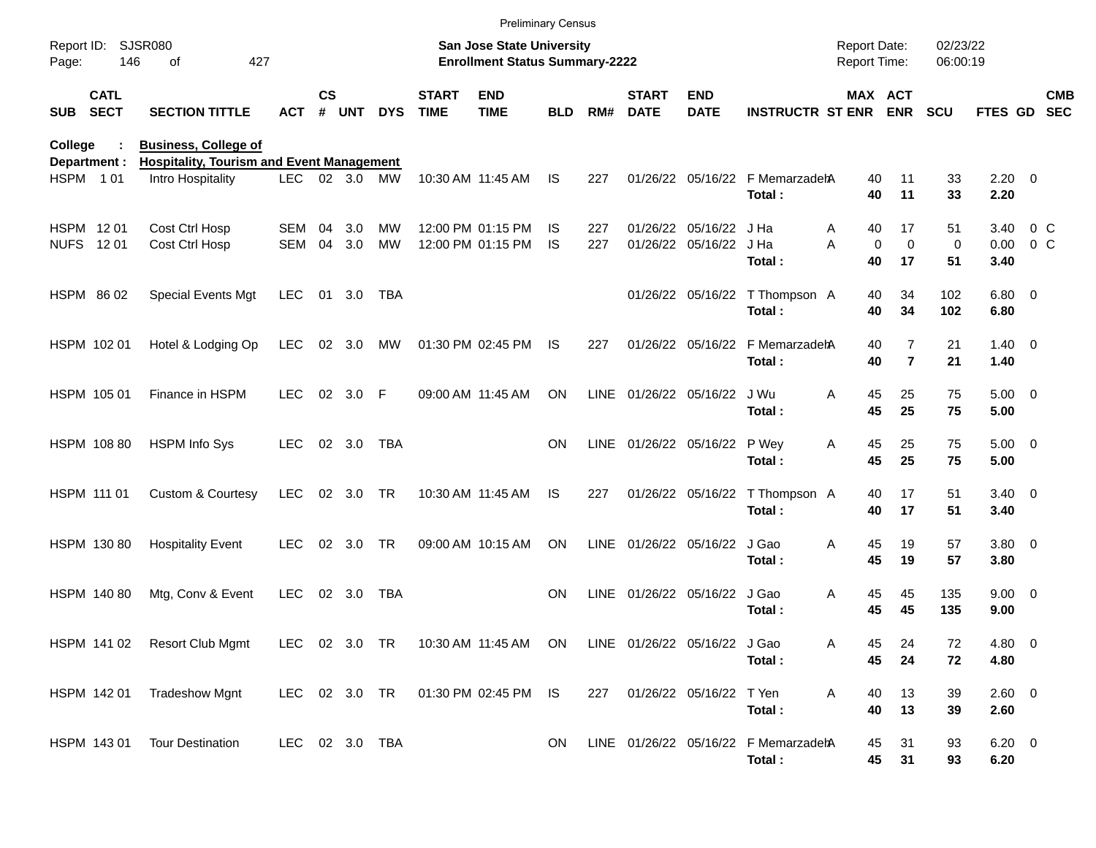|                |                            |                                                                                 |                |                |               |            |                             | <b>Preliminary Census</b>                                                 |            |      |                             |                              |                                                |                                            |                |                      |                        |        |            |
|----------------|----------------------------|---------------------------------------------------------------------------------|----------------|----------------|---------------|------------|-----------------------------|---------------------------------------------------------------------------|------------|------|-----------------------------|------------------------------|------------------------------------------------|--------------------------------------------|----------------|----------------------|------------------------|--------|------------|
| Page:          | Report ID: SJSR080<br>146  | 427<br>οf                                                                       |                |                |               |            |                             | <b>San Jose State University</b><br><b>Enrollment Status Summary-2222</b> |            |      |                             |                              |                                                | <b>Report Date:</b><br><b>Report Time:</b> |                | 02/23/22<br>06:00:19 |                        |        |            |
| <b>SUB</b>     | <b>CATL</b><br><b>SECT</b> | <b>SECTION TITTLE</b>                                                           | <b>ACT</b>     | <b>CS</b><br># | <b>UNT</b>    | <b>DYS</b> | <b>START</b><br><b>TIME</b> | <b>END</b><br><b>TIME</b>                                                 | <b>BLD</b> | RM#  | <b>START</b><br><b>DATE</b> | <b>END</b><br><b>DATE</b>    | <b>INSTRUCTR ST ENR ENR</b>                    | MAX ACT                                    |                | SCU                  | FTES GD SEC            |        | <b>CMB</b> |
| <b>College</b> | Department :               | <b>Business, College of</b><br><b>Hospitality, Tourism and Event Management</b> |                |                |               |            |                             |                                                                           |            |      |                             |                              |                                                |                                            |                |                      |                        |        |            |
|                | HSPM 101                   | Intro Hospitality                                                               |                |                | LEC 02 3.0 MW |            |                             | 10:30 AM 11:45 AM                                                         | <b>IS</b>  | 227  |                             |                              | 01/26/22 05/16/22 F MemarzadehA<br>Total:      | 40<br>40                                   | 11<br>11       | 33<br>33             | $2.20 \t 0$<br>2.20    |        |            |
|                | HSPM 1201                  | Cost Ctrl Hosp                                                                  | SEM            | 04             | 3.0           | <b>MW</b>  |                             | 12:00 PM 01:15 PM                                                         | IS         | 227  |                             | 01/26/22 05/16/22            | J Ha                                           | A<br>40                                    | 17             | 51                   | 3.40                   | $0\,C$ |            |
|                | NUFS 1201                  | Cost Ctrl Hosp                                                                  | <b>SEM</b>     | 04             | 3.0           | <b>MW</b>  |                             | 12:00 PM 01:15 PM                                                         | <b>IS</b>  | 227  |                             | 01/26/22 05/16/22            | J Ha                                           | A<br>$\mathbf 0$                           | $\mathbf 0$    | $\mathbf 0$          | 0.00                   | $0\,C$ |            |
|                |                            |                                                                                 |                |                |               |            |                             |                                                                           |            |      |                             |                              | Total:                                         | 40                                         | 17             | 51                   | 3.40                   |        |            |
|                | HSPM 86 02                 | <b>Special Events Mgt</b>                                                       | <b>LEC</b>     |                | 01 3.0        | TBA        |                             |                                                                           |            |      |                             |                              | 01/26/22 05/16/22 T Thompson A                 | 40                                         | 34             | 102                  | $6.80 \quad 0$         |        |            |
|                |                            |                                                                                 |                |                |               |            |                             |                                                                           |            |      |                             |                              | Total:                                         | 40                                         | 34             | 102                  | 6.80                   |        |            |
|                | HSPM 102 01                | Hotel & Lodging Op                                                              | <b>LEC</b>     |                | 02 3.0        | MW         |                             | 01:30 PM 02:45 PM                                                         | IS         | 227  |                             | 01/26/22 05/16/22            | F MemarzadehA                                  | 40                                         | $\overline{7}$ | 21                   | $1.40 \quad 0$         |        |            |
|                |                            |                                                                                 |                |                |               |            |                             |                                                                           |            |      |                             |                              | Total:                                         | 40                                         | $\overline{7}$ | 21                   | 1.40                   |        |            |
|                |                            |                                                                                 |                |                |               |            |                             |                                                                           |            |      |                             |                              |                                                |                                            |                |                      |                        |        |            |
|                | HSPM 105 01                | Finance in HSPM                                                                 | <b>LEC</b>     |                | 02 3.0        | -F         |                             | 09:00 AM 11:45 AM                                                         | ON         |      | LINE 01/26/22 05/16/22      |                              | J Wu                                           | A<br>45                                    | 25             | 75                   | $5.00 \quad 0$         |        |            |
|                |                            |                                                                                 |                |                |               |            |                             |                                                                           |            |      |                             |                              | Total:                                         | 45                                         | 25             | 75                   | 5.00                   |        |            |
|                | HSPM 108 80                | <b>HSPM Info Sys</b>                                                            | <b>LEC</b>     |                | 02 3.0        | <b>TBA</b> |                             |                                                                           | <b>ON</b>  |      |                             | LINE 01/26/22 05/16/22 P Wey |                                                | 45<br>Α                                    | 25             | 75                   | $5.00 \quad 0$         |        |            |
|                |                            |                                                                                 |                |                |               |            |                             |                                                                           |            |      |                             |                              | Total:                                         | 45                                         | 25             | 75                   | 5.00                   |        |            |
|                |                            |                                                                                 |                |                |               |            |                             |                                                                           |            |      |                             |                              |                                                |                                            |                |                      |                        |        |            |
|                | HSPM 111 01                | <b>Custom &amp; Courtesy</b>                                                    | <b>LEC</b>     |                | 02 3.0        | <b>TR</b>  |                             | 10:30 AM 11:45 AM                                                         | <b>IS</b>  | 227  |                             |                              | 01/26/22 05/16/22 T Thompson A<br>Total:       | 40<br>40                                   | 17<br>17       | 51<br>51             | $3.40 \quad 0$<br>3.40 |        |            |
|                |                            |                                                                                 |                |                |               |            |                             |                                                                           |            |      |                             |                              |                                                |                                            |                |                      |                        |        |            |
|                | HSPM 130 80                | <b>Hospitality Event</b>                                                        | <b>LEC</b>     |                | 02 3.0        | <b>TR</b>  |                             | 09:00 AM 10:15 AM                                                         | ON         |      | LINE 01/26/22 05/16/22      |                              | J Gao                                          | 45<br>A                                    | 19             | 57                   | $3.80\ 0$              |        |            |
|                |                            |                                                                                 |                |                |               |            |                             |                                                                           |            |      |                             |                              | Total:                                         | 45                                         | 19             | 57                   | 3.80                   |        |            |
|                | HSPM 140 80                | Mtg, Conv & Event                                                               | <b>LEC</b>     |                | 02 3.0        | <b>TBA</b> |                             |                                                                           | <b>ON</b>  | LINE |                             | 01/26/22 05/16/22            | J Gao                                          | A<br>45                                    | 45             | 135                  | $9.00 \t 0$            |        |            |
|                |                            |                                                                                 |                |                |               |            |                             |                                                                           |            |      |                             |                              | Total:                                         | 45                                         | 45             | 135                  | 9.00                   |        |            |
|                |                            |                                                                                 |                |                |               |            |                             |                                                                           |            |      |                             |                              |                                                |                                            |                |                      |                        |        |            |
|                |                            | HSPM 141 02 Resort Club Mgmt                                                    | LEC 02 3.0 TR  |                |               |            |                             | 10:30 AM 11:45 AM ON                                                      |            |      |                             | LINE 01/26/22 05/16/22 J Gao |                                                | 45                                         | 24             | 72                   | 4.80 0                 |        |            |
|                |                            |                                                                                 |                |                |               |            |                             |                                                                           |            |      |                             |                              | Total:                                         | 45                                         | 24             | 72                   | 4.80                   |        |            |
|                | HSPM 142 01                | <b>Tradeshow Mgnt</b>                                                           | LEC 02 3.0 TR  |                |               |            |                             | 01:30 PM 02:45 PM IS                                                      |            | 227  |                             | 01/26/22 05/16/22 T Yen      |                                                | A<br>40                                    | 13             | 39                   | $2.60 \t 0$            |        |            |
|                |                            |                                                                                 |                |                |               |            |                             |                                                                           |            |      |                             |                              | Total:                                         | 40                                         | 13             | 39                   | 2.60                   |        |            |
|                |                            |                                                                                 |                |                |               |            |                             |                                                                           |            |      |                             |                              |                                                |                                            |                |                      |                        |        |            |
|                | HSPM 143 01                | <b>Tour Destination</b>                                                         | LEC 02 3.0 TBA |                |               |            |                             |                                                                           | ON         |      |                             |                              | LINE 01/26/22 05/16/22 F MemarzadehA<br>Total: | 45<br>45                                   | 31<br>31       | 93<br>93             | $6.20 \ 0$<br>6.20     |        |            |
|                |                            |                                                                                 |                |                |               |            |                             |                                                                           |            |      |                             |                              |                                                |                                            |                |                      |                        |        |            |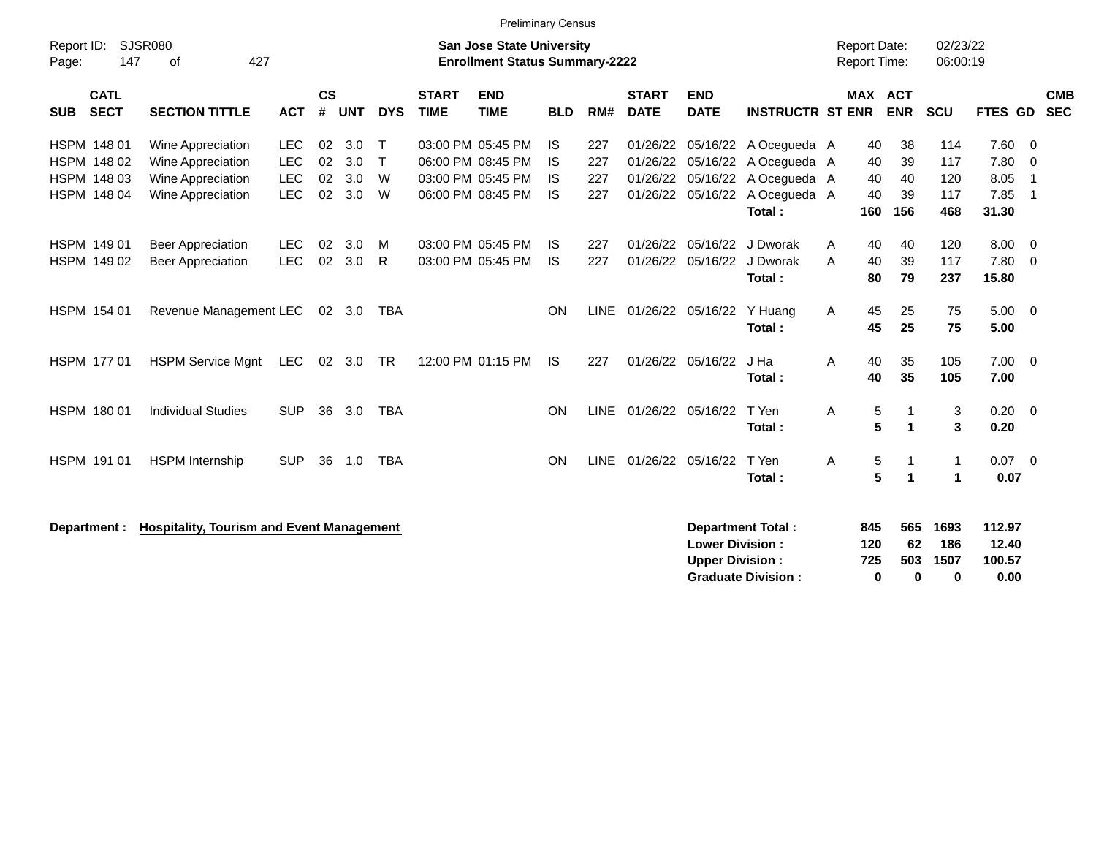|                                                                | <b>Preliminary Census</b><br>02/23/22<br><b>Report Date:</b>                                                    |                                               |                      |                          |                                  |                             |                                                                                  |                                      |                          |                                              |                                                  |                                                                        |        |                             |                              |                                 |                                       |                                                 |
|----------------------------------------------------------------|-----------------------------------------------------------------------------------------------------------------|-----------------------------------------------|----------------------|--------------------------|----------------------------------|-----------------------------|----------------------------------------------------------------------------------|--------------------------------------|--------------------------|----------------------------------------------|--------------------------------------------------|------------------------------------------------------------------------|--------|-----------------------------|------------------------------|---------------------------------|---------------------------------------|-------------------------------------------------|
| Report ID:<br>Page:                                            | <b>SJSR080</b><br><b>San Jose State University</b><br>147<br>427<br><b>Enrollment Status Summary-2222</b><br>оf |                                               |                      |                          |                                  |                             |                                                                                  |                                      |                          |                                              |                                                  |                                                                        |        | <b>Report Time:</b>         |                              | 06:00:19                        |                                       |                                                 |
| <b>CATL</b><br><b>SECT</b><br><b>SUB</b>                       | <b>SECTION TITTLE</b>                                                                                           | <b>ACT</b>                                    | $\mathsf{cs}$<br>#   | <b>UNT</b>               | <b>DYS</b>                       | <b>START</b><br><b>TIME</b> | <b>END</b><br><b>TIME</b>                                                        | <b>BLD</b>                           | RM#                      | <b>START</b><br><b>DATE</b>                  | <b>END</b><br><b>DATE</b>                        | <b>INSTRUCTR ST ENR</b>                                                |        | MAX ACT                     | <b>ENR</b>                   | <b>SCU</b>                      | FTES GD                               | <b>CMB</b><br><b>SEC</b>                        |
| HSPM 148 01<br>HSPM 148 02<br>HSPM 148 03<br><b>HSPM 14804</b> | Wine Appreciation<br>Wine Appreciation<br>Wine Appreciation<br>Wine Appreciation                                | <b>LEC</b><br><b>LEC</b><br>LEC<br><b>LEC</b> | 02<br>02<br>02<br>02 | 3.0<br>3.0<br>3.0<br>3.0 | $\top$<br>$\mathsf{T}$<br>W<br>W |                             | 03:00 PM 05:45 PM<br>06:00 PM 08:45 PM<br>03:00 PM 05:45 PM<br>06:00 PM 08:45 PM | IS.<br><b>IS</b><br>IS.<br><b>IS</b> | 227<br>227<br>227<br>227 | 01/26/22<br>01/26/22<br>01/26/22<br>01/26/22 | 05/16/22<br>05/16/22<br>05/16/22<br>05/16/22     | A Ocegueda A<br>A Ocegueda A<br>A Ocegueda A<br>A Ocegueda A<br>Total: |        | 40<br>40<br>40<br>40<br>160 | 38<br>39<br>40<br>39<br>156  | 114<br>117<br>120<br>117<br>468 | 7.60<br>7.80<br>8.05<br>7.85<br>31.30 | $\mathbf 0$<br>$\Omega$<br>-1<br>$\overline{1}$ |
| HSPM 149 01<br>HSPM 149 02                                     | <b>Beer Appreciation</b><br><b>Beer Appreciation</b>                                                            | <b>LEC</b><br>LEC                             | 02<br>02             | 3.0<br>3.0               | м<br>R                           |                             | 03:00 PM 05:45 PM<br>03:00 PM 05:45 PM                                           | IS.<br>IS                            | 227<br>227               | 01/26/22<br>01/26/22                         | 05/16/22<br>05/16/22                             | J Dworak<br>J Dworak<br>Total:                                         | A<br>A | 40<br>40<br>80              | 40<br>39<br>79               | 120<br>117<br>237               | 8.00<br>7.80<br>15.80                 | 0<br>$\mathbf 0$                                |
| HSPM 154 01                                                    | Revenue Management LEC                                                                                          |                                               |                      | $02 \quad 3.0$           | TBA                              |                             |                                                                                  | <b>ON</b>                            | <b>LINE</b>              | 01/26/22 05/16/22                            |                                                  | Y Huang<br>Total:                                                      | A      | 45<br>45                    | 25<br>25                     | 75<br>75                        | 5.00<br>5.00                          | $\Omega$                                        |
| HSPM 177 01                                                    | <b>HSPM Service Mgnt</b>                                                                                        | <b>LEC</b>                                    | 02 <sub>o</sub>      | 3.0                      | <b>TR</b>                        |                             | 12:00 PM 01:15 PM                                                                | IS.                                  | 227                      |                                              | 01/26/22 05/16/22                                | J Ha<br>Total:                                                         | A      | 40<br>40                    | 35<br>35                     | 105<br>105                      | 7.00<br>7.00                          | $\overline{0}$                                  |
| HSPM 180 01                                                    | <b>Individual Studies</b>                                                                                       | <b>SUP</b>                                    | 36                   | 3.0                      | <b>TBA</b>                       |                             |                                                                                  | <b>ON</b>                            | <b>LINE</b>              | 01/26/22                                     | 05/16/22                                         | T Yen<br>Total:                                                        | A      | 5<br>5                      | $\mathbf 1$<br>1             | 3<br>3                          | 0.20<br>0.20                          | - 0                                             |
| HSPM 191 01                                                    | <b>HSPM</b> Internship                                                                                          | <b>SUP</b>                                    | 36                   | 1.0                      | <b>TBA</b>                       |                             |                                                                                  | <b>ON</b>                            | <b>LINE</b>              | 01/26/22 05/16/22                            |                                                  | T Yen<br>Total:                                                        | A      | 5<br>5                      | -1<br>1                      | $\mathbf{1}$<br>1               | 0.07<br>0.07                          | $\overline{0}$                                  |
| Department :                                                   | <b>Hospitality, Tourism and Event Management</b>                                                                |                                               |                      |                          |                                  |                             |                                                                                  |                                      |                          |                                              | <b>Lower Division:</b><br><b>Upper Division:</b> | <b>Department Total:</b><br><b>Graduate Division:</b>                  |        | 845<br>120<br>725<br>0      | 565<br>62<br>503<br>$\bf{0}$ | 1693<br>186<br>1507<br>0        | 112.97<br>12.40<br>100.57<br>0.00     |                                                 |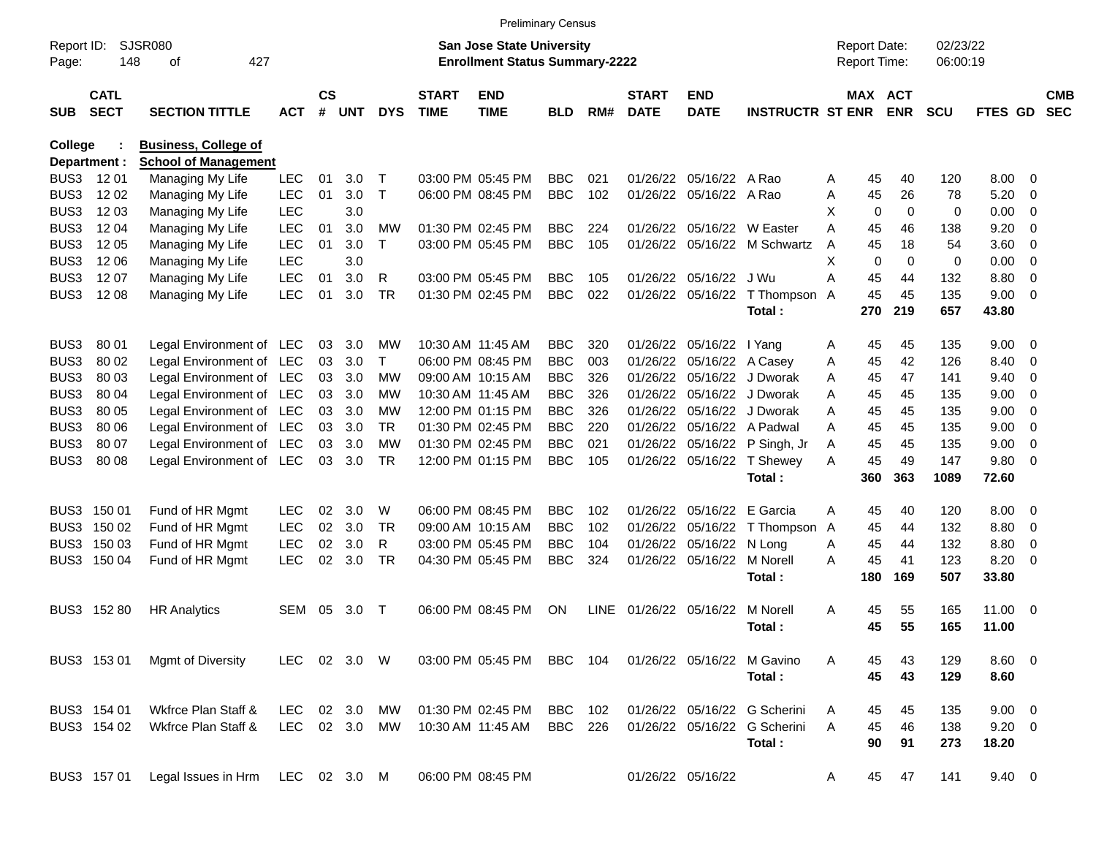|                     |                            |                                  |            |                    |          |            |                             | <b>Preliminary Census</b>                                                 |            |             |                             |                           |                              |     |                                     |                      |                |                         |                          |
|---------------------|----------------------------|----------------------------------|------------|--------------------|----------|------------|-----------------------------|---------------------------------------------------------------------------|------------|-------------|-----------------------------|---------------------------|------------------------------|-----|-------------------------------------|----------------------|----------------|-------------------------|--------------------------|
| Report ID:<br>Page: | 148                        | <b>SJSR080</b><br>427<br>οf      |            |                    |          |            |                             | <b>San Jose State University</b><br><b>Enrollment Status Summary-2222</b> |            |             |                             |                           |                              |     | <b>Report Date:</b><br>Report Time: | 02/23/22<br>06:00:19 |                |                         |                          |
| <b>SUB</b>          | <b>CATL</b><br><b>SECT</b> | <b>SECTION TITTLE</b>            | ACT        | $\mathsf{cs}$<br># | UNT      | <b>DYS</b> | <b>START</b><br><b>TIME</b> | <b>END</b><br><b>TIME</b>                                                 | <b>BLD</b> | RM#         | <b>START</b><br><b>DATE</b> | <b>END</b><br><b>DATE</b> | <b>INSTRUCTR ST ENR</b>      |     | <b>MAX ACT</b><br><b>ENR</b>        | <b>SCU</b>           | FTES GD        |                         | <b>CMB</b><br><b>SEC</b> |
| <b>College</b>      |                            | <b>Business, College of</b>      |            |                    |          |            |                             |                                                                           |            |             |                             |                           |                              |     |                                     |                      |                |                         |                          |
|                     | Department :               | <b>School of Management</b>      |            |                    |          |            |                             |                                                                           |            |             |                             |                           |                              |     |                                     |                      |                |                         |                          |
| BUS3                | 12 01                      | Managing My Life                 | <b>LEC</b> | 01                 | 3.0      | Т          |                             | 03:00 PM 05:45 PM                                                         | <b>BBC</b> | 021         |                             | 01/26/22 05/16/22         | A Rao                        | A   | 45<br>40                            | 120                  | 8.00           | - 0                     |                          |
| BUS3                | 12 02                      | Managing My Life                 | <b>LEC</b> | 01                 | 3.0      | Т          |                             | 06:00 PM 08:45 PM                                                         | <b>BBC</b> | 102         | 01/26/22                    | 05/16/22                  | A Rao                        | A   | 45<br>26                            | 78                   | 5.20           | 0                       |                          |
| BUS3                | 12 03                      | Managing My Life                 | <b>LEC</b> |                    | 3.0      |            |                             |                                                                           |            |             |                             |                           |                              | X   | $\mathbf 0$<br>$\overline{0}$       | 0                    | 0.00           | 0                       |                          |
| BUS3                | 12 04                      | Managing My Life                 | LEC        | 01                 | 3.0      | МW         |                             | 01:30 PM 02:45 PM                                                         | <b>BBC</b> | 224         |                             | 01/26/22 05/16/22         | W Easter                     | Α   | 45<br>46                            | 138                  | 9.20           | 0                       |                          |
| BUS3                | 12 05                      | Managing My Life                 | <b>LEC</b> | 01                 | 3.0      | T          |                             | 03:00 PM 05:45 PM                                                         | <b>BBC</b> | 105         | 01/26/22                    | 05/16/22                  | M Schwartz                   | A   | 45<br>18                            | 54                   | 3.60           | 0                       |                          |
| BUS3                | 12 06                      | Managing My Life                 | <b>LEC</b> |                    | 3.0      |            |                             |                                                                           |            |             |                             |                           |                              | X   | $\overline{0}$<br>$\mathbf 0$       | 0                    | 0.00           | 0                       |                          |
| BUS3                | 12 07                      | Managing My Life                 | <b>LEC</b> | 01                 | 3.0      | R          |                             | 03:00 PM 05:45 PM                                                         | <b>BBC</b> | 105         |                             | 01/26/22 05/16/22         | J Wu                         | A   | 45<br>44                            | 132                  | 8.80           | 0                       |                          |
| BUS3                | 12 08                      | Managing My Life                 | <b>LEC</b> | 01                 | 3.0      | <b>TR</b>  |                             | 01:30 PM 02:45 PM                                                         | <b>BBC</b> | 022         |                             | 01/26/22 05/16/22         | T Thompson A                 |     | 45<br>45                            | 135                  | 9.00           | $\overline{0}$          |                          |
|                     |                            |                                  |            |                    |          |            |                             |                                                                           |            |             |                             |                           | Total:                       | 270 | 219                                 | 657                  | 43.80          |                         |                          |
|                     |                            |                                  |            |                    |          |            |                             |                                                                           |            |             |                             |                           |                              |     |                                     |                      |                |                         |                          |
| BUS3                | 80 01                      | Legal Environment of LEC         |            | 03                 | 3.0      | МW         |                             | 10:30 AM 11:45 AM                                                         | <b>BBC</b> | 320         | 01/26/22                    | 05/16/22                  | I Yang                       | Α   | 45<br>45                            | 135                  | 9.00           | 0                       |                          |
| BUS3                | 80 02                      | Legal Environment of LEC         |            | 03                 | 3.0      | Τ          |                             | 06:00 PM 08:45 PM                                                         | <b>BBC</b> | 003         | 01/26/22                    | 05/16/22                  | A Casey                      | A   | 45<br>42                            | 126                  | 8.40           | 0                       |                          |
| BUS3                | 80 03                      | Legal Environment of LEC         |            | 03                 | 3.0      | <b>MW</b>  |                             | 09:00 AM 10:15 AM                                                         | <b>BBC</b> | 326         | 01/26/22                    | 05/16/22                  | J Dworak                     | A   | 47<br>45                            | 141                  | 9.40           | 0                       |                          |
| BUS3                | 80 04                      | Legal Environment of LEC         |            | 03                 | 3.0      | МW         |                             | 10:30 AM 11:45 AM                                                         | <b>BBC</b> | 326         | 01/26/22                    | 05/16/22                  | J Dworak                     | A   | 45<br>45                            | 135                  | 9.00           | 0                       |                          |
| BUS3                | 80 05                      | Legal Environment of LEC         |            | 03                 | 3.0      | МW         |                             | 12:00 PM 01:15 PM                                                         | <b>BBC</b> | 326         | 01/26/22                    | 05/16/22                  | J Dworak                     | A   | 45<br>45                            | 135                  | 9.00           | 0                       |                          |
| BUS3                | 80 06                      | Legal Environment of LEC         |            | 03                 | 3.0      | <b>TR</b>  |                             | 01:30 PM 02:45 PM                                                         | <b>BBC</b> | 220         | 01/26/22                    |                           | 05/16/22 A Padwal            | A   | 45<br>45                            | 135                  | 9.00           | 0                       |                          |
| BUS3                | 80 07                      | Legal Environment of LEC         |            | 03                 | 3.0      | <b>MW</b>  |                             | 01:30 PM 02:45 PM                                                         | <b>BBC</b> | 021         | 01/26/22                    |                           | 05/16/22 P Singh, Jr         | A   | 45<br>45                            | 135                  | 9.00           | 0                       |                          |
| BUS3                | 80 08                      | Legal Environment of LEC         |            | 03                 | 3.0      | <b>TR</b>  |                             | 12:00 PM 01:15 PM                                                         | <b>BBC</b> | 105         |                             | 01/26/22 05/16/22         | T Shewey                     | A   | 45<br>49                            | 147                  | 9.80           | $\overline{0}$          |                          |
|                     |                            |                                  |            |                    |          |            |                             |                                                                           |            |             |                             |                           | Total:                       | 360 | 363                                 | 1089                 | 72.60          |                         |                          |
| BUS3                | 150 01                     | Fund of HR Mgmt                  | <b>LEC</b> | 02                 | 3.0      | W          |                             | 06:00 PM 08:45 PM                                                         | <b>BBC</b> | 102         | 01/26/22                    | 05/16/22                  | E Garcia                     | A   | 45<br>40                            | 120                  | 8.00           | 0                       |                          |
| BUS3                | 150 02                     | Fund of HR Mgmt                  | <b>LEC</b> | 02                 | 3.0      | <b>TR</b>  |                             | 09:00 AM 10:15 AM                                                         | <b>BBC</b> | 102         | 01/26/22                    | 05/16/22                  | T Thompson A                 |     | 45<br>44                            | 132                  | 8.80           | 0                       |                          |
| BUS3                | 150 03                     | Fund of HR Mgmt                  | <b>LEC</b> | 02                 | 3.0      | R          |                             | 03:00 PM 05:45 PM                                                         | <b>BBC</b> | 104         | 01/26/22                    | 05/16/22                  | N Long                       | A   | 45<br>44                            | 132                  | 8.80           | 0                       |                          |
| BUS3                | 150 04                     | Fund of HR Mgmt                  | <b>LEC</b> | 02                 | 3.0      | <b>TR</b>  |                             | 04:30 PM 05:45 PM                                                         | <b>BBC</b> | 324         |                             | 01/26/22 05/16/22         | M Norell                     | A   | 45<br>41                            | 123                  | 8.20           | 0                       |                          |
|                     |                            |                                  |            |                    |          |            |                             |                                                                           |            |             |                             |                           | Total:                       | 180 | 169                                 | 507                  | 33.80          |                         |                          |
|                     |                            |                                  | <b>SEM</b> |                    | 3.0      |            |                             | 06:00 PM 08:45 PM                                                         |            |             |                             | 01/26/22 05/16/22         |                              |     |                                     |                      |                |                         |                          |
| BUS3                | 152 80                     | <b>HR Analytics</b>              |            | 05                 |          | Т          |                             |                                                                           | <b>ON</b>  | <b>LINE</b> |                             |                           | M Norell                     | A   | 55<br>45<br>55<br>45                | 165<br>165           | 11.00          | $\overline{\mathbf{0}}$ |                          |
|                     |                            |                                  |            |                    |          |            |                             |                                                                           |            |             |                             |                           | Total:                       |     |                                     |                      | 11.00          |                         |                          |
|                     | BUS3 153 01                | Mgmt of Diversity                | <b>LEC</b> |                    | 02 3.0 W |            |                             | 03:00 PM 05:45 PM                                                         | BBC        | 104         |                             |                           | 01/26/22 05/16/22 M Gavino   | A   | 43<br>45                            | 129                  | 8.60 0         |                         |                          |
|                     |                            |                                  |            |                    |          |            |                             |                                                                           |            |             |                             |                           | Total:                       |     | 45<br>43                            | 129                  | 8.60           |                         |                          |
|                     | BUS3 154 01                | Wkfrce Plan Staff &              | <b>LEC</b> |                    | 02 3.0   | MW         |                             | 01:30 PM 02:45 PM                                                         | <b>BBC</b> | 102         |                             |                           | 01/26/22 05/16/22 G Scherini | A   | 45<br>45                            | 135                  | $9.00 \t 0$    |                         |                          |
|                     | BUS3 154 02                | Wkfrce Plan Staff &              | <b>LEC</b> |                    | 02 3.0   | MW         |                             | 10:30 AM 11:45 AM                                                         | <b>BBC</b> | 226         |                             |                           | 01/26/22 05/16/22 G Scherini | A   | 45<br>46                            | 138                  | $9.20 \ 0$     |                         |                          |
|                     |                            |                                  |            |                    |          |            |                             |                                                                           |            |             |                             |                           | Total:                       |     | 90<br>91                            | 273                  | 18.20          |                         |                          |
|                     |                            |                                  |            |                    |          |            |                             |                                                                           |            |             |                             |                           |                              |     |                                     |                      |                |                         |                          |
|                     | BUS3 157 01                | Legal Issues in Hrm LEC 02 3.0 M |            |                    |          |            |                             | 06:00 PM 08:45 PM                                                         |            |             |                             | 01/26/22 05/16/22         |                              | A   | 45<br>47                            | 141                  | $9.40 \quad 0$ |                         |                          |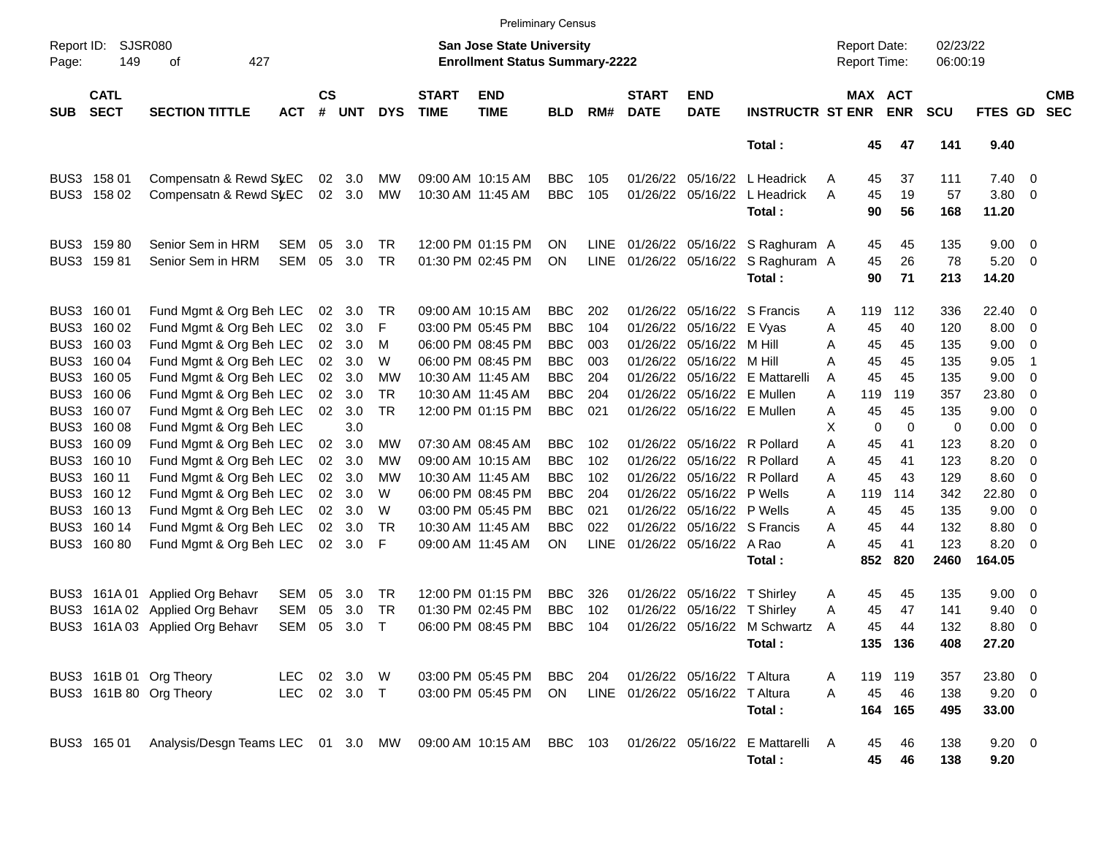|                      |                            |                                                                               |                              |                    |                   |                              |                             | <b>Preliminary Census</b>                                                 |                                        |                            |                                  |                                            |                                                                   |                                     |                               |                      |                                      |                                                  |                          |
|----------------------|----------------------------|-------------------------------------------------------------------------------|------------------------------|--------------------|-------------------|------------------------------|-----------------------------|---------------------------------------------------------------------------|----------------------------------------|----------------------------|----------------------------------|--------------------------------------------|-------------------------------------------------------------------|-------------------------------------|-------------------------------|----------------------|--------------------------------------|--------------------------------------------------|--------------------------|
| Report ID:<br>Page:  | <b>SJSR080</b><br>149      | 427<br>οf                                                                     |                              |                    |                   |                              |                             | <b>San Jose State University</b><br><b>Enrollment Status Summary-2222</b> |                                        |                            |                                  |                                            |                                                                   | <b>Report Date:</b><br>Report Time: |                               | 02/23/22<br>06:00:19 |                                      |                                                  |                          |
| <b>SUB</b>           | <b>CATL</b><br><b>SECT</b> | <b>SECTION TITTLE</b>                                                         | <b>ACT</b>                   | $\mathsf{cs}$<br># | <b>UNT</b>        | <b>DYS</b>                   | <b>START</b><br><b>TIME</b> | <b>END</b><br><b>TIME</b>                                                 | <b>BLD</b>                             | RM#                        | <b>START</b><br><b>DATE</b>      | <b>END</b><br><b>DATE</b>                  | <b>INSTRUCTR ST ENR</b>                                           |                                     | MAX ACT<br><b>ENR</b>         | <b>SCU</b>           | FTES GD                              |                                                  | <b>CMB</b><br><b>SEC</b> |
|                      |                            |                                                                               |                              |                    |                   |                              |                             |                                                                           |                                        |                            |                                  |                                            | Total:                                                            | 45                                  | 47                            | 141                  | 9.40                                 |                                                  |                          |
| BUS3                 | BUS3 158 01<br>158 02      | Compensatn & Rewd SyEC<br>Compensatn & Rewd SyEC                              |                              | 02<br>02           | 3.0<br>3.0        | MW<br>MW                     |                             | 09:00 AM 10:15 AM<br>10:30 AM 11:45 AM                                    | <b>BBC</b><br><b>BBC</b>               | 105<br>105                 | 01/26/22                         | 01/26/22 05/16/22<br>05/16/22              | L Headrick<br>L Headrick<br>Total:                                | A<br>45<br>45<br>A<br>90            | 37<br>19<br>56                | 111<br>57<br>168     | $7.40 \quad 0$<br>$3.80\ 0$<br>11.20 |                                                  |                          |
| BUS3                 | BUS3 159 80<br>15981       | Senior Sem in HRM<br>Senior Sem in HRM                                        | SEM<br><b>SEM</b>            | 05<br>05           | 3.0<br>3.0        | TR<br><b>TR</b>              |                             | 12:00 PM 01:15 PM<br>01:30 PM 02:45 PM                                    | ON<br>ON                               | <b>LINE</b><br><b>LINE</b> | 01/26/22                         |                                            | 01/26/22 05/16/22 S Raghuram A<br>05/16/22 S Raghuram A<br>Total: | 45<br>45<br>90                      | 45<br>26<br>71                | 135<br>78<br>213     | $9.00 \t 0$<br>5.20<br>14.20         | $\overline{\phantom{0}}$                         |                          |
| BUS3                 | BUS3 160 01<br>160 02      | Fund Mgmt & Org Beh LEC<br>Fund Mgmt & Org Beh LEC                            |                              | 02<br>02           | 3.0<br>3.0        | TR<br>F                      |                             | 09:00 AM 10:15 AM<br>03:00 PM 05:45 PM                                    | <b>BBC</b><br><b>BBC</b>               | 202<br>104                 | 01/26/22<br>01/26/22             | 05/16/22                                   | 05/16/22 S Francis<br>E Vyas                                      | 119<br>A<br>45<br>Α                 | 112<br>40                     | 336<br>120           | 22.40 0<br>8.00                      | $\overline{\mathbf{0}}$                          |                          |
| BUS3<br>BUS3<br>BUS3 | 160 03<br>160 04<br>160 05 | Fund Mgmt & Org Beh LEC<br>Fund Mgmt & Org Beh LEC<br>Fund Mgmt & Org Beh LEC |                              | 02<br>02<br>02     | 3.0<br>3.0<br>3.0 | M<br>W<br><b>MW</b>          |                             | 06:00 PM 08:45 PM<br>06:00 PM 08:45 PM<br>10:30 AM 11:45 AM               | <b>BBC</b><br><b>BBC</b><br><b>BBC</b> | 003<br>003<br>204          | 01/26/22<br>01/26/22<br>01/26/22 | 05/16/22<br>05/16/22<br>05/16/22           | M Hill<br>M Hill<br>E Mattarelli                                  | 45<br>Α<br>45<br>Α<br>45<br>A       | 45<br>45<br>45                | 135<br>135<br>135    | 9.00<br>9.05<br>9.00                 | $\overline{\mathbf{0}}$<br>$\overline{1}$<br>- 0 |                          |
| BUS3<br>BUS3<br>BUS3 | 160 06<br>160 07<br>160 08 | Fund Mgmt & Org Beh LEC<br>Fund Mgmt & Org Beh LEC<br>Fund Mgmt & Org Beh LEC |                              | 02<br>02           | 3.0<br>3.0<br>3.0 | <b>TR</b><br><b>TR</b>       |                             | 10:30 AM 11:45 AM<br>12:00 PM 01:15 PM                                    | <b>BBC</b><br><b>BBC</b>               | 204<br>021                 | 01/26/22<br>01/26/22             | 05/16/22 E Mullen<br>05/16/22 E Mullen     |                                                                   | Α<br>119<br>45<br>Α<br>X            | 119<br>45<br>$\mathbf 0$<br>0 | 357<br>135<br>0      | 23.80<br>9.00<br>0.00                | - 0<br>$\overline{0}$<br>$\overline{\mathbf{0}}$ |                          |
| BUS3<br>BUS3<br>BUS3 | 160 09<br>160 10<br>160 11 | Fund Mgmt & Org Beh LEC<br>Fund Mgmt & Org Beh LEC<br>Fund Mgmt & Org Beh LEC |                              | 02<br>02<br>02     | 3.0<br>3.0<br>3.0 | MW<br><b>MW</b><br><b>MW</b> |                             | 07:30 AM 08:45 AM<br>09:00 AM 10:15 AM<br>10:30 AM 11:45 AM               | <b>BBC</b><br><b>BBC</b><br><b>BBC</b> | 102<br>102<br>102          | 01/26/22<br>01/26/22<br>01/26/22 | 05/16/22 R Pollard<br>05/16/22<br>05/16/22 | R Pollard<br>R Pollard                                            | 45<br>Α<br>Α<br>45<br>45<br>Α       | 41<br>41<br>43                | 123<br>123<br>129    | 8.20<br>8.20<br>8.60                 | - 0<br>$\overline{0}$<br>- 0                     |                          |
| BUS3<br>BUS3<br>BUS3 | 160 12<br>160 13<br>160 14 | Fund Mgmt & Org Beh LEC<br>Fund Mgmt & Org Beh LEC<br>Fund Mgmt & Org Beh LEC |                              | 02<br>02<br>02     | 3.0<br>3.0<br>3.0 | W<br>W<br><b>TR</b>          |                             | 06:00 PM 08:45 PM<br>03:00 PM 05:45 PM<br>10:30 AM 11:45 AM               | <b>BBC</b><br><b>BBC</b><br><b>BBC</b> | 204<br>021<br>022          | 01/26/22<br>01/26/22<br>01/26/22 | 05/16/22<br>05/16/22                       | P Wells<br>P Wells<br>05/16/22 S Francis                          | Α<br>119<br>45<br>Α<br>45<br>Α      | 114<br>45<br>44               | 342<br>135<br>132    | 22.80<br>9.00<br>8.80                | - 0<br>$\overline{0}$<br>$\overline{\mathbf{0}}$ |                          |
| BUS3                 | 16080                      | Fund Mgmt & Org Beh LEC                                                       |                              | 02                 | 3.0               | F                            |                             | 09:00 AM 11:45 AM                                                         | ON                                     | <b>LINE</b>                |                                  | 01/26/22 05/16/22 A Rao                    | Total:                                                            | 45<br>Α<br>852                      | 41<br>820                     | 123<br>2460          | 8.20<br>164.05                       | $\overline{\phantom{0}}$                         |                          |
| BUS3<br>BUS3         |                            | 161A 01 Applied Org Behavr<br>161A 02 Applied Org Behavr                      | SEM<br><b>SEM</b>            | 05<br>05           | 3.0<br>3.0        | TR<br><b>TR</b>              |                             | 12:00 PM 01:15 PM<br>01:30 PM 02:45 PM                                    | <b>BBC</b><br><b>BBC</b>               | 326<br>102                 | 01/26/22<br>01/26/22             | 05/16/22<br>05/16/22                       | T Shirley<br><b>T</b> Shirley                                     | 45<br>Α<br>45<br>Α                  | 45<br>47                      | 135<br>141           | 9.00<br>9.40                         | $\overline{\phantom{0}}$<br>$\mathbf 0$          |                          |
| BUS3                 |                            | 161A 03 Applied Org Behavr                                                    | <b>SEM</b>                   | 05                 | 3.0               | $\mathsf{T}$                 |                             | 06:00 PM 08:45 PM                                                         | <b>BBC</b>                             | 104                        | 01/26/22                         | 05/16/22                                   | M Schwartz<br>Total:                                              | 45<br>A                             | 44<br>135 136                 | 132<br>408           | 8.80<br>27.20                        | - 0                                              |                          |
|                      |                            | BUS3 161B 01 Org Theory<br>BUS3 161B 80 Org Theory                            | LEC 02 3.0 W<br>LEC 02 3.0 T |                    |                   |                              |                             | 03:00 PM 05:45 PM<br>03:00 PM 05:45 PM ON                                 | BBC 204                                |                            | LINE 01/26/22 05/16/22 T Altura  | 01/26/22 05/16/22 T Altura                 | Total:                                                            | A<br>45<br>A                        | 119 119<br>46<br>164 165      | 357<br>138<br>495    | 23.80 0<br>$9.20 \ 0$<br>33.00       |                                                  |                          |
|                      |                            | BUS3 165 01 Analysis/Desgn Teams LEC 01 3.0 MW 09:00 AM 10:15 AM BBC 103      |                              |                    |                   |                              |                             |                                                                           |                                        |                            |                                  |                                            | 01/26/22 05/16/22 E Mattarelli A<br>Total:                        | 45                                  | 46<br>45<br>46                | 138<br>138           | $9.20 \ 0$<br>9.20                   |                                                  |                          |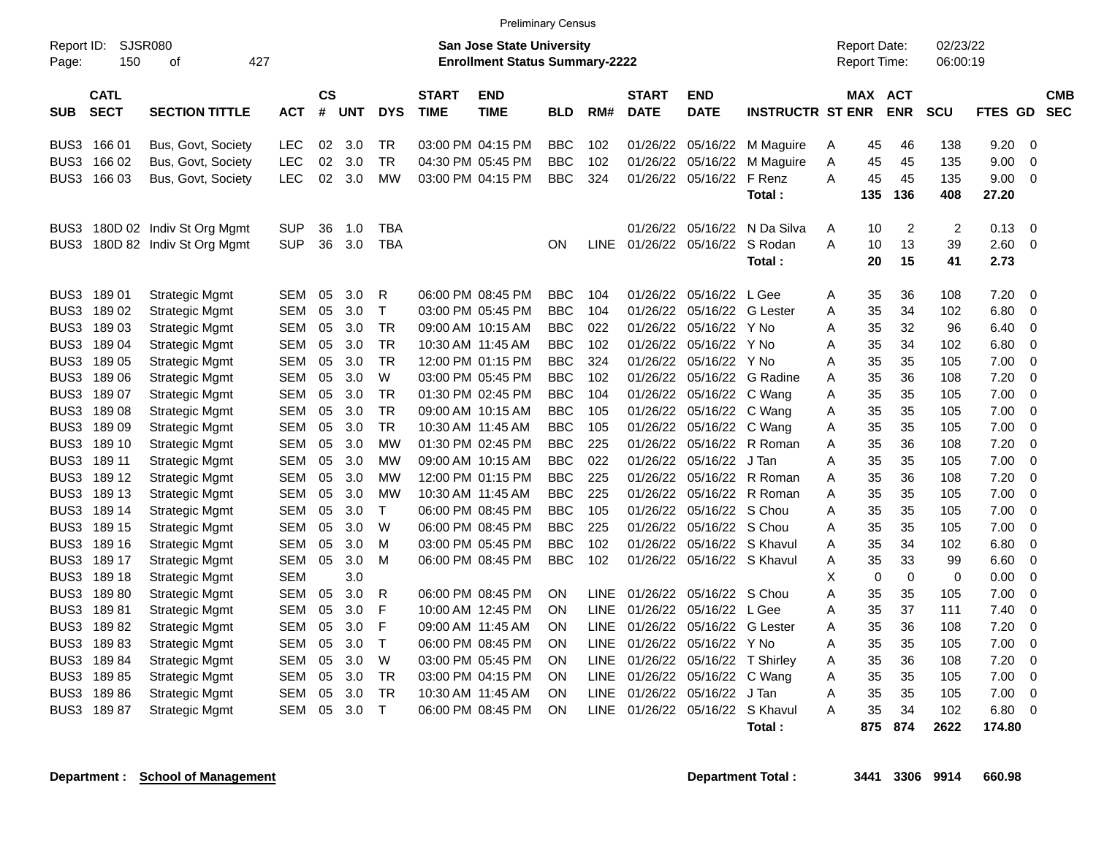|                                                                                                                                 |                            |                                                                  |                          |                             |            |                          |                             | <b>Preliminary Census</b>              |                          |             |                             |                                |                                          |                                            |                      |                      |                |                                  |                          |
|---------------------------------------------------------------------------------------------------------------------------------|----------------------------|------------------------------------------------------------------|--------------------------|-----------------------------|------------|--------------------------|-----------------------------|----------------------------------------|--------------------------|-------------|-----------------------------|--------------------------------|------------------------------------------|--------------------------------------------|----------------------|----------------------|----------------|----------------------------------|--------------------------|
| SJSR080<br><b>San Jose State University</b><br>Report ID:<br>427<br>150<br><b>Enrollment Status Summary-2222</b><br>Page:<br>οf |                            |                                                                  |                          |                             |            |                          |                             |                                        |                          |             |                             |                                |                                          | <b>Report Date:</b><br><b>Report Time:</b> |                      | 02/23/22<br>06:00:19 |                |                                  |                          |
| <b>SUB</b>                                                                                                                      | <b>CATL</b><br><b>SECT</b> | <b>SECTION TITTLE</b>                                            | <b>ACT</b>               | $\mathsf{cs}$<br>$\pmb{\#}$ | <b>UNT</b> | <b>DYS</b>               | <b>START</b><br><b>TIME</b> | <b>END</b><br><b>TIME</b>              | <b>BLD</b>               | RM#         | <b>START</b><br><b>DATE</b> | <b>END</b><br><b>DATE</b>      | <b>INSTRUCTR ST ENR</b>                  | MAX ACT                                    | <b>ENR</b>           | <b>SCU</b>           | <b>FTES GD</b> |                                  | <b>CMB</b><br><b>SEC</b> |
| BUS3                                                                                                                            | BUS3 166 01<br>166 02      | Bus, Govt, Society<br>Bus, Govt, Society                         | <b>LEC</b><br><b>LEC</b> | 02<br>02                    | 3.0<br>3.0 | <b>TR</b><br><b>TR</b>   |                             | 03:00 PM 04:15 PM<br>04:30 PM 05:45 PM | <b>BBC</b><br>BBC        | 102<br>102  | 01/26/22<br>01/26/22        |                                | 05/16/22 M Maguire<br>05/16/22 M Maguire | 45<br>Α<br>45<br>A                         | 46<br>45             | 138<br>135           | 9.20<br>9.00   | $\overline{0}$<br>$\Omega$       |                          |
|                                                                                                                                 | BUS3 166 03                | Bus, Govt, Society                                               | <b>LEC</b>               | 02                          | 3.0        | MW                       |                             | 03:00 PM 04:15 PM                      | <b>BBC</b>               | 324         | 01/26/22                    | 05/16/22 F Renz                | Total:                                   | A<br>45<br>135                             | 45<br>136            | 135<br>408           | 9.00<br>27.20  | $\Omega$                         |                          |
|                                                                                                                                 |                            | BUS3 180D 02 Indiv St Org Mgmt<br>BUS3 180D 82 Indiv St Org Mgmt | <b>SUP</b><br><b>SUP</b> | 36<br>36                    | 1.0<br>3.0 | <b>TBA</b><br><b>TBA</b> |                             |                                        | <b>ON</b>                | <b>LINE</b> | 01/26/22<br>01/26/22        | 05/16/22 S Rodan               | 05/16/22 N Da Silva                      | Α<br>10<br>A<br>10                         | $\overline{c}$<br>13 | $\overline{c}$<br>39 | 0.13<br>2.60   | $\overline{0}$<br>$\overline{0}$ |                          |
|                                                                                                                                 |                            |                                                                  |                          |                             |            |                          |                             |                                        |                          |             |                             |                                | Total:                                   | 20                                         | 15                   | 41                   | 2.73           |                                  |                          |
|                                                                                                                                 | BUS3 189 01                | <b>Strategic Mgmt</b>                                            | SEM                      | 05                          | 3.0        | R                        |                             | 06:00 PM 08:45 PM                      | <b>BBC</b>               | 104         |                             | 01/26/22 05/16/22 L Gee        |                                          | Α<br>35                                    | 36                   | 108                  | 7.20           | $\mathbf 0$                      |                          |
|                                                                                                                                 | BUS3 189 02                | <b>Strategic Mgmt</b>                                            | <b>SEM</b>               | 05                          | 3.0        | $\mathsf{T}$             |                             | 03:00 PM 05:45 PM                      | <b>BBC</b>               | 104         | 01/26/22                    | 05/16/22 G Lester              |                                          | A<br>35                                    | 34                   | 102                  | 6.80           | $\overline{0}$                   |                          |
| BUS3                                                                                                                            | 18903<br>BUS3 18904        | <b>Strategic Mgmt</b>                                            | <b>SEM</b><br>SEM        | 05<br>05                    | 3.0<br>3.0 | TR<br><b>TR</b>          |                             | 09:00 AM 10:15 AM<br>10:30 AM 11:45 AM | <b>BBC</b><br><b>BBC</b> | 022<br>102  | 01/26/22<br>01/26/22        | 05/16/22 Y No<br>05/16/22 Y No |                                          | A<br>35<br>A<br>35                         | 32<br>34             | 96<br>102            | 6.40<br>6.80   | $\overline{0}$<br>$\overline{0}$ |                          |
|                                                                                                                                 | BUS3 189 05                | Strategic Mgmt<br><b>Strategic Mgmt</b>                          | SEM                      | 05                          | 3.0        | TR                       |                             | 12:00 PM 01:15 PM                      | <b>BBC</b>               | 324         | 01/26/22                    | 05/16/22 Y No                  |                                          | A<br>35                                    | 35                   | 105                  | 7.00           | 0                                |                          |
| BUS3                                                                                                                            | 18906                      | <b>Strategic Mgmt</b>                                            | <b>SEM</b>               | 05                          | 3.0        | W                        |                             | 03:00 PM 05:45 PM                      | <b>BBC</b>               | 102         | 01/26/22                    |                                | 05/16/22 G Radine                        | 35<br>A                                    | 36                   | 108                  | 7.20           | $\mathbf 0$                      |                          |
|                                                                                                                                 | BUS3 189 07                | Strategic Mgmt                                                   | SEM                      | 05                          | 3.0        | <b>TR</b>                |                             | 01:30 PM 02:45 PM                      | <b>BBC</b>               | 104         | 01/26/22                    | 05/16/22 C Wang                |                                          | 35<br>A                                    | 35                   | 105                  | 7.00           | -0                               |                          |
|                                                                                                                                 | BUS3 189 08                | Strategic Mgmt                                                   | SEM                      | 05                          | 3.0        | <b>TR</b>                |                             | 09:00 AM 10:15 AM                      | <b>BBC</b>               | 105         | 01/26/22                    | 05/16/22 C Wang                |                                          | 35<br>A                                    | 35                   | 105                  | 7.00           | $\mathbf 0$                      |                          |
|                                                                                                                                 | BUS3 189 09                | Strategic Mgmt                                                   | SEM                      | 05                          | 3.0        | <b>TR</b>                |                             | 10:30 AM 11:45 AM                      | <b>BBC</b>               | 105         | 01/26/22                    | 05/16/22 C Wang                |                                          | 35<br>A                                    | 35                   | 105                  | 7.00           | $\mathbf 0$                      |                          |
|                                                                                                                                 | BUS3 189 10                | Strategic Mgmt                                                   | <b>SEM</b>               | 05                          | 3.0        | MW                       |                             | 01:30 PM 02:45 PM                      | <b>BBC</b>               | 225         | 01/26/22                    |                                | 05/16/22 R Roman                         | A<br>35                                    | 36                   | 108                  | 7.20           | 0                                |                          |
|                                                                                                                                 | BUS3 189 11                | <b>Strategic Mgmt</b>                                            | SEM                      | 05                          | 3.0        | MW                       |                             | 09:00 AM 10:15 AM                      | BBC                      | 022         | 01/26/22                    | 05/16/22 J Tan                 |                                          | A<br>35                                    | 35                   | 105                  | 7.00           | $\Omega$                         |                          |
|                                                                                                                                 | BUS3 189 12                | Strategic Mgmt                                                   | SEM                      | 05                          | 3.0        | <b>MW</b>                |                             | 12:00 PM 01:15 PM                      | <b>BBC</b>               | 225         | 01/26/22                    |                                | 05/16/22 R Roman                         | A<br>35                                    | 36                   | 108                  | 7.20           | $\overline{0}$                   |                          |
|                                                                                                                                 | BUS3 189 13                | <b>Strategic Mgmt</b>                                            | <b>SEM</b>               | 05                          | 3.0        | <b>MW</b>                |                             | 10:30 AM 11:45 AM                      | <b>BBC</b>               | 225         | 01/26/22                    |                                | 05/16/22 R Roman                         | 35<br>A                                    | 35                   | 105                  | 7.00           | $\Omega$                         |                          |
|                                                                                                                                 | BUS3 189 14                | Strategic Mgmt                                                   | SEM                      | 05                          | 3.0        | $\mathsf{T}$             |                             | 06:00 PM 08:45 PM                      | <b>BBC</b>               | 105         | 01/26/22                    | 05/16/22 S Chou                |                                          | 35<br>A                                    | 35                   | 105                  | 7.00           | $\overline{0}$                   |                          |
|                                                                                                                                 | BUS3 189 15                | <b>Strategic Mgmt</b>                                            | SEM                      | 05                          | 3.0        | W                        |                             | 06:00 PM 08:45 PM                      | <b>BBC</b>               | 225         | 01/26/22                    | 05/16/22 S Chou                |                                          | A<br>35                                    | 35                   | 105                  | 7.00           | $\overline{0}$                   |                          |
|                                                                                                                                 | BUS3 189 16                | Strategic Mgmt                                                   | SEM                      | 05                          | 3.0        | M                        |                             | 03:00 PM 05:45 PM                      | <b>BBC</b>               | 102         | 01/26/22                    |                                | 05/16/22 S Khavul                        | 35<br>A                                    | 34                   | 102                  | 6.80           | $\overline{0}$                   |                          |
| BUS3                                                                                                                            | 189 17                     | Strategic Mgmt                                                   | SEM                      | 05                          | 3.0        | M                        |                             | 06:00 PM 08:45 PM                      | <b>BBC</b>               | 102         | 01/26/22                    | 05/16/22 S Khavul              |                                          | 35<br>A                                    | 33                   | 99                   | 6.60           | 0                                |                          |
|                                                                                                                                 | BUS3 189 18                | <b>Strategic Mgmt</b>                                            | <b>SEM</b>               |                             | 3.0        |                          |                             |                                        |                          |             |                             |                                |                                          | $\mathbf 0$<br>X                           | $\Omega$             | $\mathbf 0$          | 0.00           | $\mathbf 0$                      |                          |
|                                                                                                                                 | BUS3 18980                 | Strategic Mgmt                                                   | SEM                      | 05                          | 3.0        | $\mathsf{R}$             |                             | 06:00 PM 08:45 PM                      | ON                       | <b>LINE</b> | 01/26/22                    | 05/16/22 S Chou                |                                          | A<br>35                                    | 35                   | 105                  | 7.00           | $\overline{0}$                   |                          |
|                                                                                                                                 | BUS3 18981                 | <b>Strategic Mgmt</b>                                            | <b>SEM</b>               | 05                          | 3.0        | F                        |                             | 10:00 AM 12:45 PM                      | ON                       | <b>LINE</b> | 01/26/22                    | 05/16/22 L Gee                 |                                          | A<br>35                                    | 37                   | 111                  | 7.40           | $\mathbf 0$                      |                          |
|                                                                                                                                 | BUS3 18982                 | <b>Strategic Mgmt</b>                                            | SEM                      | 05                          | 3.0        | F                        |                             | 09:00 AM 11:45 AM                      | <b>ON</b>                | <b>LINE</b> | 01/26/22                    | 05/16/22 G Lester              |                                          | 35<br>A                                    | 36                   | 108                  | 7.20           | $\overline{0}$                   |                          |
|                                                                                                                                 | BUS3 18983                 | Strategic Mgmt                                                   | SEM                      | 05                          | 3.0        | $\top$                   |                             | 06:00 PM 08:45 PM                      | <b>ON</b>                | LINE.       | 01/26/22                    | 05/16/22 Y No                  |                                          | A<br>35                                    | 35                   | 105                  | 7.00           | $\overline{0}$                   |                          |
|                                                                                                                                 | BUS3 18984                 | <b>Strategic Mgmt</b>                                            | SEM                      | 05                          | 3.0        | W                        |                             | 03:00 PM 05:45 PM                      | ON                       | <b>LINE</b> | 01/26/22                    | 05/16/22 T Shirley             |                                          | Α<br>35                                    | 36                   | 108                  | 7.20           | $\mathbf 0$                      |                          |
|                                                                                                                                 | BUS3 18985                 | Strategic Mgmt                                                   | SEM                      | 05                          | 3.0        | <b>TR</b>                |                             | 03:00 PM 04:15 PM                      | <b>ON</b>                | <b>LINE</b> | 01/26/22                    | 05/16/22 C Wang                |                                          | A<br>35                                    | 35                   | 105                  | 7.00           | $\mathbf 0$                      |                          |
|                                                                                                                                 | BUS3 18986                 | <b>Strategic Mgmt</b>                                            | SEM                      | 05                          | 3.0        | <b>TR</b>                |                             | 10:30 AM 11:45 AM                      | ON                       | LINE.       | 01/26/22                    | 05/16/22 J Tan                 |                                          | A<br>35                                    | 35                   | 105                  | 7.00           | $\overline{0}$                   |                          |
|                                                                                                                                 | BUS3 18987                 | <b>Strategic Mgmt</b>                                            | SEM                      | 05                          | 3.0        | $\top$                   |                             | 06:00 PM 08:45 PM                      | ON                       | <b>LINE</b> | 01/26/22                    | 05/16/22 S Khavul              |                                          | A<br>35                                    | 34                   | 102                  | 6.80           | $\overline{0}$                   |                          |
|                                                                                                                                 |                            |                                                                  |                          |                             |            |                          |                             |                                        |                          |             |                             |                                | Total:                                   | 875                                        | 874                  | 2622                 | 174.80         |                                  |                          |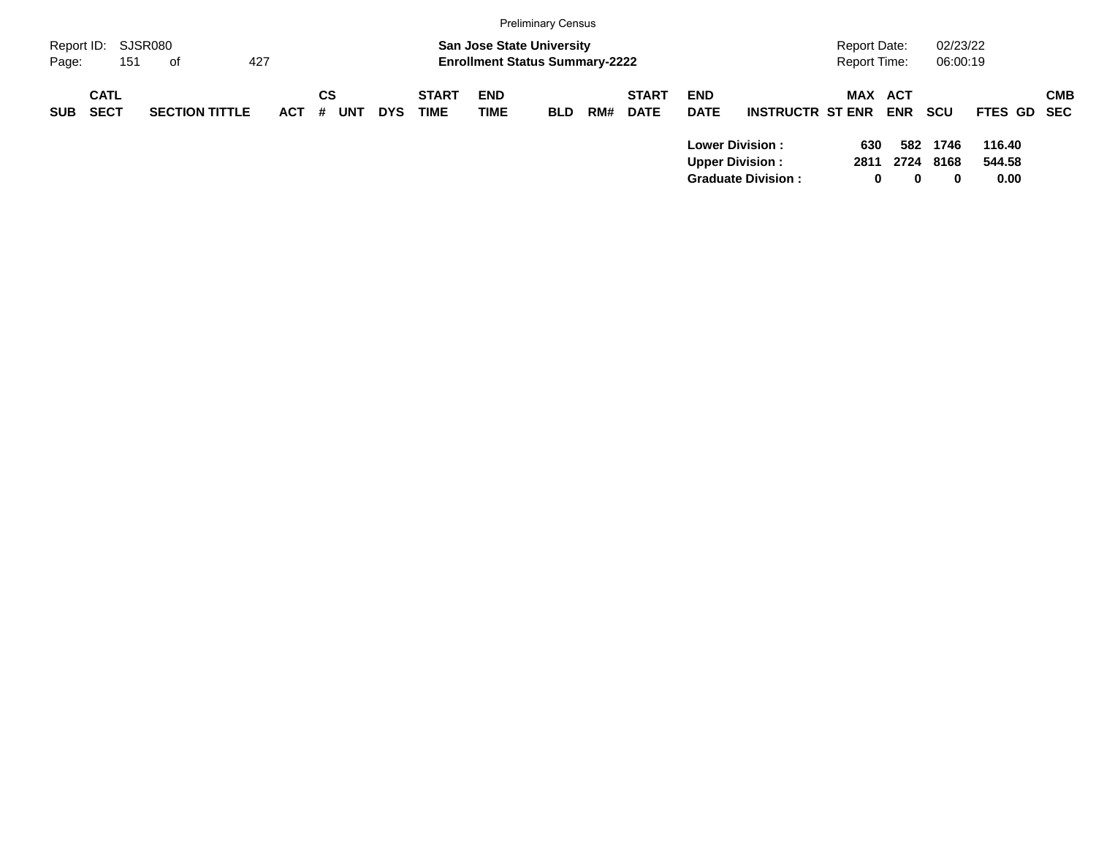|            |                            |                       |            |                       |            |                             |                                                                           | <b>Preliminary Census</b> |     |                             |                           |                                                                               |                              |                             |                      |                          |            |
|------------|----------------------------|-----------------------|------------|-----------------------|------------|-----------------------------|---------------------------------------------------------------------------|---------------------------|-----|-----------------------------|---------------------------|-------------------------------------------------------------------------------|------------------------------|-----------------------------|----------------------|--------------------------|------------|
| Page:      | Report ID: SJSR080<br>151  | 427<br>of             |            |                       |            |                             | <b>San Jose State University</b><br><b>Enrollment Status Summary-2222</b> |                           |     |                             |                           |                                                                               | Report Date:<br>Report Time: |                             | 02/23/22<br>06:00:19 |                          |            |
| <b>SUB</b> | <b>CATL</b><br><b>SECT</b> | <b>SECTION TITTLE</b> | <b>ACT</b> | СS<br><b>UNT</b><br># | <b>DYS</b> | <b>START</b><br><b>TIME</b> | <b>END</b><br><b>TIME</b>                                                 | <b>BLD</b>                | RM# | <b>START</b><br><b>DATE</b> | <b>END</b><br><b>DATE</b> | <b>INSTRUCTR ST ENR</b>                                                       | MAX ACT                      | <b>ENR</b>                  | <b>SCU</b>           | FTES GD SEC              | <b>CMB</b> |
|            |                            |                       |            |                       |            |                             |                                                                           |                           |     |                             |                           | <b>Lower Division:</b><br><b>Upper Division:</b><br><b>Graduate Division:</b> | 630<br>2811<br>0             | 582<br>2724<br>$\mathbf{0}$ | 1746<br>8168<br>0    | 116.40<br>544.58<br>0.00 |            |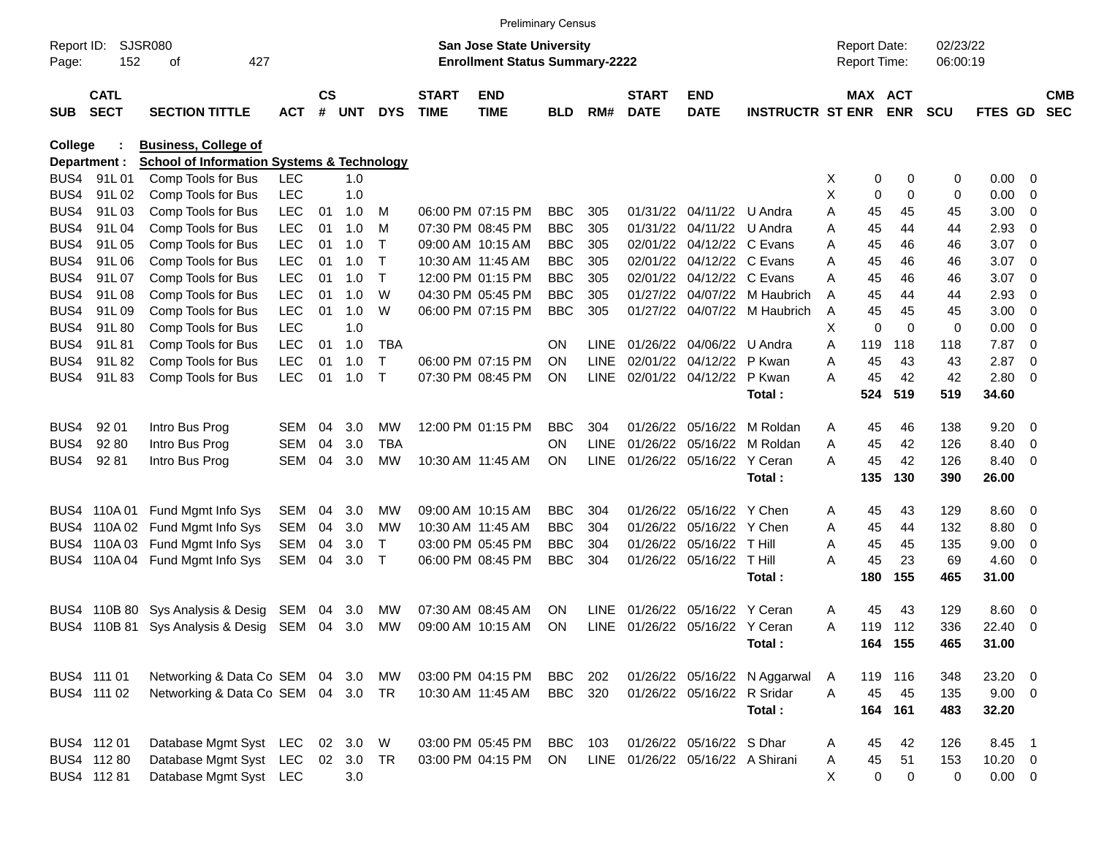|                     |                            |                                                          |                   |                    |            |                    |                             | <b>Preliminary Census</b>                                          |                          |             |                             |                                  |                              |        |                                     |                |                      |              |                               |                          |
|---------------------|----------------------------|----------------------------------------------------------|-------------------|--------------------|------------|--------------------|-----------------------------|--------------------------------------------------------------------|--------------------------|-------------|-----------------------------|----------------------------------|------------------------------|--------|-------------------------------------|----------------|----------------------|--------------|-------------------------------|--------------------------|
| Report ID:<br>Page: | 152                        | SJSR080<br>427<br>οf                                     |                   |                    |            |                    |                             | San Jose State University<br><b>Enrollment Status Summary-2222</b> |                          |             |                             |                                  |                              |        | <b>Report Date:</b><br>Report Time: |                | 02/23/22<br>06:00:19 |              |                               |                          |
| <b>SUB</b>          | <b>CATL</b><br><b>SECT</b> | <b>SECTION TITTLE</b>                                    | <b>ACT</b>        | $\mathsf{cs}$<br># | <b>UNT</b> | <b>DYS</b>         | <b>START</b><br><b>TIME</b> | <b>END</b><br><b>TIME</b>                                          | BLD                      | RM#         | <b>START</b><br><b>DATE</b> | <b>END</b><br><b>DATE</b>        | <b>INSTRUCTR ST ENR</b>      |        | MAX ACT                             | <b>ENR</b>     | <b>SCU</b>           | FTES GD      |                               | <b>CMB</b><br><b>SEC</b> |
| College             |                            | <b>Business, College of</b>                              |                   |                    |            |                    |                             |                                                                    |                          |             |                             |                                  |                              |        |                                     |                |                      |              |                               |                          |
|                     | Department :               | <b>School of Information Systems &amp; Technology</b>    |                   |                    |            |                    |                             |                                                                    |                          |             |                             |                                  |                              |        |                                     |                |                      |              |                               |                          |
| BUS4                | 91L01                      | Comp Tools for Bus                                       | <b>LEC</b>        |                    | 1.0        |                    |                             |                                                                    |                          |             |                             |                                  |                              | Χ      | 0                                   | 0              | 0                    | 0.00         | $\overline{\phantom{0}}$      |                          |
| BUS4                | 91L02                      | Comp Tools for Bus                                       | <b>LEC</b>        |                    | 1.0        |                    |                             |                                                                    |                          |             |                             |                                  |                              | X      | 0                                   | $\mathbf 0$    | 0                    | 0.00         | - 0                           |                          |
| BUS4                | 91L03                      | Comp Tools for Bus                                       | <b>LEC</b>        | 01                 | 1.0        | м                  |                             | 06:00 PM 07:15 PM                                                  | <b>BBC</b>               | 305         |                             | 01/31/22 04/11/22                | U Andra                      | A      | 45                                  | 45             | 45                   | 3.00         | - 0                           |                          |
| BUS4                | 91L04                      | Comp Tools for Bus                                       | <b>LEC</b>        | 01                 | 1.0        | M                  |                             | 07:30 PM 08:45 PM                                                  | <b>BBC</b>               | 305         | 01/31/22                    | 04/11/22                         | U Andra                      | A      | 45                                  | 44             | 44                   | 2.93         | - 0                           |                          |
| BUS4                | 91L05                      | Comp Tools for Bus                                       | <b>LEC</b>        | 01                 | 1.0        | $\mathsf{T}$       |                             | 09:00 AM 10:15 AM                                                  | <b>BBC</b>               | 305         | 02/01/22                    | 04/12/22                         | C Evans                      | A      | 45                                  | 46             | 46                   | 3.07         | $\overline{0}$                |                          |
| BUS4                | 91L06                      | Comp Tools for Bus                                       | <b>LEC</b>        | 01                 | 1.0        | $\mathsf{T}$       | 10:30 AM 11:45 AM           |                                                                    | <b>BBC</b>               | 305         |                             | 02/01/22 04/12/22                | C Evans                      | A      | 45                                  | 46             | 46                   | 3.07         | $\overline{0}$                |                          |
| BUS4                | 91L07                      | Comp Tools for Bus                                       | <b>LEC</b>        | 01                 | 1.0        | $\mathsf{T}$       |                             | 12:00 PM 01:15 PM                                                  | <b>BBC</b>               | 305         |                             | 02/01/22 04/12/22 C Evans        |                              | A      | 45                                  | 46             | 46                   | 3.07         | $\overline{0}$                |                          |
| BUS4                | 91L08                      | Comp Tools for Bus                                       | <b>LEC</b>        | 01                 | 1.0        | W                  |                             | 04:30 PM 05:45 PM                                                  | <b>BBC</b>               | 305         | 01/27/22                    | 04/07/22                         | M Haubrich                   | A      | 45                                  | 44             | 44                   | 2.93         | $\overline{0}$                |                          |
| BUS4                | 91L09                      | Comp Tools for Bus                                       | <b>LEC</b>        | 01                 | 1.0        | W                  |                             | 06:00 PM 07:15 PM                                                  | <b>BBC</b>               | 305         |                             | 01/27/22 04/07/22                | M Haubrich                   | A      | 45                                  | 45             | 45                   | 3.00         | - 0                           |                          |
| BUS4                | 91L80                      | Comp Tools for Bus                                       | <b>LEC</b>        |                    | 1.0        |                    |                             |                                                                    |                          |             |                             |                                  |                              | X      | 0                                   | 0              | 0                    | 0.00         | $\overline{0}$                |                          |
| BUS4                | 91L81                      | Comp Tools for Bus                                       | <b>LEC</b>        | 01                 | 1.0        | <b>TBA</b>         |                             |                                                                    | <b>ON</b>                | <b>LINE</b> |                             | 01/26/22 04/06/22                | U Andra                      | Α      | 119                                 | 118            | 118                  | 7.87         | $\overline{\mathbf{0}}$       |                          |
| BUS4                | 91L82                      | Comp Tools for Bus                                       | <b>LEC</b>        | 01                 | 1.0        | Τ                  |                             | 06:00 PM 07:15 PM                                                  | <b>ON</b>                | <b>LINE</b> |                             | 02/01/22 04/12/22                | P Kwan                       | Α      | 45                                  | 43             | 43                   | 2.87         | $\overline{0}$                |                          |
| BUS4                | 91L83                      | Comp Tools for Bus                                       | <b>LEC</b>        | 01                 | 1.0        | $\mathsf{T}$       |                             | 07:30 PM 08:45 PM                                                  | ΟN                       | <b>LINE</b> |                             | 02/01/22 04/12/22                | P Kwan                       | Α      | 45                                  | 42             | 42                   | 2.80         | $\overline{0}$                |                          |
|                     |                            |                                                          |                   |                    |            |                    |                             |                                                                    |                          |             |                             |                                  | Total:                       |        | 524                                 | 519            | 519                  | 34.60        |                               |                          |
| BUS4                | 92 01                      | Intro Bus Prog                                           | <b>SEM</b>        | 04                 | 3.0        | MW                 |                             | 12:00 PM 01:15 PM                                                  | BBC                      | 304         | 01/26/22                    | 05/16/22                         | M Roldan                     | A      | 45                                  | 46             | 138                  | 9.20         | $\overline{\phantom{0}}$      |                          |
| BUS4                | 92 80                      | Intro Bus Prog                                           | <b>SEM</b>        | 04                 | 3.0        | <b>TBA</b>         |                             |                                                                    | ON                       | <b>LINE</b> | 01/26/22                    | 05/16/22                         | M Roldan                     | Α      | 45                                  | 42             | 126                  | 8.40         | $\overline{\mathbf{0}}$       |                          |
| BUS4                | 92 81                      | Intro Bus Prog                                           | <b>SEM</b>        | 04                 | 3.0        | MW                 |                             | 10:30 AM 11:45 AM                                                  | <b>ON</b>                | LINE        |                             | 01/26/22 05/16/22                | Y Ceran                      | Α      | 45                                  | 42             | 126                  | 8.40         | $\overline{\phantom{0}}$      |                          |
|                     |                            |                                                          |                   |                    |            |                    |                             |                                                                    |                          |             |                             |                                  | Total:                       |        | 135                                 | 130            | 390                  | 26.00        |                               |                          |
|                     |                            |                                                          |                   |                    |            |                    |                             |                                                                    |                          |             | 01/26/22                    | 05/16/22                         |                              |        |                                     |                |                      |              |                               |                          |
| BUS4                |                            | 110A 01 Fund Mgmt Info Sys<br>110A 02 Fund Mgmt Info Sys | SEM               | 04                 | 3.0        | МW                 |                             | 09:00 AM 10:15 AM                                                  | <b>BBC</b><br><b>BBC</b> | 304         | 01/26/22                    |                                  | Y Chen                       | Α      | 45                                  | 43             | 129                  | 8.60         | $\overline{\phantom{0}}$      |                          |
| BUS4                |                            | 110A 03 Fund Mgmt Info Sys                               | <b>SEM</b><br>SEM | 04<br>04           | 3.0<br>3.0 | MW<br>$\mathsf{T}$ | 10:30 AM 11:45 AM           | 03:00 PM 05:45 PM                                                  | <b>BBC</b>               | 304<br>304  | 01/26/22                    | 05/16/22<br>05/16/22             | Y Chen<br><b>T</b> Hill      | Α      | 45<br>45                            | 44<br>45       | 132<br>135           | 8.80<br>9.00 | $\overline{\mathbf{0}}$       |                          |
| BUS4<br>BUS4        |                            | 110A 04 Fund Mgmt Info Sys                               | <b>SEM</b>        | 04                 | 3.0        | $\mathsf{T}$       |                             | 06:00 PM 08:45 PM                                                  | <b>BBC</b>               | 304         | 01/26/22                    | 05/16/22                         | <b>T</b> Hill                | A<br>Α | 45                                  | 23             | 69                   | 4.60         | 0<br>$\overline{\phantom{0}}$ |                          |
|                     |                            |                                                          |                   |                    |            |                    |                             |                                                                    |                          |             |                             |                                  | Total:                       |        | 180                                 | 155            | 465                  | 31.00        |                               |                          |
|                     |                            |                                                          |                   |                    |            |                    |                             |                                                                    |                          |             |                             |                                  |                              |        |                                     |                |                      |              |                               |                          |
| BUS4                |                            | 110B 80 Sys Analysis & Desig                             | SEM               | 04                 | 3.0        | MW                 |                             | 07:30 AM 08:45 AM                                                  | <b>ON</b>                | <b>LINE</b> | 01/26/22                    | 05/16/22                         | Y Ceran                      | A      | 45                                  | 43             | 129                  | 8.60         | $\overline{\phantom{0}}$      |                          |
| BUS4                |                            | 110B 81 Sys Analysis & Desig SEM                         |                   | 04                 | 3.0        | MW                 |                             | 09:00 AM 10:15 AM                                                  | <b>ON</b>                | LINE        |                             | 01/26/22 05/16/22 Y Ceran        |                              | Α      | 119                                 | 112            | 336                  | 22.40        | - 0                           |                          |
|                     |                            |                                                          |                   |                    |            |                    |                             |                                                                    |                          |             |                             |                                  | Total:                       |        |                                     | 164 155        | 465                  | 31.00        |                               |                          |
|                     | BUS4 111 01                |                                                          |                   |                    |            |                    |                             | 03:00 PM 04:15 PM                                                  |                          |             |                             |                                  |                              |        |                                     |                |                      |              |                               |                          |
|                     |                            | Networking & Data Co SEM 04 3.0                          |                   |                    |            | МW                 |                             | 10:30 AM 11:45 AM                                                  | <b>BBC</b><br>BBC 320    | 202         |                             |                                  | 01/26/22 05/16/22 N Aggarwal | A<br>A | 119<br>45                           | 116<br>45      | 348                  | 23.20 0      |                               |                          |
|                     | BUS4 111 02                | Networking & Data Co SEM 04 3.0                          |                   |                    |            | TR                 |                             |                                                                    |                          |             |                             | 01/26/22 05/16/22 R Sridar       | Total:                       |        |                                     | 164 161        | 135<br>483           | $9.00 \t 0$  |                               |                          |
|                     |                            |                                                          |                   |                    |            |                    |                             |                                                                    |                          |             |                             |                                  |                              |        |                                     |                |                      | 32.20        |                               |                          |
|                     | BUS4 112 01                | Database Mgmt Syst LEC                                   |                   | 02                 | 3.0        | W                  |                             | 03:00 PM 05:45 PM                                                  | <b>BBC</b>               | 103         |                             | 01/26/22 05/16/22 S Dhar         |                              | A      | 45                                  | 42             | 126                  | 8.45 1       |                               |                          |
|                     | BUS4 112 80                | Database Mgmt Syst LEC 02 3.0                            |                   |                    |            | <b>TR</b>          |                             | 03:00 PM 04:15 PM                                                  | ON                       |             |                             | LINE 01/26/22 05/16/22 A Shirani |                              | Α      | 45                                  | 51             | 153                  | $10.20 \t 0$ |                               |                          |
|                     | BUS4 11281                 | Database Mgmt Syst LEC                                   |                   |                    | 3.0        |                    |                             |                                                                    |                          |             |                             |                                  |                              | X      | 0                                   | $\overline{0}$ | 0                    | $0.00 \t 0$  |                               |                          |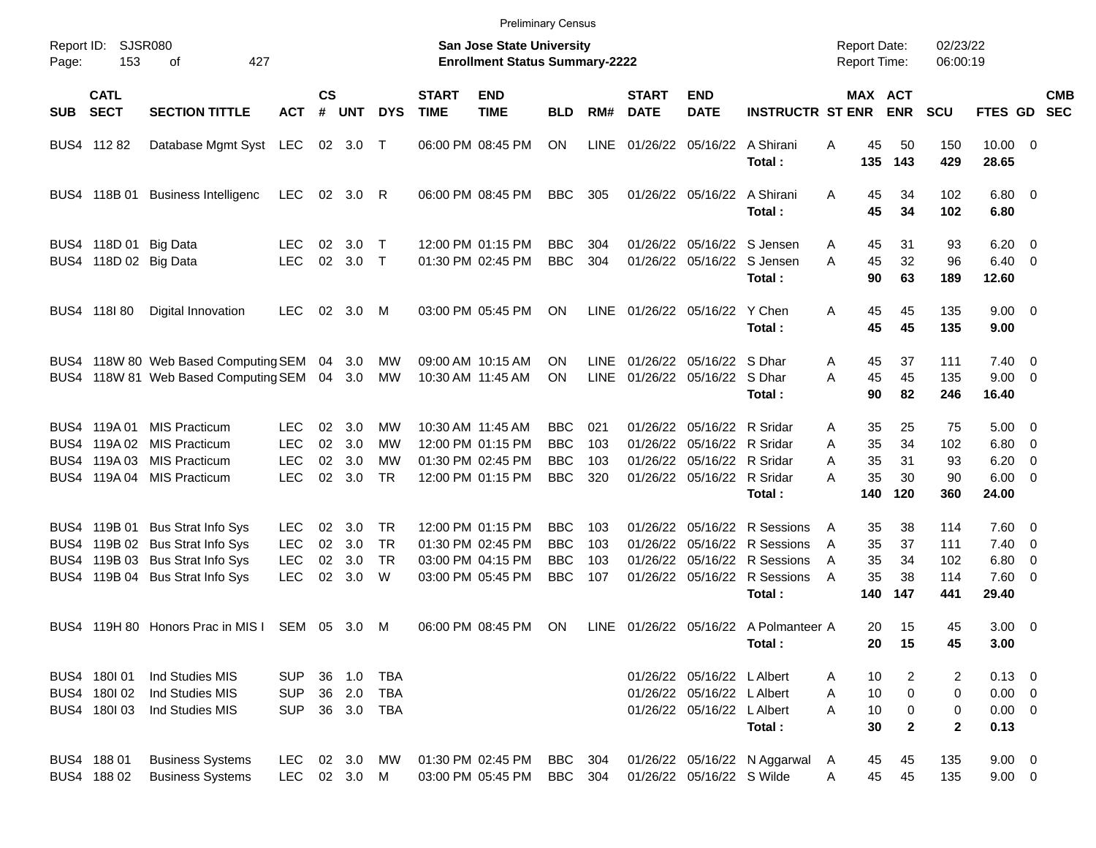|                     |                                                |                                                                                                                                          |                                               |                      |                            |                                   |                             | <b>Preliminary Census</b>                                                        |                                               |                          |                                  |                                                                                                             |                                                                                                             |                                                 |                                             |                                 |                                                                      |            |
|---------------------|------------------------------------------------|------------------------------------------------------------------------------------------------------------------------------------------|-----------------------------------------------|----------------------|----------------------------|-----------------------------------|-----------------------------|----------------------------------------------------------------------------------|-----------------------------------------------|--------------------------|----------------------------------|-------------------------------------------------------------------------------------------------------------|-------------------------------------------------------------------------------------------------------------|-------------------------------------------------|---------------------------------------------|---------------------------------|----------------------------------------------------------------------|------------|
| Report ID:<br>Page: | 153                                            | <b>SJSR080</b><br>427<br>οf                                                                                                              |                                               |                      |                            |                                   |                             | <b>San Jose State University</b><br><b>Enrollment Status Summary-2222</b>        |                                               |                          |                                  |                                                                                                             |                                                                                                             | <b>Report Date:</b><br><b>Report Time:</b>      |                                             | 02/23/22<br>06:00:19            |                                                                      |            |
| <b>SUB</b>          | <b>CATL</b><br><b>SECT</b>                     | <b>SECTION TITTLE</b>                                                                                                                    | <b>ACT</b>                                    | $\mathsf{cs}$<br>#   | <b>UNT</b>                 | <b>DYS</b>                        | <b>START</b><br><b>TIME</b> | <b>END</b><br><b>TIME</b>                                                        | <b>BLD</b>                                    | RM#                      | <b>START</b><br><b>DATE</b>      | <b>END</b><br><b>DATE</b>                                                                                   | <b>INSTRUCTR ST ENR</b>                                                                                     |                                                 | MAX ACT<br><b>ENR</b>                       | SCU                             | FTES GD SEC                                                          | <b>CMB</b> |
|                     | BUS4 112 82                                    | Database Mgmt Syst LEC                                                                                                                   |                                               |                      | 02 3.0                     | ा                                 |                             | 06:00 PM 08:45 PM                                                                | <b>ON</b>                                     | <b>LINE</b>              |                                  | 01/26/22 05/16/22 A Shirani                                                                                 | Total:                                                                                                      | 45<br>Α<br>135                                  | 50<br>143                                   | 150<br>429                      | $10.00 \t 0$<br>28.65                                                |            |
|                     | BUS4 118B 01                                   | <b>Business Intelligenc</b>                                                                                                              | <b>LEC</b>                                    |                      | 02 3.0                     | R                                 |                             | 06:00 PM 08:45 PM                                                                | <b>BBC</b>                                    | 305                      |                                  | 01/26/22 05/16/22 A Shirani                                                                                 | Total:                                                                                                      | 45<br>A<br>45                                   | 34<br>34                                    | 102<br>102                      | $6.80$ 0<br>6.80                                                     |            |
|                     | BUS4 118D 01 Big Data<br>BUS4 118D 02 Big Data |                                                                                                                                          | LEC<br><b>LEC</b>                             | 02<br>02             | 3.0<br>3.0                 | $\top$<br>$\top$                  |                             | 12:00 PM 01:15 PM<br>01:30 PM 02:45 PM                                           | <b>BBC</b><br><b>BBC</b>                      | 304<br>304               |                                  |                                                                                                             | 01/26/22 05/16/22 S Jensen<br>01/26/22 05/16/22 S Jensen<br>Total:                                          | 45<br>A<br>45<br>A<br>90                        | 31<br>32<br>63                              | 93<br>96<br>189                 | $6.20 \quad 0$<br>$6.40 \quad 0$<br>12.60                            |            |
|                     | BUS4 118 80                                    | Digital Innovation                                                                                                                       | <b>LEC</b>                                    | 02                   | 3.0                        | M                                 |                             | 03:00 PM 05:45 PM                                                                | <b>ON</b>                                     | LINE                     |                                  | 01/26/22 05/16/22 Y Chen                                                                                    | Total:                                                                                                      | 45<br>Α<br>45                                   | 45<br>45                                    | 135<br>135                      | $9.00 \t 0$<br>9.00                                                  |            |
|                     |                                                | BUS4 118W 80 Web Based Computing SEM 04 3.0<br>BUS4 118W 81 Web Based Computing SEM 04 3.0                                               |                                               |                      |                            | MW<br>MW                          |                             | 09:00 AM 10:15 AM<br>10:30 AM 11:45 AM                                           | OΝ<br><b>ON</b>                               | LINE<br><b>LINE</b>      |                                  | 01/26/22 05/16/22 S Dhar<br>01/26/22 05/16/22 S Dhar                                                        | Total:                                                                                                      | 45<br>A<br>45<br>A<br>90                        | 37<br>45<br>82                              | 111<br>135<br>246               | $7.40 \quad 0$<br>$9.00 \t 0$<br>16.40                               |            |
|                     |                                                | BUS4 119A 01 MIS Practicum<br>BUS4 119A 02 MIS Practicum<br>BUS4 119A 03 MIS Practicum<br>BUS4 119A 04 MIS Practicum                     | LEC<br><b>LEC</b><br><b>LEC</b><br><b>LEC</b> | 02<br>02<br>02<br>02 | 3.0<br>3.0<br>3.0<br>3.0   | МW<br>МW<br>МW<br><b>TR</b>       |                             | 10:30 AM 11:45 AM<br>12:00 PM 01:15 PM<br>01:30 PM 02:45 PM<br>12:00 PM 01:15 PM | BBC<br><b>BBC</b><br><b>BBC</b><br><b>BBC</b> | 021<br>103<br>103<br>320 | 01/26/22                         | 01/26/22 05/16/22 R Sridar<br>05/16/22 R Sridar<br>01/26/22 05/16/22 R Sridar<br>01/26/22 05/16/22 R Sridar | Total:                                                                                                      | 35<br>Α<br>35<br>A<br>35<br>A<br>35<br>Α<br>140 | 25<br>34<br>31<br>30<br>120                 | 75<br>102<br>93<br>90<br>360    | $5.00 \t 0$<br>$6.80$ 0<br>$6.20 \quad 0$<br>$6.00 \quad 0$<br>24.00 |            |
|                     |                                                | BUS4 119B 01 Bus Strat Info Sys<br>BUS4 119B 02 Bus Strat Info Sys<br>BUS4 119B 03 Bus Strat Info Sys<br>BUS4 119B 04 Bus Strat Info Sys | LEC<br><b>LEC</b><br><b>LEC</b><br><b>LEC</b> | 02<br>02<br>02<br>02 | -3.0<br>3.0<br>3.0<br>3.0  | TR<br><b>TR</b><br><b>TR</b><br>W |                             | 12:00 PM 01:15 PM<br>01:30 PM 02:45 PM<br>03:00 PM 04:15 PM<br>03:00 PM 05:45 PM | BBC<br><b>BBC</b><br><b>BBC</b><br><b>BBC</b> | 103<br>103<br>103<br>107 | 01/26/22<br>01/26/22<br>01/26/22 |                                                                                                             | 05/16/22 R Sessions<br>05/16/22 R Sessions<br>05/16/22 R Sessions<br>01/26/22 05/16/22 R Sessions<br>Total: | 35<br>A<br>35<br>A<br>35<br>A<br>35<br>A<br>140 | 38<br>37<br>34<br>38<br>147                 | 114<br>111<br>102<br>114<br>441 | 7.60 0<br>$7.40 \quad 0$<br>$6.80$ 0<br>$7.60 \t 0$<br>29.40         |            |
|                     |                                                | BUS4 119H 80 Honors Prac in MIS I                                                                                                        | SEM 05 3.0                                    |                      |                            | M                                 |                             | 06:00 PM 08:45 PM                                                                | <b>ON</b>                                     |                          |                                  |                                                                                                             | LINE 01/26/22 05/16/22 A Polmanteer A<br>Total:                                                             | 20<br>20                                        | 15<br>15                                    | 45<br>45                        | $3.00 \ 0$<br>3.00                                                   |            |
|                     | BUS4 180 01<br>BUS4 180102<br>BUS4 180103      | Ind Studies MIS<br>Ind Studies MIS<br>Ind Studies MIS                                                                                    | <b>SUP</b><br><b>SUP</b><br><b>SUP</b>        |                      | 36 1.0<br>36 2.0<br>36 3.0 | <b>TBA</b><br><b>TBA</b><br>TBA   |                             |                                                                                  |                                               |                          |                                  | 01/26/22 05/16/22 LAIbert<br>01/26/22 05/16/22 LAIbert<br>01/26/22 05/16/22 L Albert                        | Total:                                                                                                      | 10<br>A<br>10<br>Α<br>10<br>Α<br>30             | 2<br>$\pmb{0}$<br>$\pmb{0}$<br>$\mathbf{2}$ | 2<br>0<br>0<br>$\mathbf{2}$     | $0.13 \ 0$<br>$0.00 \t 0$<br>$0.00 \t 0$<br>0.13                     |            |
|                     | BUS4 188 01<br>BUS4 188 02                     | <b>Business Systems</b><br><b>Business Systems</b>                                                                                       | <b>LEC</b><br><b>LEC</b>                      |                      | 02 3.0<br>02 3.0 M         | MW                                |                             | 01:30 PM 02:45 PM<br>03:00 PM 05:45 PM                                           | <b>BBC</b><br><b>BBC</b>                      | 304<br>304               |                                  | 01/26/22 05/16/22 S Wilde                                                                                   | 01/26/22 05/16/22 N Aggarwal                                                                                | 45<br>A<br>45<br>Α                              | 45<br>45                                    | 135<br>135                      | 9.00 0<br>$9.00 \t 0$                                                |            |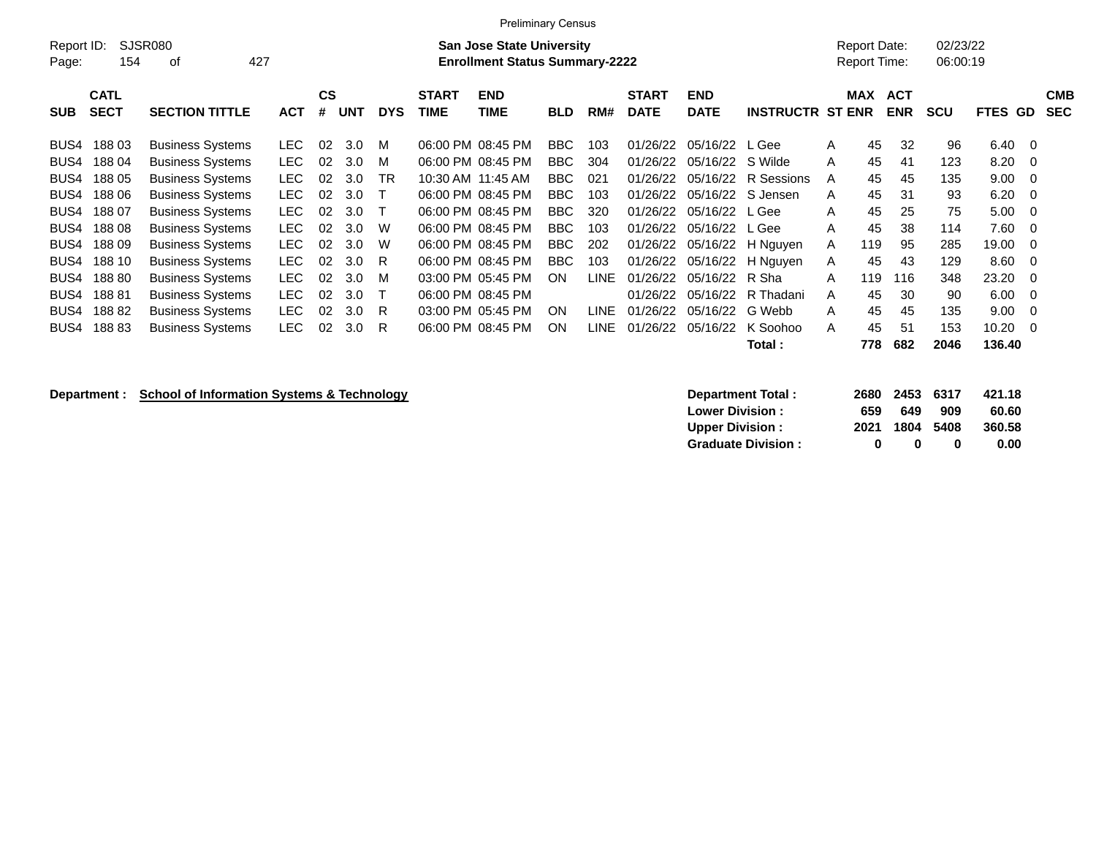|                     | <b>Preliminary Census</b>  |                         |            |         |            |            |                             |                                                                           |            |             |                             |                           |                         |                                            |                          |                      |                                  |                          |
|---------------------|----------------------------|-------------------------|------------|---------|------------|------------|-----------------------------|---------------------------------------------------------------------------|------------|-------------|-----------------------------|---------------------------|-------------------------|--------------------------------------------|--------------------------|----------------------|----------------------------------|--------------------------|
| Report ID:<br>Page: | 154                        | SJSR080<br>оf           | 427        |         |            |            |                             | <b>San Jose State University</b><br><b>Enrollment Status Summary-2222</b> |            |             |                             |                           |                         | <b>Report Date:</b><br><b>Report Time:</b> |                          | 02/23/22<br>06:00:19 |                                  |                          |
| <b>SUB</b>          | <b>CATL</b><br><b>SECT</b> | <b>SECTION TITTLE</b>   | <b>ACT</b> | CS<br># | <b>UNT</b> | <b>DYS</b> | <b>START</b><br><b>TIME</b> | <b>END</b><br><b>TIME</b>                                                 | <b>BLD</b> | RM#         | <b>START</b><br><b>DATE</b> | <b>END</b><br><b>DATE</b> | <b>INSTRUCTR ST ENR</b> | <b>MAX</b>                                 | <b>ACT</b><br><b>ENR</b> | <b>SCU</b>           | <b>FTES GD</b>                   | <b>CMB</b><br><b>SEC</b> |
| BUS4                | 18803                      | <b>Business Systems</b> | LEC.       | 02      | 3.0        | м          |                             | 06:00 PM 08:45 PM                                                         | <b>BBC</b> | 103         | 01/26/22                    | 05/16/22                  | L Gee                   | 45<br>A                                    | 32                       | 96                   | 6.40                             | $\overline{0}$           |
| BUS4                | 188 04                     | <b>Business Systems</b> | <b>LEC</b> | 02      | 3.0        | M          |                             | 06:00 PM 08:45 PM                                                         | <b>BBC</b> | 304         | 01/26/22                    | 05/16/22                  | S Wilde                 | 45<br>A                                    | 41                       | 123                  | 8.20                             | $\overline{\phantom{0}}$ |
| BUS4                | 188 05                     | <b>Business Systems</b> | LEC.       | 02      | 3.0        | TR         |                             | 10:30 AM 11:45 AM                                                         | <b>BBC</b> | 021         | 01/26/22                    | 05/16/22                  | R Sessions              | 45<br>A                                    | 45                       | 135                  | 9.00                             | - 0                      |
| BUS4                | 18806                      | <b>Business Systems</b> | LEC.       | 02      | 3.0        | т          |                             | 06:00 PM 08:45 PM                                                         | <b>BBC</b> | 103         | 01/26/22                    |                           | 05/16/22 S Jensen       | 45<br>A                                    | 31                       | 93                   | 6.20<br>$\overline{\phantom{0}}$ |                          |
| BUS4                | 18807                      | <b>Business Systems</b> | <b>LEC</b> | 02      | 3.0        | т          |                             | 06:00 PM 08:45 PM                                                         | <b>BBC</b> | 320         | 01/26/22                    | 05/16/22 L Gee            |                         | 45<br>A                                    | 25                       | 75                   | 5.00                             | $\overline{\phantom{0}}$ |
| BUS4                | 18808                      | <b>Business Systems</b> | <b>LEC</b> | 02      | 3.0        | W          |                             | 06:00 PM 08:45 PM                                                         | <b>BBC</b> | 103         | 01/26/22                    | 05/16/22 L Gee            |                         | 45<br>A                                    | 38                       | 114                  | 7.60                             | $\overline{0}$           |
| BUS4                | 18809                      | <b>Business Systems</b> | LEC.       | 02      | 3.0        | W          |                             | 06:00 PM 08:45 PM                                                         | <b>BBC</b> | 202         | 01/26/22                    |                           | 05/16/22 H Nguyen       | 119<br>A                                   | 95                       | 285                  | 19.00                            | - 0                      |
| BUS4                | 188 10                     | <b>Business Systems</b> | LEC.       | 02      | 3.0        | R          |                             | 06:00 PM 08:45 PM                                                         | <b>BBC</b> | 103         | 01/26/22                    |                           | 05/16/22 H Nguyen       | 45<br>A                                    | 43                       | 129                  | 8.60<br>$\overline{\phantom{0}}$ |                          |
| BUS4                | 18880                      | <b>Business Systems</b> | <b>LEC</b> | 02      | 3.0        | м          |                             | 03:00 PM 05:45 PM                                                         | ON         | <b>LINE</b> | 01/26/22                    | 05/16/22                  | R Sha                   | 119<br>A                                   | 116                      | 348                  | 23.20                            | - 0                      |
| BUS4                | 18881                      | <b>Business Systems</b> | LEC.       | 02      | 3.0        |            |                             | 06:00 PM 08:45 PM                                                         |            |             | 01/26/22                    | 05/16/22                  | R Thadani               | 45<br>A                                    | 30                       | 90                   | 6.00                             | - 0                      |
| BUS4                | 18882                      | <b>Business Systems</b> | <b>LEC</b> | 02      | 3.0        | R          |                             | 03:00 PM 05:45 PM                                                         | <b>ON</b>  | <b>LINE</b> | 01/26/22                    | 05/16/22                  | G Webb                  | 45<br>A                                    | 45                       | 135                  | 9.00                             | $\overline{0}$           |
| BUS4                | 18883                      | <b>Business Systems</b> | <b>LEC</b> | 02      | 3.0        | R          |                             | 06:00 PM 08:45 PM                                                         | <b>ON</b>  | LINE.       | 01/26/22                    | 05/16/22                  | K Soohoo                | 45<br>A                                    | 51                       | 153                  | 10.20                            | - 0                      |
|                     |                            |                         |            |         |            |            |                             |                                                                           |            |             |                             |                           | Total :                 | 778                                        | 682                      | 2046                 | 136.40                           |                          |

| Department : | <b>School of Information Systems &amp; Technology</b> | Department Total:         | 2680 | 2453 | 6317 | 421.18 |
|--------------|-------------------------------------------------------|---------------------------|------|------|------|--------|
|              |                                                       | <b>Lower Division:</b>    | 659  | 649  | 909  | 60.60  |
|              |                                                       | <b>Upper Division:</b>    | 2021 | 1804 | 5408 | 360.58 |
|              |                                                       | <b>Graduate Division:</b> |      |      |      | 0.00   |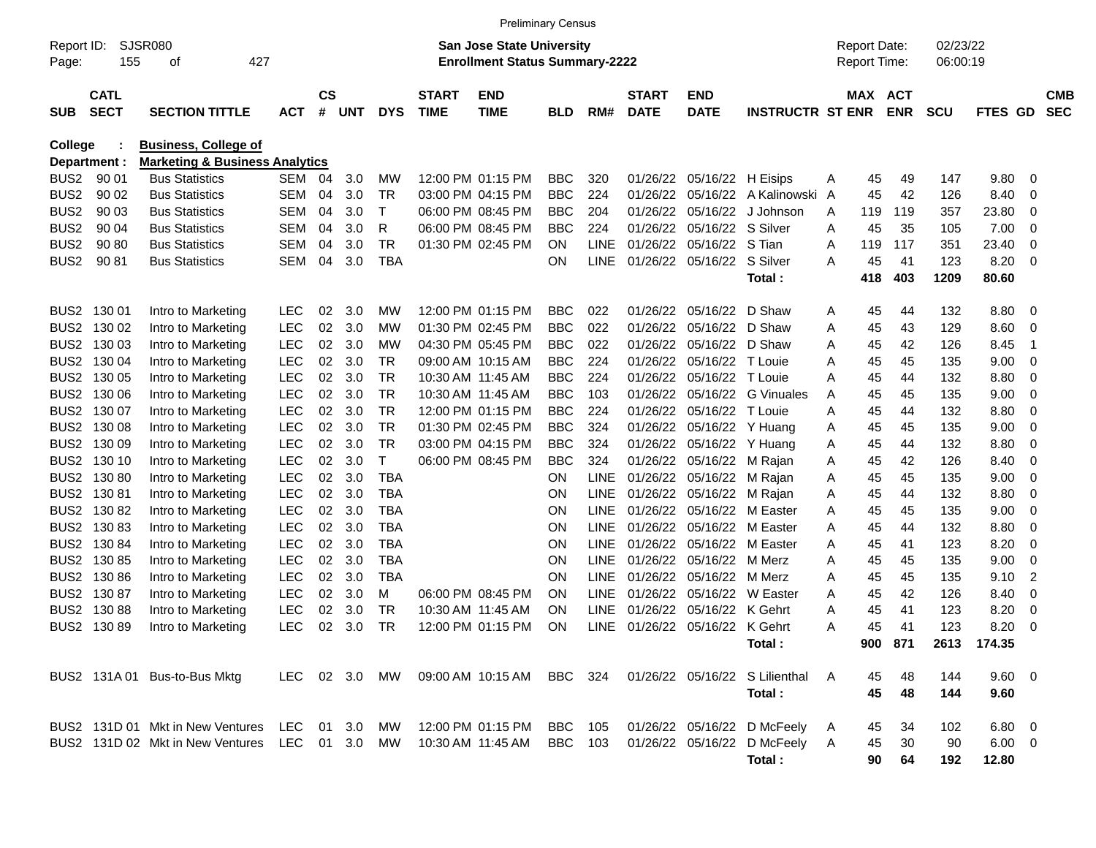| <b>SJSR080</b><br>02/23/22<br><b>San Jose State University</b><br><b>Report Date:</b><br>Report ID:<br>155<br>427<br><b>Enrollment Status Summary-2222</b><br><b>Report Time:</b><br>06:00:19<br>οf<br>Page:<br><b>CS</b><br><b>CATL</b><br><b>START</b><br><b>END</b><br><b>START</b><br><b>MAX ACT</b><br><b>CMB</b><br>END<br><b>SECT</b><br><b>TIME</b><br><b>ENR</b><br><b>SEC</b><br>#<br><b>TIME</b><br>RM#<br><b>DATE</b><br><b>INSTRUCTR ST ENR</b><br><b>SCU</b><br><b>SUB</b><br><b>SECTION TITTLE</b><br><b>ACT</b><br>UNT<br><b>DYS</b><br><b>DATE</b><br><b>FTES</b><br>GD.<br><b>BLD</b><br><b>Business, College of</b><br><b>College</b><br><b>Marketing &amp; Business Analytics</b><br>Department :<br>BUS <sub>2</sub><br>90 01<br>3.0<br>12:00 PM 01:15 PM<br>01/26/22<br>9.80<br><b>Bus Statistics</b><br>SEM<br>04<br>МW<br><b>BBC</b><br>320<br>05/16/22 H Eisips<br>45<br>49<br>147<br>Α<br>0<br>BUS <sub>2</sub><br>90 02<br><b>Bus Statistics</b><br>SEM<br>04<br>3.0<br><b>TR</b><br>03:00 PM 04:15 PM<br><b>BBC</b><br>224<br>01/26/22<br>05/16/22<br>A Kalinowski A<br>45<br>42<br>126<br>8.40<br>0<br>BUS <sub>2</sub><br>90 03<br><b>Bus Statistics</b><br>SEM<br>04<br>3.0<br>$\top$<br>06:00 PM 08:45 PM<br><b>BBC</b><br>204<br>01/26/22<br>05/16/22<br>119<br>23.80<br>J Johnson<br>A<br>119<br>357<br>0<br>BUS <sub>2</sub><br>90 04<br><b>Bus Statistics</b><br>SEM<br>04<br>3.0<br>R<br>06:00 PM 08:45 PM<br><b>BBC</b><br>224<br>01/26/22<br>05/16/22<br>S Silver<br>35<br>7.00<br>Α<br>45<br>105<br>0<br>BUS <sub>2</sub><br>90 80<br><b>Bus Statistics</b><br>SEM<br>04<br>3.0<br><b>TR</b><br>01:30 PM 02:45 PM<br><b>LINE</b><br>01/26/22<br>05/16/22<br>S Tian<br>23.40<br><b>ON</b><br>117<br>351<br>0<br>A<br>119<br>8.20<br>BUS <sub>2</sub><br>90 81<br><b>Bus Statistics</b><br>SEM<br>04<br>3.0<br><b>TBA</b><br><b>LINE</b><br>01/26/22<br>05/16/22<br>S Silver<br>OΝ<br>45<br>41<br>123<br>0<br>A<br>403<br>80.60<br>Total:<br>418<br>1209<br>BUS <sub>2</sub><br>02<br>12:00 PM 01:15 PM<br>01/26/22<br>D Shaw<br>130 01<br>Intro to Marketing<br><b>LEC</b><br>3.0<br>МW<br>BBC.<br>022<br>05/16/22<br>132<br>8.80<br>Α<br>45<br>44<br>0<br>8.60<br>BUS <sub>2</sub><br><b>LEC</b><br>02<br>3.0<br>01:30 PM 02:45 PM<br><b>BBC</b><br>022<br>01/26/22<br>05/16/22<br>D Shaw<br>129<br>130 02<br>Intro to Marketing<br>МW<br>Α<br>45<br>43<br>0<br>LEC<br>BUS <sub>2</sub><br>130 03<br>02<br>3.0<br>04:30 PM 05:45 PM<br><b>BBC</b><br>022<br>01/26/22<br>05/16/22<br>D Shaw<br>8.45<br>Intro to Marketing<br>МW<br>45<br>42<br>126<br>A<br>$\overline{1}$<br>LEC<br>BUS <sub>2</sub><br>130 04<br>02<br>3.0<br><b>TR</b><br><b>BBC</b><br>224<br>01/26/22<br>05/16/22<br>9.00<br>Intro to Marketing<br>09:00 AM 10:15 AM<br>T Louie<br>45<br>135<br>0<br>Α<br>45<br>LEC<br>02<br>BUS <sub>2</sub><br>130 05<br>3.0<br><b>TR</b><br><b>BBC</b><br>224<br>01/26/22<br>05/16/22<br>8.80<br>Intro to Marketing<br>10:30 AM 11:45 AM<br>T Louie<br>45<br>132<br>0<br>A<br>44<br>LEC<br>02<br>BUS <sub>2</sub><br>130 06<br>3.0<br><b>TR</b><br><b>BBC</b><br>01/26/22<br>05/16/22 G Vinuales<br>9.00<br>Intro to Marketing<br>10:30 AM 11:45 AM<br>103<br>45<br>45<br>135<br>0<br>A<br>LEC<br>02<br>BUS <sub>2</sub><br>130 07<br>3.0<br><b>TR</b><br>12:00 PM 01:15 PM<br><b>BBC</b><br>224<br>01/26/22<br>05/16/22<br>T Louie<br>8.80<br>Intro to Marketing<br>45<br>132<br>0<br>A<br>44<br>LEC<br>02<br>BUS <sub>2</sub><br>130 08<br>3.0<br><b>TR</b><br>01:30 PM 02:45 PM<br><b>BBC</b><br>324<br>01/26/22<br>05/16/22 Y Huang<br>9.00<br>Intro to Marketing<br>45<br>45<br>135<br>0<br>Α<br>LEC<br>02<br>BUS <sub>2</sub><br>130 09<br>3.0<br><b>TR</b><br>03:00 PM 04:15 PM<br><b>BBC</b><br>324<br>01/26/22<br>05/16/22<br>8.80<br>Intro to Marketing<br>Y Huang<br>45<br>132<br>0<br>Α<br>44<br>LEC<br>02<br>BUS <sub>2</sub><br>130 10<br>3.0<br>$\mathsf{T}$<br>06:00 PM 08:45 PM<br><b>BBC</b><br>324<br>01/26/22<br>05/16/22<br>Intro to Marketing<br>45<br>42<br>126<br>8.40<br>0<br>M Rajan<br>Α<br>LEC<br>02<br>BUS <sub>2</sub><br>13080<br>3.0<br><b>TBA</b><br>01/26/22<br>05/16/22<br>9.00<br>Intro to Marketing<br>OΝ<br>LINE<br>45<br>45<br>135<br>0<br>M Rajan<br>A<br>02<br>BUS <sub>2</sub><br>13081<br>LEC<br>3.0<br><b>TBA</b><br>LINE<br>01/26/22<br>05/16/22<br>8.80<br>Intro to Marketing<br>ON<br>45<br>132<br>0<br>M Rajan<br>Α<br>44<br>LEC<br>02<br>BUS <sub>2</sub><br>13082<br>3.0<br><b>TBA</b><br>LINE<br>01/26/22<br>05/16/22<br>9.00<br>Intro to Marketing<br>ON<br>M Easter<br>45<br>45<br>135<br>0<br>A<br>LEC<br>BUS <sub>2</sub><br>13083<br>02<br>3.0<br><b>TBA</b><br>LINE<br>01/26/22<br>05/16/22<br>8.80<br>Intro to Marketing<br>ON<br>M Easter<br>45<br>132<br>0<br>A<br>44<br>02<br>BUS <sub>2</sub><br>13084<br>LEC<br>3.0<br><b>TBA</b><br>LINE<br>01/26/22<br>05/16/22<br>8.20<br>Intro to Marketing<br>ON<br>M Easter<br>45<br>123<br>0<br>A<br>41<br>02<br>BUS <sub>2</sub><br>13085<br>LEC<br>3.0<br><b>TBA</b><br>LINE<br>01/26/22<br>05/16/22<br>9.00<br>Intro to Marketing<br>ON<br>M Merz<br>45<br>45<br>135<br>0<br>A<br>LEC<br>BUS <sub>2</sub><br>02<br>3.0<br><b>TBA</b><br>LINE<br>01/26/22<br>05/16/22<br>$\overline{c}$<br>13086<br>Intro to Marketing<br>ΟN<br>M Merz<br>45<br>45<br>135<br>9.10<br>A<br>BUS <sub>2</sub><br>13087<br>LEC<br>02<br>3.0<br>06:00 PM 08:45 PM<br><b>LINE</b><br>01/26/22<br>05/16/22<br>8.40<br>Intro to Marketing<br>м<br>ON<br>W Easter<br>45<br>42<br>126<br>0<br>A<br>BUS <sub>2</sub><br><b>LEC</b><br>13088<br>02<br>3.0<br><b>TR</b><br><b>LINE</b><br>01/26/22<br>05/16/22<br>8.20<br>Intro to Marketing<br>10:30 AM 11:45 AM<br>ON<br>K Gehrt<br>45<br>41<br>123<br>0<br>A<br><b>LEC</b><br>BUS2 130 89<br>02<br>3.0<br><b>TR</b><br>12:00 PM 01:15 PM<br>ON<br><b>LINE</b><br>01/26/22<br>05/16/22 K Gehrt<br>8.20<br>45<br>41<br>123<br>0<br>Intro to Marketing<br>A<br>Total:<br>900 871<br>2613 174.35<br>BUS2 131A 01 Bus-to-Bus Mktg<br>LEC 02 3.0 MW<br>09:00 AM 10:15 AM<br>01/26/22 05/16/22 S Lilienthal<br>9.60 0<br>BBC 324<br>48<br>144<br>A<br>45<br>48<br>9.60<br>Total:<br>45<br>144<br>BUS2 131D 01 Mkt in New Ventures<br>LEC 01 3.0<br>MW<br>12:00 PM 01:15 PM<br><b>BBC</b> 105<br>01/26/22 05/16/22 D McFeely<br>$6.80\quad 0$<br>- A<br>45<br>34<br>102<br>BUS2 131D 02 Mkt in New Ventures LEC 01 3.0<br>10:30 AM 11:45 AM<br>BBC 103<br>01/26/22 05/16/22 D McFeely A<br>$6.00 \quad 0$<br>MW<br>45<br>30<br>90<br>90 |  |  |  |  |  | <b>Preliminary Census</b> |  |  |        |  |    |     |       |  |
|-------------------------------------------------------------------------------------------------------------------------------------------------------------------------------------------------------------------------------------------------------------------------------------------------------------------------------------------------------------------------------------------------------------------------------------------------------------------------------------------------------------------------------------------------------------------------------------------------------------------------------------------------------------------------------------------------------------------------------------------------------------------------------------------------------------------------------------------------------------------------------------------------------------------------------------------------------------------------------------------------------------------------------------------------------------------------------------------------------------------------------------------------------------------------------------------------------------------------------------------------------------------------------------------------------------------------------------------------------------------------------------------------------------------------------------------------------------------------------------------------------------------------------------------------------------------------------------------------------------------------------------------------------------------------------------------------------------------------------------------------------------------------------------------------------------------------------------------------------------------------------------------------------------------------------------------------------------------------------------------------------------------------------------------------------------------------------------------------------------------------------------------------------------------------------------------------------------------------------------------------------------------------------------------------------------------------------------------------------------------------------------------------------------------------------------------------------------------------------------------------------------------------------------------------------------------------------------------------------------------------------------------------------------------------------------------------------------------------------------------------------------------------------------------------------------------------------------------------------------------------------------------------------------------------------------------------------------------------------------------------------------------------------------------------------------------------------------------------------------------------------------------------------------------------------------------------------------------------------------------------------------------------------------------------------------------------------------------------------------------------------------------------------------------------------------------------------------------------------------------------------------------------------------------------------------------------------------------------------------------------------------------------------------------------------------------------------------------------------------------------------------------------------------------------------------------------------------------------------------------------------------------------------------------------------------------------------------------------------------------------------------------------------------------------------------------------------------------------------------------------------------------------------------------------------------------------------------------------------------------------------------------------------------------------------------------------------------------------------------------------------------------------------------------------------------------------------------------------------------------------------------------------------------------------------------------------------------------------------------------------------------------------------------------------------------------------------------------------------------------------------------------------------------------------------------------------------------------------------------------------------------------------------------------------------------------------------------------------------------------------------------------------------------------------------------------------------------------------------------------------------------------------------------------------------------------------------------------------------------------------------------------------------------------------------------------------------------------------------------------------------------------------------------------------------------------------------------------------------------------------------------------------------------------------------------------------------------------------------------------------------------------------------------------------------------------------------------------------------------------------------------------------------------------------------------------------------------------------------------------------------------------------------------------------------------------------------------------------------------------------------------------------------------------------------------------------------------------------------------------------------------------------------------------------------------------------------------------------------------------------------------------------------------------------------------------------------------------------------------------------------------------------------------------------------------------------------------------------------------------------------------|--|--|--|--|--|---------------------------|--|--|--------|--|----|-----|-------|--|
|                                                                                                                                                                                                                                                                                                                                                                                                                                                                                                                                                                                                                                                                                                                                                                                                                                                                                                                                                                                                                                                                                                                                                                                                                                                                                                                                                                                                                                                                                                                                                                                                                                                                                                                                                                                                                                                                                                                                                                                                                                                                                                                                                                                                                                                                                                                                                                                                                                                                                                                                                                                                                                                                                                                                                                                                                                                                                                                                                                                                                                                                                                                                                                                                                                                                                                                                                                                                                                                                                                                                                                                                                                                                                                                                                                                                                                                                                                                                                                                                                                                                                                                                                                                                                                                                                                                                                                                                                                                                                                                                                                                                                                                                                                                                                                                                                                                                                                                                                                                                                                                                                                                                                                                                                                                                                                                                                                                                                                                                                                                                                                                                                                                                                                                                                                                                                                                                                                                                                                                                                                                                                                                                                                                                                                                                                                                                                                                                                                                                                                             |  |  |  |  |  |                           |  |  |        |  |    |     |       |  |
|                                                                                                                                                                                                                                                                                                                                                                                                                                                                                                                                                                                                                                                                                                                                                                                                                                                                                                                                                                                                                                                                                                                                                                                                                                                                                                                                                                                                                                                                                                                                                                                                                                                                                                                                                                                                                                                                                                                                                                                                                                                                                                                                                                                                                                                                                                                                                                                                                                                                                                                                                                                                                                                                                                                                                                                                                                                                                                                                                                                                                                                                                                                                                                                                                                                                                                                                                                                                                                                                                                                                                                                                                                                                                                                                                                                                                                                                                                                                                                                                                                                                                                                                                                                                                                                                                                                                                                                                                                                                                                                                                                                                                                                                                                                                                                                                                                                                                                                                                                                                                                                                                                                                                                                                                                                                                                                                                                                                                                                                                                                                                                                                                                                                                                                                                                                                                                                                                                                                                                                                                                                                                                                                                                                                                                                                                                                                                                                                                                                                                                             |  |  |  |  |  |                           |  |  |        |  |    |     |       |  |
|                                                                                                                                                                                                                                                                                                                                                                                                                                                                                                                                                                                                                                                                                                                                                                                                                                                                                                                                                                                                                                                                                                                                                                                                                                                                                                                                                                                                                                                                                                                                                                                                                                                                                                                                                                                                                                                                                                                                                                                                                                                                                                                                                                                                                                                                                                                                                                                                                                                                                                                                                                                                                                                                                                                                                                                                                                                                                                                                                                                                                                                                                                                                                                                                                                                                                                                                                                                                                                                                                                                                                                                                                                                                                                                                                                                                                                                                                                                                                                                                                                                                                                                                                                                                                                                                                                                                                                                                                                                                                                                                                                                                                                                                                                                                                                                                                                                                                                                                                                                                                                                                                                                                                                                                                                                                                                                                                                                                                                                                                                                                                                                                                                                                                                                                                                                                                                                                                                                                                                                                                                                                                                                                                                                                                                                                                                                                                                                                                                                                                                             |  |  |  |  |  |                           |  |  |        |  |    |     |       |  |
|                                                                                                                                                                                                                                                                                                                                                                                                                                                                                                                                                                                                                                                                                                                                                                                                                                                                                                                                                                                                                                                                                                                                                                                                                                                                                                                                                                                                                                                                                                                                                                                                                                                                                                                                                                                                                                                                                                                                                                                                                                                                                                                                                                                                                                                                                                                                                                                                                                                                                                                                                                                                                                                                                                                                                                                                                                                                                                                                                                                                                                                                                                                                                                                                                                                                                                                                                                                                                                                                                                                                                                                                                                                                                                                                                                                                                                                                                                                                                                                                                                                                                                                                                                                                                                                                                                                                                                                                                                                                                                                                                                                                                                                                                                                                                                                                                                                                                                                                                                                                                                                                                                                                                                                                                                                                                                                                                                                                                                                                                                                                                                                                                                                                                                                                                                                                                                                                                                                                                                                                                                                                                                                                                                                                                                                                                                                                                                                                                                                                                                             |  |  |  |  |  |                           |  |  |        |  |    |     |       |  |
|                                                                                                                                                                                                                                                                                                                                                                                                                                                                                                                                                                                                                                                                                                                                                                                                                                                                                                                                                                                                                                                                                                                                                                                                                                                                                                                                                                                                                                                                                                                                                                                                                                                                                                                                                                                                                                                                                                                                                                                                                                                                                                                                                                                                                                                                                                                                                                                                                                                                                                                                                                                                                                                                                                                                                                                                                                                                                                                                                                                                                                                                                                                                                                                                                                                                                                                                                                                                                                                                                                                                                                                                                                                                                                                                                                                                                                                                                                                                                                                                                                                                                                                                                                                                                                                                                                                                                                                                                                                                                                                                                                                                                                                                                                                                                                                                                                                                                                                                                                                                                                                                                                                                                                                                                                                                                                                                                                                                                                                                                                                                                                                                                                                                                                                                                                                                                                                                                                                                                                                                                                                                                                                                                                                                                                                                                                                                                                                                                                                                                                             |  |  |  |  |  |                           |  |  |        |  |    |     |       |  |
|                                                                                                                                                                                                                                                                                                                                                                                                                                                                                                                                                                                                                                                                                                                                                                                                                                                                                                                                                                                                                                                                                                                                                                                                                                                                                                                                                                                                                                                                                                                                                                                                                                                                                                                                                                                                                                                                                                                                                                                                                                                                                                                                                                                                                                                                                                                                                                                                                                                                                                                                                                                                                                                                                                                                                                                                                                                                                                                                                                                                                                                                                                                                                                                                                                                                                                                                                                                                                                                                                                                                                                                                                                                                                                                                                                                                                                                                                                                                                                                                                                                                                                                                                                                                                                                                                                                                                                                                                                                                                                                                                                                                                                                                                                                                                                                                                                                                                                                                                                                                                                                                                                                                                                                                                                                                                                                                                                                                                                                                                                                                                                                                                                                                                                                                                                                                                                                                                                                                                                                                                                                                                                                                                                                                                                                                                                                                                                                                                                                                                                             |  |  |  |  |  |                           |  |  |        |  |    |     |       |  |
|                                                                                                                                                                                                                                                                                                                                                                                                                                                                                                                                                                                                                                                                                                                                                                                                                                                                                                                                                                                                                                                                                                                                                                                                                                                                                                                                                                                                                                                                                                                                                                                                                                                                                                                                                                                                                                                                                                                                                                                                                                                                                                                                                                                                                                                                                                                                                                                                                                                                                                                                                                                                                                                                                                                                                                                                                                                                                                                                                                                                                                                                                                                                                                                                                                                                                                                                                                                                                                                                                                                                                                                                                                                                                                                                                                                                                                                                                                                                                                                                                                                                                                                                                                                                                                                                                                                                                                                                                                                                                                                                                                                                                                                                                                                                                                                                                                                                                                                                                                                                                                                                                                                                                                                                                                                                                                                                                                                                                                                                                                                                                                                                                                                                                                                                                                                                                                                                                                                                                                                                                                                                                                                                                                                                                                                                                                                                                                                                                                                                                                             |  |  |  |  |  |                           |  |  |        |  |    |     |       |  |
|                                                                                                                                                                                                                                                                                                                                                                                                                                                                                                                                                                                                                                                                                                                                                                                                                                                                                                                                                                                                                                                                                                                                                                                                                                                                                                                                                                                                                                                                                                                                                                                                                                                                                                                                                                                                                                                                                                                                                                                                                                                                                                                                                                                                                                                                                                                                                                                                                                                                                                                                                                                                                                                                                                                                                                                                                                                                                                                                                                                                                                                                                                                                                                                                                                                                                                                                                                                                                                                                                                                                                                                                                                                                                                                                                                                                                                                                                                                                                                                                                                                                                                                                                                                                                                                                                                                                                                                                                                                                                                                                                                                                                                                                                                                                                                                                                                                                                                                                                                                                                                                                                                                                                                                                                                                                                                                                                                                                                                                                                                                                                                                                                                                                                                                                                                                                                                                                                                                                                                                                                                                                                                                                                                                                                                                                                                                                                                                                                                                                                                             |  |  |  |  |  |                           |  |  |        |  |    |     |       |  |
|                                                                                                                                                                                                                                                                                                                                                                                                                                                                                                                                                                                                                                                                                                                                                                                                                                                                                                                                                                                                                                                                                                                                                                                                                                                                                                                                                                                                                                                                                                                                                                                                                                                                                                                                                                                                                                                                                                                                                                                                                                                                                                                                                                                                                                                                                                                                                                                                                                                                                                                                                                                                                                                                                                                                                                                                                                                                                                                                                                                                                                                                                                                                                                                                                                                                                                                                                                                                                                                                                                                                                                                                                                                                                                                                                                                                                                                                                                                                                                                                                                                                                                                                                                                                                                                                                                                                                                                                                                                                                                                                                                                                                                                                                                                                                                                                                                                                                                                                                                                                                                                                                                                                                                                                                                                                                                                                                                                                                                                                                                                                                                                                                                                                                                                                                                                                                                                                                                                                                                                                                                                                                                                                                                                                                                                                                                                                                                                                                                                                                                             |  |  |  |  |  |                           |  |  |        |  |    |     |       |  |
|                                                                                                                                                                                                                                                                                                                                                                                                                                                                                                                                                                                                                                                                                                                                                                                                                                                                                                                                                                                                                                                                                                                                                                                                                                                                                                                                                                                                                                                                                                                                                                                                                                                                                                                                                                                                                                                                                                                                                                                                                                                                                                                                                                                                                                                                                                                                                                                                                                                                                                                                                                                                                                                                                                                                                                                                                                                                                                                                                                                                                                                                                                                                                                                                                                                                                                                                                                                                                                                                                                                                                                                                                                                                                                                                                                                                                                                                                                                                                                                                                                                                                                                                                                                                                                                                                                                                                                                                                                                                                                                                                                                                                                                                                                                                                                                                                                                                                                                                                                                                                                                                                                                                                                                                                                                                                                                                                                                                                                                                                                                                                                                                                                                                                                                                                                                                                                                                                                                                                                                                                                                                                                                                                                                                                                                                                                                                                                                                                                                                                                             |  |  |  |  |  |                           |  |  |        |  |    |     |       |  |
|                                                                                                                                                                                                                                                                                                                                                                                                                                                                                                                                                                                                                                                                                                                                                                                                                                                                                                                                                                                                                                                                                                                                                                                                                                                                                                                                                                                                                                                                                                                                                                                                                                                                                                                                                                                                                                                                                                                                                                                                                                                                                                                                                                                                                                                                                                                                                                                                                                                                                                                                                                                                                                                                                                                                                                                                                                                                                                                                                                                                                                                                                                                                                                                                                                                                                                                                                                                                                                                                                                                                                                                                                                                                                                                                                                                                                                                                                                                                                                                                                                                                                                                                                                                                                                                                                                                                                                                                                                                                                                                                                                                                                                                                                                                                                                                                                                                                                                                                                                                                                                                                                                                                                                                                                                                                                                                                                                                                                                                                                                                                                                                                                                                                                                                                                                                                                                                                                                                                                                                                                                                                                                                                                                                                                                                                                                                                                                                                                                                                                                             |  |  |  |  |  |                           |  |  |        |  |    |     |       |  |
|                                                                                                                                                                                                                                                                                                                                                                                                                                                                                                                                                                                                                                                                                                                                                                                                                                                                                                                                                                                                                                                                                                                                                                                                                                                                                                                                                                                                                                                                                                                                                                                                                                                                                                                                                                                                                                                                                                                                                                                                                                                                                                                                                                                                                                                                                                                                                                                                                                                                                                                                                                                                                                                                                                                                                                                                                                                                                                                                                                                                                                                                                                                                                                                                                                                                                                                                                                                                                                                                                                                                                                                                                                                                                                                                                                                                                                                                                                                                                                                                                                                                                                                                                                                                                                                                                                                                                                                                                                                                                                                                                                                                                                                                                                                                                                                                                                                                                                                                                                                                                                                                                                                                                                                                                                                                                                                                                                                                                                                                                                                                                                                                                                                                                                                                                                                                                                                                                                                                                                                                                                                                                                                                                                                                                                                                                                                                                                                                                                                                                                             |  |  |  |  |  |                           |  |  |        |  |    |     |       |  |
|                                                                                                                                                                                                                                                                                                                                                                                                                                                                                                                                                                                                                                                                                                                                                                                                                                                                                                                                                                                                                                                                                                                                                                                                                                                                                                                                                                                                                                                                                                                                                                                                                                                                                                                                                                                                                                                                                                                                                                                                                                                                                                                                                                                                                                                                                                                                                                                                                                                                                                                                                                                                                                                                                                                                                                                                                                                                                                                                                                                                                                                                                                                                                                                                                                                                                                                                                                                                                                                                                                                                                                                                                                                                                                                                                                                                                                                                                                                                                                                                                                                                                                                                                                                                                                                                                                                                                                                                                                                                                                                                                                                                                                                                                                                                                                                                                                                                                                                                                                                                                                                                                                                                                                                                                                                                                                                                                                                                                                                                                                                                                                                                                                                                                                                                                                                                                                                                                                                                                                                                                                                                                                                                                                                                                                                                                                                                                                                                                                                                                                             |  |  |  |  |  |                           |  |  |        |  |    |     |       |  |
|                                                                                                                                                                                                                                                                                                                                                                                                                                                                                                                                                                                                                                                                                                                                                                                                                                                                                                                                                                                                                                                                                                                                                                                                                                                                                                                                                                                                                                                                                                                                                                                                                                                                                                                                                                                                                                                                                                                                                                                                                                                                                                                                                                                                                                                                                                                                                                                                                                                                                                                                                                                                                                                                                                                                                                                                                                                                                                                                                                                                                                                                                                                                                                                                                                                                                                                                                                                                                                                                                                                                                                                                                                                                                                                                                                                                                                                                                                                                                                                                                                                                                                                                                                                                                                                                                                                                                                                                                                                                                                                                                                                                                                                                                                                                                                                                                                                                                                                                                                                                                                                                                                                                                                                                                                                                                                                                                                                                                                                                                                                                                                                                                                                                                                                                                                                                                                                                                                                                                                                                                                                                                                                                                                                                                                                                                                                                                                                                                                                                                                             |  |  |  |  |  |                           |  |  |        |  |    |     |       |  |
|                                                                                                                                                                                                                                                                                                                                                                                                                                                                                                                                                                                                                                                                                                                                                                                                                                                                                                                                                                                                                                                                                                                                                                                                                                                                                                                                                                                                                                                                                                                                                                                                                                                                                                                                                                                                                                                                                                                                                                                                                                                                                                                                                                                                                                                                                                                                                                                                                                                                                                                                                                                                                                                                                                                                                                                                                                                                                                                                                                                                                                                                                                                                                                                                                                                                                                                                                                                                                                                                                                                                                                                                                                                                                                                                                                                                                                                                                                                                                                                                                                                                                                                                                                                                                                                                                                                                                                                                                                                                                                                                                                                                                                                                                                                                                                                                                                                                                                                                                                                                                                                                                                                                                                                                                                                                                                                                                                                                                                                                                                                                                                                                                                                                                                                                                                                                                                                                                                                                                                                                                                                                                                                                                                                                                                                                                                                                                                                                                                                                                                             |  |  |  |  |  |                           |  |  |        |  |    |     |       |  |
|                                                                                                                                                                                                                                                                                                                                                                                                                                                                                                                                                                                                                                                                                                                                                                                                                                                                                                                                                                                                                                                                                                                                                                                                                                                                                                                                                                                                                                                                                                                                                                                                                                                                                                                                                                                                                                                                                                                                                                                                                                                                                                                                                                                                                                                                                                                                                                                                                                                                                                                                                                                                                                                                                                                                                                                                                                                                                                                                                                                                                                                                                                                                                                                                                                                                                                                                                                                                                                                                                                                                                                                                                                                                                                                                                                                                                                                                                                                                                                                                                                                                                                                                                                                                                                                                                                                                                                                                                                                                                                                                                                                                                                                                                                                                                                                                                                                                                                                                                                                                                                                                                                                                                                                                                                                                                                                                                                                                                                                                                                                                                                                                                                                                                                                                                                                                                                                                                                                                                                                                                                                                                                                                                                                                                                                                                                                                                                                                                                                                                                             |  |  |  |  |  |                           |  |  |        |  |    |     |       |  |
|                                                                                                                                                                                                                                                                                                                                                                                                                                                                                                                                                                                                                                                                                                                                                                                                                                                                                                                                                                                                                                                                                                                                                                                                                                                                                                                                                                                                                                                                                                                                                                                                                                                                                                                                                                                                                                                                                                                                                                                                                                                                                                                                                                                                                                                                                                                                                                                                                                                                                                                                                                                                                                                                                                                                                                                                                                                                                                                                                                                                                                                                                                                                                                                                                                                                                                                                                                                                                                                                                                                                                                                                                                                                                                                                                                                                                                                                                                                                                                                                                                                                                                                                                                                                                                                                                                                                                                                                                                                                                                                                                                                                                                                                                                                                                                                                                                                                                                                                                                                                                                                                                                                                                                                                                                                                                                                                                                                                                                                                                                                                                                                                                                                                                                                                                                                                                                                                                                                                                                                                                                                                                                                                                                                                                                                                                                                                                                                                                                                                                                             |  |  |  |  |  |                           |  |  |        |  |    |     |       |  |
|                                                                                                                                                                                                                                                                                                                                                                                                                                                                                                                                                                                                                                                                                                                                                                                                                                                                                                                                                                                                                                                                                                                                                                                                                                                                                                                                                                                                                                                                                                                                                                                                                                                                                                                                                                                                                                                                                                                                                                                                                                                                                                                                                                                                                                                                                                                                                                                                                                                                                                                                                                                                                                                                                                                                                                                                                                                                                                                                                                                                                                                                                                                                                                                                                                                                                                                                                                                                                                                                                                                                                                                                                                                                                                                                                                                                                                                                                                                                                                                                                                                                                                                                                                                                                                                                                                                                                                                                                                                                                                                                                                                                                                                                                                                                                                                                                                                                                                                                                                                                                                                                                                                                                                                                                                                                                                                                                                                                                                                                                                                                                                                                                                                                                                                                                                                                                                                                                                                                                                                                                                                                                                                                                                                                                                                                                                                                                                                                                                                                                                             |  |  |  |  |  |                           |  |  |        |  |    |     |       |  |
|                                                                                                                                                                                                                                                                                                                                                                                                                                                                                                                                                                                                                                                                                                                                                                                                                                                                                                                                                                                                                                                                                                                                                                                                                                                                                                                                                                                                                                                                                                                                                                                                                                                                                                                                                                                                                                                                                                                                                                                                                                                                                                                                                                                                                                                                                                                                                                                                                                                                                                                                                                                                                                                                                                                                                                                                                                                                                                                                                                                                                                                                                                                                                                                                                                                                                                                                                                                                                                                                                                                                                                                                                                                                                                                                                                                                                                                                                                                                                                                                                                                                                                                                                                                                                                                                                                                                                                                                                                                                                                                                                                                                                                                                                                                                                                                                                                                                                                                                                                                                                                                                                                                                                                                                                                                                                                                                                                                                                                                                                                                                                                                                                                                                                                                                                                                                                                                                                                                                                                                                                                                                                                                                                                                                                                                                                                                                                                                                                                                                                                             |  |  |  |  |  |                           |  |  |        |  |    |     |       |  |
|                                                                                                                                                                                                                                                                                                                                                                                                                                                                                                                                                                                                                                                                                                                                                                                                                                                                                                                                                                                                                                                                                                                                                                                                                                                                                                                                                                                                                                                                                                                                                                                                                                                                                                                                                                                                                                                                                                                                                                                                                                                                                                                                                                                                                                                                                                                                                                                                                                                                                                                                                                                                                                                                                                                                                                                                                                                                                                                                                                                                                                                                                                                                                                                                                                                                                                                                                                                                                                                                                                                                                                                                                                                                                                                                                                                                                                                                                                                                                                                                                                                                                                                                                                                                                                                                                                                                                                                                                                                                                                                                                                                                                                                                                                                                                                                                                                                                                                                                                                                                                                                                                                                                                                                                                                                                                                                                                                                                                                                                                                                                                                                                                                                                                                                                                                                                                                                                                                                                                                                                                                                                                                                                                                                                                                                                                                                                                                                                                                                                                                             |  |  |  |  |  |                           |  |  |        |  |    |     |       |  |
|                                                                                                                                                                                                                                                                                                                                                                                                                                                                                                                                                                                                                                                                                                                                                                                                                                                                                                                                                                                                                                                                                                                                                                                                                                                                                                                                                                                                                                                                                                                                                                                                                                                                                                                                                                                                                                                                                                                                                                                                                                                                                                                                                                                                                                                                                                                                                                                                                                                                                                                                                                                                                                                                                                                                                                                                                                                                                                                                                                                                                                                                                                                                                                                                                                                                                                                                                                                                                                                                                                                                                                                                                                                                                                                                                                                                                                                                                                                                                                                                                                                                                                                                                                                                                                                                                                                                                                                                                                                                                                                                                                                                                                                                                                                                                                                                                                                                                                                                                                                                                                                                                                                                                                                                                                                                                                                                                                                                                                                                                                                                                                                                                                                                                                                                                                                                                                                                                                                                                                                                                                                                                                                                                                                                                                                                                                                                                                                                                                                                                                             |  |  |  |  |  |                           |  |  |        |  |    |     |       |  |
|                                                                                                                                                                                                                                                                                                                                                                                                                                                                                                                                                                                                                                                                                                                                                                                                                                                                                                                                                                                                                                                                                                                                                                                                                                                                                                                                                                                                                                                                                                                                                                                                                                                                                                                                                                                                                                                                                                                                                                                                                                                                                                                                                                                                                                                                                                                                                                                                                                                                                                                                                                                                                                                                                                                                                                                                                                                                                                                                                                                                                                                                                                                                                                                                                                                                                                                                                                                                                                                                                                                                                                                                                                                                                                                                                                                                                                                                                                                                                                                                                                                                                                                                                                                                                                                                                                                                                                                                                                                                                                                                                                                                                                                                                                                                                                                                                                                                                                                                                                                                                                                                                                                                                                                                                                                                                                                                                                                                                                                                                                                                                                                                                                                                                                                                                                                                                                                                                                                                                                                                                                                                                                                                                                                                                                                                                                                                                                                                                                                                                                             |  |  |  |  |  |                           |  |  |        |  |    |     |       |  |
|                                                                                                                                                                                                                                                                                                                                                                                                                                                                                                                                                                                                                                                                                                                                                                                                                                                                                                                                                                                                                                                                                                                                                                                                                                                                                                                                                                                                                                                                                                                                                                                                                                                                                                                                                                                                                                                                                                                                                                                                                                                                                                                                                                                                                                                                                                                                                                                                                                                                                                                                                                                                                                                                                                                                                                                                                                                                                                                                                                                                                                                                                                                                                                                                                                                                                                                                                                                                                                                                                                                                                                                                                                                                                                                                                                                                                                                                                                                                                                                                                                                                                                                                                                                                                                                                                                                                                                                                                                                                                                                                                                                                                                                                                                                                                                                                                                                                                                                                                                                                                                                                                                                                                                                                                                                                                                                                                                                                                                                                                                                                                                                                                                                                                                                                                                                                                                                                                                                                                                                                                                                                                                                                                                                                                                                                                                                                                                                                                                                                                                             |  |  |  |  |  |                           |  |  |        |  |    |     |       |  |
|                                                                                                                                                                                                                                                                                                                                                                                                                                                                                                                                                                                                                                                                                                                                                                                                                                                                                                                                                                                                                                                                                                                                                                                                                                                                                                                                                                                                                                                                                                                                                                                                                                                                                                                                                                                                                                                                                                                                                                                                                                                                                                                                                                                                                                                                                                                                                                                                                                                                                                                                                                                                                                                                                                                                                                                                                                                                                                                                                                                                                                                                                                                                                                                                                                                                                                                                                                                                                                                                                                                                                                                                                                                                                                                                                                                                                                                                                                                                                                                                                                                                                                                                                                                                                                                                                                                                                                                                                                                                                                                                                                                                                                                                                                                                                                                                                                                                                                                                                                                                                                                                                                                                                                                                                                                                                                                                                                                                                                                                                                                                                                                                                                                                                                                                                                                                                                                                                                                                                                                                                                                                                                                                                                                                                                                                                                                                                                                                                                                                                                             |  |  |  |  |  |                           |  |  |        |  |    |     |       |  |
|                                                                                                                                                                                                                                                                                                                                                                                                                                                                                                                                                                                                                                                                                                                                                                                                                                                                                                                                                                                                                                                                                                                                                                                                                                                                                                                                                                                                                                                                                                                                                                                                                                                                                                                                                                                                                                                                                                                                                                                                                                                                                                                                                                                                                                                                                                                                                                                                                                                                                                                                                                                                                                                                                                                                                                                                                                                                                                                                                                                                                                                                                                                                                                                                                                                                                                                                                                                                                                                                                                                                                                                                                                                                                                                                                                                                                                                                                                                                                                                                                                                                                                                                                                                                                                                                                                                                                                                                                                                                                                                                                                                                                                                                                                                                                                                                                                                                                                                                                                                                                                                                                                                                                                                                                                                                                                                                                                                                                                                                                                                                                                                                                                                                                                                                                                                                                                                                                                                                                                                                                                                                                                                                                                                                                                                                                                                                                                                                                                                                                                             |  |  |  |  |  |                           |  |  |        |  |    |     |       |  |
|                                                                                                                                                                                                                                                                                                                                                                                                                                                                                                                                                                                                                                                                                                                                                                                                                                                                                                                                                                                                                                                                                                                                                                                                                                                                                                                                                                                                                                                                                                                                                                                                                                                                                                                                                                                                                                                                                                                                                                                                                                                                                                                                                                                                                                                                                                                                                                                                                                                                                                                                                                                                                                                                                                                                                                                                                                                                                                                                                                                                                                                                                                                                                                                                                                                                                                                                                                                                                                                                                                                                                                                                                                                                                                                                                                                                                                                                                                                                                                                                                                                                                                                                                                                                                                                                                                                                                                                                                                                                                                                                                                                                                                                                                                                                                                                                                                                                                                                                                                                                                                                                                                                                                                                                                                                                                                                                                                                                                                                                                                                                                                                                                                                                                                                                                                                                                                                                                                                                                                                                                                                                                                                                                                                                                                                                                                                                                                                                                                                                                                             |  |  |  |  |  |                           |  |  |        |  |    |     |       |  |
|                                                                                                                                                                                                                                                                                                                                                                                                                                                                                                                                                                                                                                                                                                                                                                                                                                                                                                                                                                                                                                                                                                                                                                                                                                                                                                                                                                                                                                                                                                                                                                                                                                                                                                                                                                                                                                                                                                                                                                                                                                                                                                                                                                                                                                                                                                                                                                                                                                                                                                                                                                                                                                                                                                                                                                                                                                                                                                                                                                                                                                                                                                                                                                                                                                                                                                                                                                                                                                                                                                                                                                                                                                                                                                                                                                                                                                                                                                                                                                                                                                                                                                                                                                                                                                                                                                                                                                                                                                                                                                                                                                                                                                                                                                                                                                                                                                                                                                                                                                                                                                                                                                                                                                                                                                                                                                                                                                                                                                                                                                                                                                                                                                                                                                                                                                                                                                                                                                                                                                                                                                                                                                                                                                                                                                                                                                                                                                                                                                                                                                             |  |  |  |  |  |                           |  |  |        |  |    |     |       |  |
|                                                                                                                                                                                                                                                                                                                                                                                                                                                                                                                                                                                                                                                                                                                                                                                                                                                                                                                                                                                                                                                                                                                                                                                                                                                                                                                                                                                                                                                                                                                                                                                                                                                                                                                                                                                                                                                                                                                                                                                                                                                                                                                                                                                                                                                                                                                                                                                                                                                                                                                                                                                                                                                                                                                                                                                                                                                                                                                                                                                                                                                                                                                                                                                                                                                                                                                                                                                                                                                                                                                                                                                                                                                                                                                                                                                                                                                                                                                                                                                                                                                                                                                                                                                                                                                                                                                                                                                                                                                                                                                                                                                                                                                                                                                                                                                                                                                                                                                                                                                                                                                                                                                                                                                                                                                                                                                                                                                                                                                                                                                                                                                                                                                                                                                                                                                                                                                                                                                                                                                                                                                                                                                                                                                                                                                                                                                                                                                                                                                                                                             |  |  |  |  |  |                           |  |  |        |  |    |     |       |  |
|                                                                                                                                                                                                                                                                                                                                                                                                                                                                                                                                                                                                                                                                                                                                                                                                                                                                                                                                                                                                                                                                                                                                                                                                                                                                                                                                                                                                                                                                                                                                                                                                                                                                                                                                                                                                                                                                                                                                                                                                                                                                                                                                                                                                                                                                                                                                                                                                                                                                                                                                                                                                                                                                                                                                                                                                                                                                                                                                                                                                                                                                                                                                                                                                                                                                                                                                                                                                                                                                                                                                                                                                                                                                                                                                                                                                                                                                                                                                                                                                                                                                                                                                                                                                                                                                                                                                                                                                                                                                                                                                                                                                                                                                                                                                                                                                                                                                                                                                                                                                                                                                                                                                                                                                                                                                                                                                                                                                                                                                                                                                                                                                                                                                                                                                                                                                                                                                                                                                                                                                                                                                                                                                                                                                                                                                                                                                                                                                                                                                                                             |  |  |  |  |  |                           |  |  |        |  |    |     |       |  |
|                                                                                                                                                                                                                                                                                                                                                                                                                                                                                                                                                                                                                                                                                                                                                                                                                                                                                                                                                                                                                                                                                                                                                                                                                                                                                                                                                                                                                                                                                                                                                                                                                                                                                                                                                                                                                                                                                                                                                                                                                                                                                                                                                                                                                                                                                                                                                                                                                                                                                                                                                                                                                                                                                                                                                                                                                                                                                                                                                                                                                                                                                                                                                                                                                                                                                                                                                                                                                                                                                                                                                                                                                                                                                                                                                                                                                                                                                                                                                                                                                                                                                                                                                                                                                                                                                                                                                                                                                                                                                                                                                                                                                                                                                                                                                                                                                                                                                                                                                                                                                                                                                                                                                                                                                                                                                                                                                                                                                                                                                                                                                                                                                                                                                                                                                                                                                                                                                                                                                                                                                                                                                                                                                                                                                                                                                                                                                                                                                                                                                                             |  |  |  |  |  |                           |  |  |        |  |    |     |       |  |
|                                                                                                                                                                                                                                                                                                                                                                                                                                                                                                                                                                                                                                                                                                                                                                                                                                                                                                                                                                                                                                                                                                                                                                                                                                                                                                                                                                                                                                                                                                                                                                                                                                                                                                                                                                                                                                                                                                                                                                                                                                                                                                                                                                                                                                                                                                                                                                                                                                                                                                                                                                                                                                                                                                                                                                                                                                                                                                                                                                                                                                                                                                                                                                                                                                                                                                                                                                                                                                                                                                                                                                                                                                                                                                                                                                                                                                                                                                                                                                                                                                                                                                                                                                                                                                                                                                                                                                                                                                                                                                                                                                                                                                                                                                                                                                                                                                                                                                                                                                                                                                                                                                                                                                                                                                                                                                                                                                                                                                                                                                                                                                                                                                                                                                                                                                                                                                                                                                                                                                                                                                                                                                                                                                                                                                                                                                                                                                                                                                                                                                             |  |  |  |  |  |                           |  |  |        |  |    |     |       |  |
|                                                                                                                                                                                                                                                                                                                                                                                                                                                                                                                                                                                                                                                                                                                                                                                                                                                                                                                                                                                                                                                                                                                                                                                                                                                                                                                                                                                                                                                                                                                                                                                                                                                                                                                                                                                                                                                                                                                                                                                                                                                                                                                                                                                                                                                                                                                                                                                                                                                                                                                                                                                                                                                                                                                                                                                                                                                                                                                                                                                                                                                                                                                                                                                                                                                                                                                                                                                                                                                                                                                                                                                                                                                                                                                                                                                                                                                                                                                                                                                                                                                                                                                                                                                                                                                                                                                                                                                                                                                                                                                                                                                                                                                                                                                                                                                                                                                                                                                                                                                                                                                                                                                                                                                                                                                                                                                                                                                                                                                                                                                                                                                                                                                                                                                                                                                                                                                                                                                                                                                                                                                                                                                                                                                                                                                                                                                                                                                                                                                                                                             |  |  |  |  |  |                           |  |  |        |  |    |     |       |  |
|                                                                                                                                                                                                                                                                                                                                                                                                                                                                                                                                                                                                                                                                                                                                                                                                                                                                                                                                                                                                                                                                                                                                                                                                                                                                                                                                                                                                                                                                                                                                                                                                                                                                                                                                                                                                                                                                                                                                                                                                                                                                                                                                                                                                                                                                                                                                                                                                                                                                                                                                                                                                                                                                                                                                                                                                                                                                                                                                                                                                                                                                                                                                                                                                                                                                                                                                                                                                                                                                                                                                                                                                                                                                                                                                                                                                                                                                                                                                                                                                                                                                                                                                                                                                                                                                                                                                                                                                                                                                                                                                                                                                                                                                                                                                                                                                                                                                                                                                                                                                                                                                                                                                                                                                                                                                                                                                                                                                                                                                                                                                                                                                                                                                                                                                                                                                                                                                                                                                                                                                                                                                                                                                                                                                                                                                                                                                                                                                                                                                                                             |  |  |  |  |  |                           |  |  |        |  |    |     |       |  |
|                                                                                                                                                                                                                                                                                                                                                                                                                                                                                                                                                                                                                                                                                                                                                                                                                                                                                                                                                                                                                                                                                                                                                                                                                                                                                                                                                                                                                                                                                                                                                                                                                                                                                                                                                                                                                                                                                                                                                                                                                                                                                                                                                                                                                                                                                                                                                                                                                                                                                                                                                                                                                                                                                                                                                                                                                                                                                                                                                                                                                                                                                                                                                                                                                                                                                                                                                                                                                                                                                                                                                                                                                                                                                                                                                                                                                                                                                                                                                                                                                                                                                                                                                                                                                                                                                                                                                                                                                                                                                                                                                                                                                                                                                                                                                                                                                                                                                                                                                                                                                                                                                                                                                                                                                                                                                                                                                                                                                                                                                                                                                                                                                                                                                                                                                                                                                                                                                                                                                                                                                                                                                                                                                                                                                                                                                                                                                                                                                                                                                                             |  |  |  |  |  |                           |  |  |        |  |    |     |       |  |
|                                                                                                                                                                                                                                                                                                                                                                                                                                                                                                                                                                                                                                                                                                                                                                                                                                                                                                                                                                                                                                                                                                                                                                                                                                                                                                                                                                                                                                                                                                                                                                                                                                                                                                                                                                                                                                                                                                                                                                                                                                                                                                                                                                                                                                                                                                                                                                                                                                                                                                                                                                                                                                                                                                                                                                                                                                                                                                                                                                                                                                                                                                                                                                                                                                                                                                                                                                                                                                                                                                                                                                                                                                                                                                                                                                                                                                                                                                                                                                                                                                                                                                                                                                                                                                                                                                                                                                                                                                                                                                                                                                                                                                                                                                                                                                                                                                                                                                                                                                                                                                                                                                                                                                                                                                                                                                                                                                                                                                                                                                                                                                                                                                                                                                                                                                                                                                                                                                                                                                                                                                                                                                                                                                                                                                                                                                                                                                                                                                                                                                             |  |  |  |  |  |                           |  |  |        |  |    |     |       |  |
|                                                                                                                                                                                                                                                                                                                                                                                                                                                                                                                                                                                                                                                                                                                                                                                                                                                                                                                                                                                                                                                                                                                                                                                                                                                                                                                                                                                                                                                                                                                                                                                                                                                                                                                                                                                                                                                                                                                                                                                                                                                                                                                                                                                                                                                                                                                                                                                                                                                                                                                                                                                                                                                                                                                                                                                                                                                                                                                                                                                                                                                                                                                                                                                                                                                                                                                                                                                                                                                                                                                                                                                                                                                                                                                                                                                                                                                                                                                                                                                                                                                                                                                                                                                                                                                                                                                                                                                                                                                                                                                                                                                                                                                                                                                                                                                                                                                                                                                                                                                                                                                                                                                                                                                                                                                                                                                                                                                                                                                                                                                                                                                                                                                                                                                                                                                                                                                                                                                                                                                                                                                                                                                                                                                                                                                                                                                                                                                                                                                                                                             |  |  |  |  |  |                           |  |  |        |  |    |     |       |  |
|                                                                                                                                                                                                                                                                                                                                                                                                                                                                                                                                                                                                                                                                                                                                                                                                                                                                                                                                                                                                                                                                                                                                                                                                                                                                                                                                                                                                                                                                                                                                                                                                                                                                                                                                                                                                                                                                                                                                                                                                                                                                                                                                                                                                                                                                                                                                                                                                                                                                                                                                                                                                                                                                                                                                                                                                                                                                                                                                                                                                                                                                                                                                                                                                                                                                                                                                                                                                                                                                                                                                                                                                                                                                                                                                                                                                                                                                                                                                                                                                                                                                                                                                                                                                                                                                                                                                                                                                                                                                                                                                                                                                                                                                                                                                                                                                                                                                                                                                                                                                                                                                                                                                                                                                                                                                                                                                                                                                                                                                                                                                                                                                                                                                                                                                                                                                                                                                                                                                                                                                                                                                                                                                                                                                                                                                                                                                                                                                                                                                                                             |  |  |  |  |  |                           |  |  | Total: |  | 64 | 192 | 12.80 |  |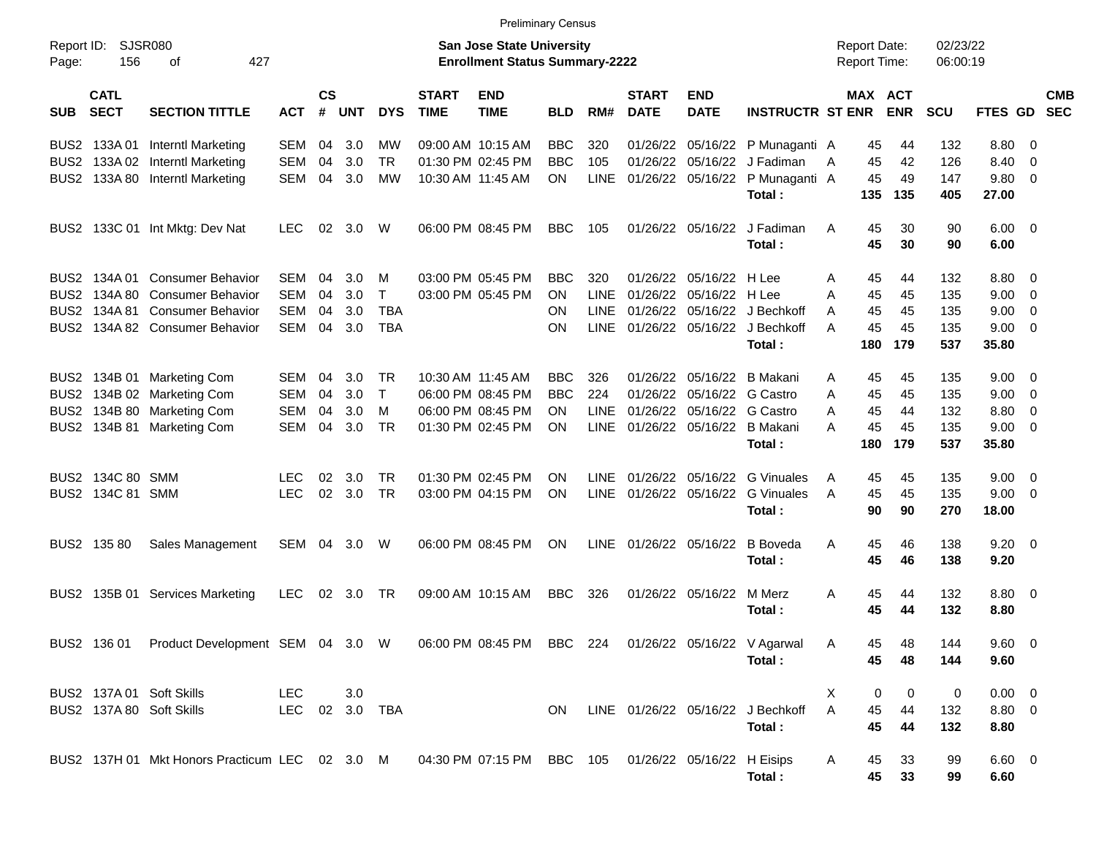|                     | <b>Preliminary Census</b>  |                                                                                                     |                |                    |            |              |                             |                                                                           |            |             |                             |                            |                                      |                     |                       |                      |                |                          |            |
|---------------------|----------------------------|-----------------------------------------------------------------------------------------------------|----------------|--------------------|------------|--------------|-----------------------------|---------------------------------------------------------------------------|------------|-------------|-----------------------------|----------------------------|--------------------------------------|---------------------|-----------------------|----------------------|----------------|--------------------------|------------|
| Report ID:<br>Page: | 156                        | SJSR080<br>427<br>οf                                                                                |                |                    |            |              |                             | <b>San Jose State University</b><br><b>Enrollment Status Summary-2222</b> |            |             |                             |                            |                                      | <b>Report Date:</b> | <b>Report Time:</b>   | 02/23/22<br>06:00:19 |                |                          |            |
| <b>SUB</b>          | <b>CATL</b><br><b>SECT</b> | <b>SECTION TITTLE</b>                                                                               | <b>ACT</b>     | $\mathsf{cs}$<br># | <b>UNT</b> | <b>DYS</b>   | <b>START</b><br><b>TIME</b> | <b>END</b><br><b>TIME</b>                                                 | <b>BLD</b> | RM#         | <b>START</b><br><b>DATE</b> | <b>END</b><br><b>DATE</b>  | <b>INSTRUCTR ST ENR</b>              |                     | MAX ACT<br><b>ENR</b> | <b>SCU</b>           | FTES GD SEC    |                          | <b>CMB</b> |
|                     | BUS2 133A 01               | Interntl Marketing                                                                                  | SEM            | 04                 | 3.0        | МW           |                             | 09:00 AM 10:15 AM                                                         | <b>BBC</b> | 320         | 01/26/22                    |                            | 05/16/22 P Munaganti A               |                     | 45<br>44              | 132                  | 8.80           | - 0                      |            |
|                     | BUS2 133A02                | Interntl Marketing                                                                                  | SEM            | 04                 | 3.0        | <b>TR</b>    |                             | 01:30 PM 02:45 PM                                                         | <b>BBC</b> | 105         | 01/26/22                    |                            | 05/16/22 J Fadiman                   | A                   | 45<br>42              | 126                  | 8.40           | - 0                      |            |
|                     | BUS2 133A 80               | Interntl Marketing                                                                                  | SEM            | 04                 | 3.0        | MW           |                             | 10:30 AM 11:45 AM                                                         | <b>ON</b>  | <b>LINE</b> | 01/26/22                    |                            | 05/16/22 P Munaganti A               |                     | 45<br>49              | 147                  | 9.80 0         |                          |            |
|                     |                            |                                                                                                     |                |                    |            |              |                             |                                                                           |            |             |                             |                            | Total:                               | 135                 | 135                   | 405                  | 27.00          |                          |            |
|                     |                            | BUS2 133C 01 Int Mktg: Dev Nat                                                                      | <b>LEC</b>     | 02                 | 3.0        | W            |                             | 06:00 PM 08:45 PM                                                         | <b>BBC</b> | 105         |                             |                            | 01/26/22 05/16/22 J Fadiman          | A                   | 30<br>45              | 90                   | $6.00 \quad 0$ |                          |            |
|                     |                            |                                                                                                     |                |                    |            |              |                             |                                                                           |            |             |                             |                            | Total:                               |                     | 45<br>30              | 90                   | 6.00           |                          |            |
|                     | BUS2 134A 01               | <b>Consumer Behavior</b>                                                                            | SEM            | 04                 | 3.0        | M            |                             | 03:00 PM 05:45 PM                                                         | BBC        | 320         | 01/26/22                    | 05/16/22 H Lee             |                                      | A                   | 45<br>44              | 132                  | 8.80           | $\overline{\phantom{0}}$ |            |
|                     | BUS2 134A 80               | <b>Consumer Behavior</b>                                                                            | <b>SEM</b>     | 04                 | 3.0        | $\mathsf{T}$ |                             | 03:00 PM 05:45 PM                                                         | <b>ON</b>  | <b>LINE</b> | 01/26/22                    | 05/16/22 H Lee             |                                      | A                   | 45<br>45              | 135                  | 9.00           | $\overline{\phantom{0}}$ |            |
|                     | BUS2 134A 81               | <b>Consumer Behavior</b>                                                                            | <b>SEM</b>     | 04                 | 3.0        | <b>TBA</b>   |                             |                                                                           | <b>ON</b>  | LINE        | 01/26/22                    |                            | 05/16/22 J Bechkoff                  | A                   | 45<br>45              | 135                  | 9.00           | - 0                      |            |
|                     |                            | BUS2 134A 82 Consumer Behavior                                                                      | SEM            | 04                 | 3.0        | <b>TBA</b>   |                             |                                                                           | ON         | <b>LINE</b> |                             |                            | 01/26/22 05/16/22 J Bechkoff         | A                   | 45<br>45              | 135                  | $9.00 \t 0$    |                          |            |
|                     |                            |                                                                                                     |                |                    |            |              |                             |                                                                           |            |             |                             |                            | Total:                               | 180                 | 179                   | 537                  | 35.80          |                          |            |
|                     |                            | BUS2 134B 01 Marketing Com                                                                          | SEM            | 04                 | 3.0        | <b>TR</b>    |                             | 10:30 AM 11:45 AM                                                         | BBC        | 326         | 01/26/22                    |                            | 05/16/22 B Makani                    | A                   | 45<br>45              | 135                  | $9.00 \t 0$    |                          |            |
|                     |                            | BUS2 134B 02 Marketing Com                                                                          | SEM            | 04                 | 3.0        | $\top$       |                             | 06:00 PM 08:45 PM                                                         | <b>BBC</b> | 224         | 01/26/22                    |                            | 05/16/22 G Castro                    | A                   | 45<br>45              | 135                  | 9.00           | $\overline{\phantom{0}}$ |            |
|                     |                            | BUS2 134B 80 Marketing Com                                                                          | SEM            | 04                 | 3.0        | M            |                             | 06:00 PM 08:45 PM                                                         | ON.        | <b>LINE</b> | 01/26/22                    |                            | 05/16/22 G Castro                    | A                   | 45<br>44              | 132                  | 8.80           | - 0                      |            |
|                     |                            | BUS2 134B 81 Marketing Com                                                                          | SEM            | 04                 | 3.0        | <b>TR</b>    |                             | 01:30 PM 02:45 PM                                                         | <b>ON</b>  | <b>LINE</b> |                             | 01/26/22 05/16/22 B Makani |                                      | A                   | 45<br>45              | 135                  | $9.00 \t 0$    |                          |            |
|                     |                            |                                                                                                     |                |                    |            |              |                             |                                                                           |            |             |                             |                            | Total:                               | 180                 | 179                   | 537                  | 35.80          |                          |            |
|                     | BUS2 134C 80 SMM           |                                                                                                     | LEC            | 02                 | 3.0        | <b>TR</b>    |                             | 01:30 PM 02:45 PM                                                         | <b>ON</b>  | <b>LINE</b> | 01/26/22                    |                            | 05/16/22 G Vinuales                  | A                   | 45<br>45              | 135                  | $9.00 \t 0$    |                          |            |
|                     | BUS2 134C 81 SMM           |                                                                                                     | <b>LEC</b>     | 02                 | 3.0        | <b>TR</b>    |                             | 03:00 PM 04:15 PM                                                         | ON         | <b>LINE</b> | 01/26/22                    |                            | 05/16/22 G Vinuales                  | A                   | 45<br>45              | 135                  | $9.00 \t 0$    |                          |            |
|                     |                            |                                                                                                     |                |                    |            |              |                             |                                                                           |            |             |                             |                            | Total:                               |                     | 90<br>90              | 270                  | 18.00          |                          |            |
|                     | BUS2 135 80                | Sales Management                                                                                    | SEM            | 04                 | 3.0        | W            |                             | 06:00 PM 08:45 PM                                                         | <b>ON</b>  | <b>LINE</b> |                             |                            | 01/26/22 05/16/22 B Boveda           | A                   | 45<br>46              | 138                  | $9.20 \ 0$     |                          |            |
|                     |                            |                                                                                                     |                |                    |            |              |                             |                                                                           |            |             |                             |                            | Total:                               |                     | 45<br>46              | 138                  | 9.20           |                          |            |
|                     |                            | BUS2 135B 01 Services Marketing                                                                     | <b>LEC</b>     | 02                 | 3.0        | TR           |                             | 09:00 AM 10:15 AM                                                         | <b>BBC</b> | 326         |                             | 01/26/22 05/16/22 M Merz   |                                      | A                   | 45<br>44              | 132                  | 8.80 0         |                          |            |
|                     |                            |                                                                                                     |                |                    |            |              |                             |                                                                           |            |             |                             |                            | Total:                               |                     | 45<br>44              | 132                  | 8.80           |                          |            |
|                     |                            | BUS2 136 01 Product Development SEM 04 3.0 W 06:00 PM 08:45 PM BBC 224 01/26/22 05/16/22 V Agarwal  |                |                    |            |              |                             |                                                                           |            |             |                             |                            |                                      | A                   | 48<br>45              | 144                  | $9.60 \quad 0$ |                          |            |
|                     |                            |                                                                                                     |                |                    |            |              |                             |                                                                           |            |             |                             |                            | Total:                               |                     | 45<br>48              | 144                  | 9.60           |                          |            |
|                     |                            | BUS2 137A 01 Soft Skills                                                                            | <b>LEC</b>     |                    | 3.0        |              |                             |                                                                           |            |             |                             |                            |                                      | X.                  | 0                     | 0<br>0               | $0.00 \t 0$    |                          |            |
|                     |                            | BUS2 137A 80 Soft Skills                                                                            | LEC 02 3.0 TBA |                    |            |              |                             |                                                                           |            |             |                             |                            | ON LINE 01/26/22 05/16/22 J Bechkoff | A                   | 45<br>44              | 132                  | 8.80 0         |                          |            |
|                     |                            |                                                                                                     |                |                    |            |              |                             |                                                                           |            |             |                             |                            | Total:                               |                     | 45<br>44              | 132                  | 8.80           |                          |            |
|                     |                            | BUS2 137H 01 Mkt Honors Practicum LEC 02 3.0 M 04:30 PM 07:15 PM BBC 105 01/26/22 05/16/22 H Eisips |                |                    |            |              |                             |                                                                           |            |             |                             |                            |                                      | A                   | 33<br>45              | 99                   | $6.60$ 0       |                          |            |
|                     |                            |                                                                                                     |                |                    |            |              |                             |                                                                           |            |             |                             |                            | Total:                               |                     | 45<br>33              | 99                   | 6.60           |                          |            |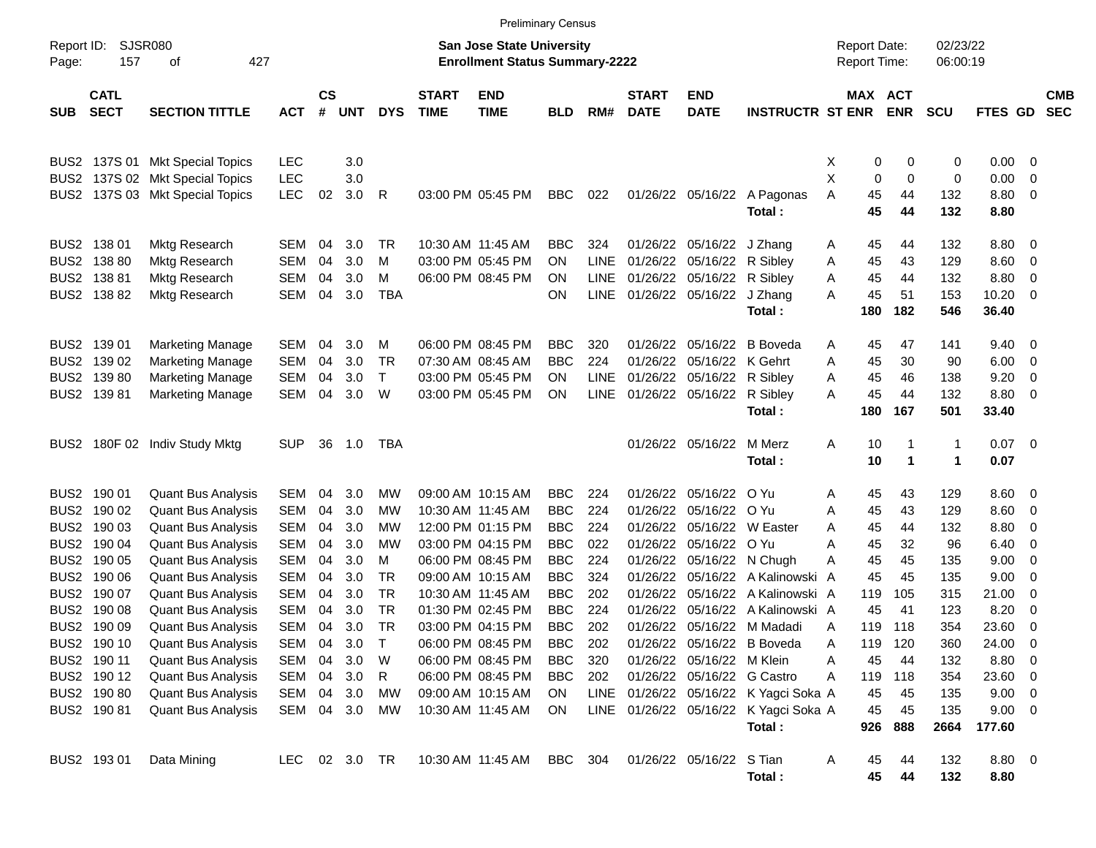|                     |                            |                                                        |                          |                             |            |                        |                                                                    | <b>Preliminary Census</b>              |                          |             |                             |                            |                                                    |                |                      |                      |                |                          |                          |
|---------------------|----------------------------|--------------------------------------------------------|--------------------------|-----------------------------|------------|------------------------|--------------------------------------------------------------------|----------------------------------------|--------------------------|-------------|-----------------------------|----------------------------|----------------------------------------------------|----------------|----------------------|----------------------|----------------|--------------------------|--------------------------|
| Report ID:<br>Page: | <b>SJSR080</b><br>157      | 427                                                    |                          |                             |            |                        | San Jose State University<br><b>Enrollment Status Summary-2222</b> |                                        |                          |             |                             |                            | <b>Report Date:</b><br>Report Time:                |                | 02/23/22<br>06:00:19 |                      |                |                          |                          |
| <b>SUB</b>          | <b>CATL</b><br><b>SECT</b> | <b>SECTION TITTLE</b>                                  | <b>ACT</b>               | $\mathbf{c}\mathbf{s}$<br># | <b>UNT</b> | <b>DYS</b>             | <b>START</b><br><b>TIME</b>                                        | <b>END</b><br><b>TIME</b>              | <b>BLD</b>               | RM#         | <b>START</b><br><b>DATE</b> | <b>END</b><br><b>DATE</b>  | <b>INSTRUCTR ST ENR</b>                            | MAX ACT        | <b>ENR</b>           | <b>SCU</b>           | FTES GD        |                          | <b>CMB</b><br><b>SEC</b> |
|                     |                            | BUS2 137S 01 Mkt Special Topics                        | <b>LEC</b>               |                             | 3.0        |                        |                                                                    |                                        |                          |             |                             |                            |                                                    | 0<br>X         | 0                    | 0                    | 0.00           | $\overline{\phantom{0}}$ |                          |
|                     |                            | BUS2 137S 02 Mkt Special Topics                        | <b>LEC</b>               |                             | 3.0        |                        |                                                                    |                                        |                          |             |                             |                            |                                                    | X<br>0         | $\mathbf 0$          | 0                    | 0.00           | $\overline{0}$           |                          |
|                     |                            | BUS2 137S 03 Mkt Special Topics                        | <b>LEC</b>               | 02                          | 3.0        | R                      |                                                                    | 03:00 PM 05:45 PM                      | <b>BBC</b>               | 022         |                             | 01/26/22 05/16/22          | A Pagonas<br>Total:                                | 45<br>A<br>45  | 44<br>44             | 132<br>132           | 8.80<br>8.80   | - 0                      |                          |
|                     | BUS2 138 01                | Mktg Research                                          | <b>SEM</b>               | 04                          | 3.0        | TR.                    |                                                                    | 10:30 AM 11:45 AM                      | <b>BBC</b>               | 324         | 01/26/22                    | 05/16/22 J Zhang           |                                                    | 45<br>Α        | 44                   | 132                  | 8.80 0         |                          |                          |
|                     | BUS2 138 80                | Mktg Research                                          | <b>SEM</b>               | 04                          | 3.0        | м                      |                                                                    | 03:00 PM 05:45 PM                      | OΝ                       | <b>LINE</b> | 01/26/22                    | 05/16/22 R Sibley          |                                                    | Α<br>45        | 43                   | 129                  | 8.60           | $\overline{\phantom{0}}$ |                          |
|                     | BUS2 138 81                | <b>Mktg Research</b>                                   | <b>SEM</b>               | 04                          | 3.0        | м                      |                                                                    | 06:00 PM 08:45 PM                      | ΟN                       | <b>LINE</b> | 01/26/22                    | 05/16/22 R Sibley          |                                                    | 45<br>Α        | 44                   | 132                  | 8.80           | 0                        |                          |
|                     | BUS2 138 82                | <b>Mktg Research</b>                                   | <b>SEM</b>               | 04                          | 3.0        | <b>TBA</b>             |                                                                    |                                        | ON                       | <b>LINE</b> |                             | 01/26/22 05/16/22 J Zhang  | Total:                                             | 45<br>А<br>180 | 51<br>182            | 153<br>546           | 10.20<br>36.40 | $\overline{0}$           |                          |
|                     | BUS2 139 01                | <b>Marketing Manage</b>                                | <b>SEM</b>               | 04                          | 3.0        | м                      |                                                                    | 06:00 PM 08:45 PM                      | <b>BBC</b>               | 320         | 01/26/22                    | 05/16/22                   | <b>B</b> Boveda                                    | 45<br>Α        | 47                   | 141                  | 9.40           | $\overline{\phantom{0}}$ |                          |
|                     | BUS2 139 02                | <b>Marketing Manage</b>                                | <b>SEM</b>               | 04                          | 3.0        | <b>TR</b>              |                                                                    | 07:30 AM 08:45 AM                      | <b>BBC</b>               | 224         | 01/26/22                    | 05/16/22 K Gehrt           |                                                    | A<br>45        | 30                   | 90                   | 6.00           | $\overline{\phantom{0}}$ |                          |
|                     | BUS2 139 80                | <b>Marketing Manage</b>                                | <b>SEM</b>               | 04                          | 3.0        | $\mathsf{T}$           |                                                                    | 03:00 PM 05:45 PM                      | OΝ                       | <b>LINE</b> | 01/26/22                    | 05/16/22 R Sibley          |                                                    | 45<br>Α        | 46                   | 138                  | 9.20           | 0                        |                          |
|                     | BUS2 13981                 | <b>Marketing Manage</b>                                | <b>SEM</b>               | 04                          | 3.0        | W                      |                                                                    | 03:00 PM 05:45 PM                      | ON                       | <b>LINE</b> |                             | 01/26/22 05/16/22 R Sibley |                                                    | 45<br>А        | 44                   | 132                  | 8.80           | - 0                      |                          |
|                     |                            |                                                        |                          |                             |            |                        |                                                                    |                                        |                          |             |                             |                            | Total:                                             | 180            | 167                  | 501                  | 33.40          |                          |                          |
|                     |                            | BUS2 180F 02 Indiv Study Mktg                          | <b>SUP</b>               | 36                          | 1.0        | TBA                    |                                                                    |                                        |                          |             |                             | 01/26/22 05/16/22          | M Merz                                             | Α<br>10        | 1                    | 1                    | $0.07$ 0       |                          |                          |
|                     |                            |                                                        |                          |                             |            |                        |                                                                    |                                        |                          |             |                             |                            | Total:                                             | 10             | $\mathbf{1}$         | $\blacktriangleleft$ | 0.07           |                          |                          |
|                     | BUS2 190 01                | <b>Quant Bus Analysis</b>                              | <b>SEM</b>               | 04                          | 3.0        | MW                     |                                                                    | 09:00 AM 10:15 AM                      | <b>BBC</b>               | 224         | 01/26/22                    | 05/16/22 O Yu              |                                                    | 45<br>Α        | 43                   | 129                  | $8.60$ 0       |                          |                          |
|                     | BUS2 190 02                | <b>Quant Bus Analysis</b>                              | <b>SEM</b>               | 04                          | 3.0        | MW                     |                                                                    | 10:30 AM 11:45 AM                      | <b>BBC</b>               | 224         | 01/26/22                    | 05/16/22 O Yu              |                                                    | 45<br>Α        | 43                   | 129                  | 8.60           | $\overline{\phantom{0}}$ |                          |
|                     | BUS2 190 03                | <b>Quant Bus Analysis</b>                              | <b>SEM</b>               | 04                          | 3.0        | MW                     |                                                                    | 12:00 PM 01:15 PM                      | <b>BBC</b>               | 224         | 01/26/22                    |                            | 05/16/22 W Easter                                  | 45<br>Α        | 44                   | 132                  | 8.80           | 0                        |                          |
|                     | BUS2 190 04                | <b>Quant Bus Analysis</b>                              | <b>SEM</b>               | 04                          | 3.0        | MW                     |                                                                    | 03:00 PM 04:15 PM                      | <b>BBC</b>               | 022         | 01/26/22                    | 05/16/22 O Yu              |                                                    | 45<br>Α        | 32                   | 96                   | 6.40           | 0                        |                          |
|                     | BUS2 190 05                | <b>Quant Bus Analysis</b>                              | <b>SEM</b>               | 04                          | 3.0        | м                      |                                                                    | 06:00 PM 08:45 PM                      | <b>BBC</b>               | 224         | 01/26/22                    |                            | 05/16/22 N Chugh                                   | Α<br>45        | 45                   | 135                  | 9.00           | $\overline{\mathbf{0}}$  |                          |
|                     | BUS2 190 06<br>BUS2 190 07 | <b>Quant Bus Analysis</b><br><b>Quant Bus Analysis</b> | <b>SEM</b>               | 04<br>04                    | 3.0<br>3.0 | <b>TR</b><br><b>TR</b> |                                                                    | 09:00 AM 10:15 AM<br>10:30 AM 11:45 AM | <b>BBC</b><br><b>BBC</b> | 324<br>202  | 01/26/22<br>01/26/22        |                            | 05/16/22 A Kalinowski A<br>05/16/22 A Kalinowski A | 45<br>119      | 45<br>105            | 135<br>315           | 9.00<br>21.00  | 0                        |                          |
|                     | BUS2 190 08                | <b>Quant Bus Analysis</b>                              | <b>SEM</b><br><b>SEM</b> | 04                          | 3.0        | <b>TR</b>              |                                                                    | 01:30 PM 02:45 PM                      | <b>BBC</b>               | 224         | 01/26/22                    |                            | 05/16/22 A Kalinowski A                            | 45             | 41                   | 123                  | 8.20           | - 0<br>- 0               |                          |
|                     | BUS2 190 09                | <b>Quant Bus Analysis</b>                              | <b>SEM</b>               | 04                          | 3.0        | <b>TR</b>              |                                                                    | 03:00 PM 04:15 PM                      | <b>BBC</b>               | 202         |                             |                            | 01/26/22 05/16/22 M Madadi                         | 119<br>Α       | 118                  | 354                  | 23.60          | - 0                      |                          |
|                     | BUS2 190 10                | <b>Quant Bus Analysis</b>                              | SEM                      | 04                          | 3.0        | $\top$                 |                                                                    | 06:00 PM 08:45 PM                      | <b>BBC</b>               | 202         |                             |                            | 01/26/22 05/16/22 B Boveda                         | 119<br>A       | 120                  | 360                  | 24.00 0        |                          |                          |
|                     | BUS2 190 11                | <b>Quant Bus Analysis</b>                              | SEM                      | 04                          | 3.0        | W                      |                                                                    | 06:00 PM 08:45 PM                      | <b>BBC</b>               | 320         |                             | 01/26/22 05/16/22 M Klein  |                                                    | 45<br>А        | 44                   | 132                  | 8.80 0         |                          |                          |
|                     | BUS2 190 12                | <b>Quant Bus Analysis</b>                              | SEM                      |                             | 04 3.0     | $\mathsf{R}$           |                                                                    | 06:00 PM 08:45 PM                      | BBC.                     | 202         |                             | 01/26/22 05/16/22 G Castro |                                                    | Α<br>119       | 118                  | 354                  | 23.60 0        |                          |                          |
|                     | BUS2 190 80                | <b>Quant Bus Analysis</b>                              | SEM                      |                             | 04 3.0     | МW                     |                                                                    | 09:00 AM 10:15 AM                      | ON.                      | LINE        |                             |                            | 01/26/22 05/16/22 K Yagci Soka A                   | 45             | 45                   | 135                  | $9.00 \t 0$    |                          |                          |
|                     | BUS2 190 81                | <b>Quant Bus Analysis</b>                              | SEM                      |                             | 04 3.0     | МW                     |                                                                    | 10:30 AM 11:45 AM                      | ON                       |             |                             |                            | LINE 01/26/22 05/16/22 K Yagci Soka A              | 45             | 45                   | 135                  | $9.00 \t 0$    |                          |                          |
|                     |                            |                                                        |                          |                             |            |                        |                                                                    |                                        |                          |             |                             |                            | Total:                                             |                | 926 888              | 2664                 | 177.60         |                          |                          |
|                     | BUS2 193 01                | Data Mining                                            | LEC 02 3.0 TR            |                             |            |                        |                                                                    | 10:30 AM 11:45 AM                      | BBC 304                  |             |                             | 01/26/22 05/16/22 S Tian   |                                                    | 45<br>Α        | 44                   | 132                  | 8.80 0         |                          |                          |
|                     |                            |                                                        |                          |                             |            |                        |                                                                    |                                        |                          |             |                             |                            | Total:                                             | 45             | 44                   | 132                  | 8.80           |                          |                          |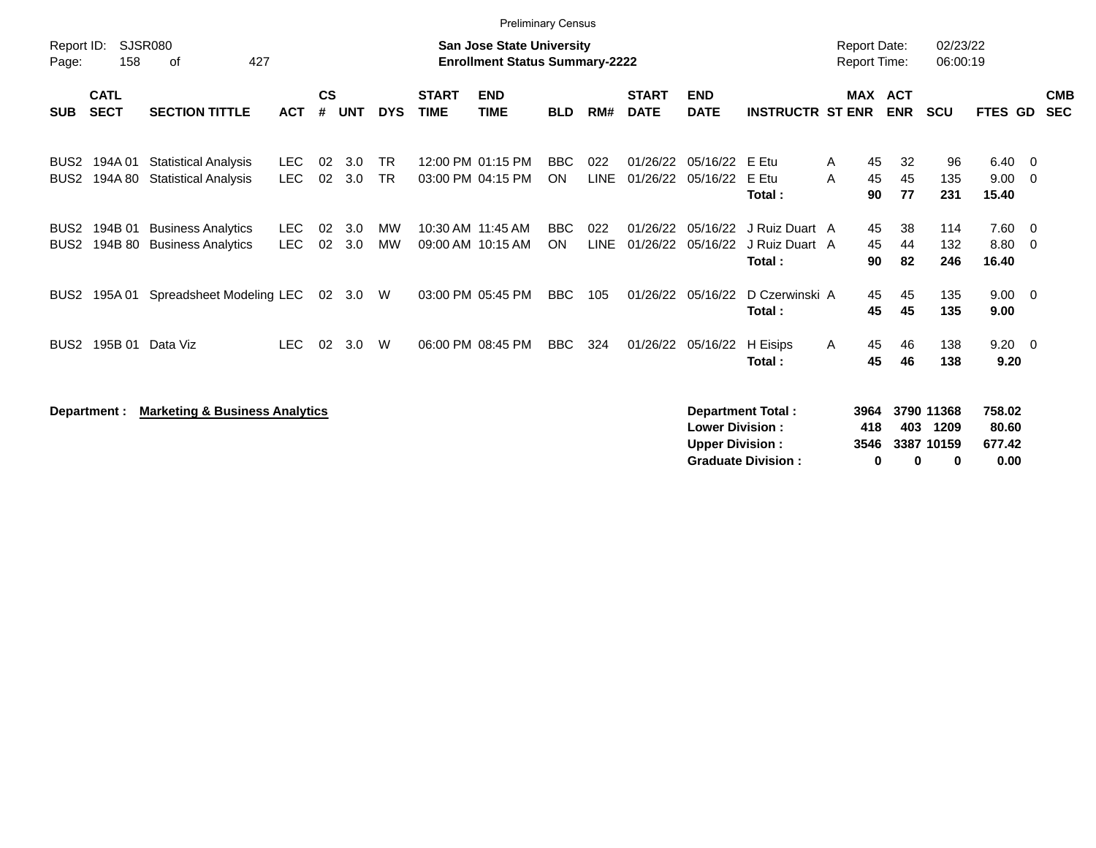|                                      |                            |                                                            |                          |                    |            |                        |                             | <b>Preliminary Census</b>                                          |                  |                    |                             |                                                  |                                                       |        |                                            |                 |                                       |                                   |                                                    |                          |
|--------------------------------------|----------------------------|------------------------------------------------------------|--------------------------|--------------------|------------|------------------------|-----------------------------|--------------------------------------------------------------------|------------------|--------------------|-----------------------------|--------------------------------------------------|-------------------------------------------------------|--------|--------------------------------------------|-----------------|---------------------------------------|-----------------------------------|----------------------------------------------------|--------------------------|
| Report ID:<br>Page:                  | 158                        | <b>SJSR080</b><br>427<br>of                                |                          |                    |            |                        |                             | San Jose State University<br><b>Enrollment Status Summary-2222</b> |                  |                    |                             |                                                  |                                                       |        | <b>Report Date:</b><br><b>Report Time:</b> |                 | 02/23/22<br>06:00:19                  |                                   |                                                    |                          |
| <b>SUB</b>                           | <b>CATL</b><br><b>SECT</b> | <b>SECTION TITTLE</b>                                      | <b>ACT</b>               | $\mathsf{cs}$<br># | <b>UNT</b> | <b>DYS</b>             | <b>START</b><br><b>TIME</b> | <b>END</b><br><b>TIME</b>                                          | <b>BLD</b>       | RM#                | <b>START</b><br><b>DATE</b> | <b>END</b><br><b>DATE</b>                        | <b>INSTRUCTR ST ENR</b>                               |        | MAX ACT                                    | <b>ENR</b>      | <b>SCU</b>                            | <b>FTES GD</b>                    |                                                    | <b>CMB</b><br><b>SEC</b> |
| BUS <sub>2</sub><br>BUS <sub>2</sub> | 194A 01<br>194A 80         | <b>Statistical Analysis</b><br><b>Statistical Analysis</b> | <b>LEC</b><br><b>LEC</b> | 02<br>02           | 3.0<br>3.0 | <b>TR</b><br><b>TR</b> |                             | 12:00 PM 01:15 PM<br>03:00 PM 04:15 PM                             | <b>BBC</b><br>ON | 022<br><b>LINE</b> | 01/26/22<br>01/26/22        | 05/16/22<br>05/16/22                             | E Etu<br>E Etu<br>Total:                              | Α<br>A | 45<br>45<br>90                             | 32<br>45<br>77  | 96<br>135<br>231                      | 6.40<br>9.00<br>15.40             | $\overline{\mathbf{0}}$<br>- 0                     |                          |
| BUS <sub>2</sub><br>BUS <sub>2</sub> | 194B 01<br>194B 80         | <b>Business Analytics</b><br><b>Business Analytics</b>     | <b>LEC</b><br><b>LEC</b> | 02<br>02           | 3.0<br>3.0 | МW<br><b>MW</b>        |                             | 10:30 AM 11:45 AM<br>09:00 AM 10:15 AM                             | <b>BBC</b><br>ON | 022<br>LINE        | 01/26/22<br>01/26/22        | 05/16/22<br>05/16/22                             | J Ruiz Duart A<br>J Ruiz Duart A<br>Total:            |        | 45<br>45<br>90                             | 38<br>44<br>82  | 114<br>132<br>246                     | 7.60<br>8.80<br>16.40             | $\overline{\mathbf{0}}$<br>$\overline{\mathbf{0}}$ |                          |
| BUS <sub>2</sub>                     | 195A 01                    | Spreadsheet Modeling LEC                                   |                          | 02                 | 3.0        | W                      |                             | 03:00 PM 05:45 PM                                                  | <b>BBC</b>       | 105                |                             | 01/26/22 05/16/22                                | D Czerwinski A<br>Total:                              |        | 45<br>45                                   | 45<br>45        | 135<br>135                            | $9.00 \t 0$<br>9.00               |                                                    |                          |
| BUS <sub>2</sub>                     | 195B 01                    | Data Viz                                                   | LEC.                     | 02                 | 3.0        | W                      |                             | 06:00 PM 08:45 PM                                                  | <b>BBC</b>       | 324                | 01/26/22                    | 05/16/22                                         | H Eisips<br>Total:                                    | A      | 45<br>45                                   | 46<br>46        | 138<br>138                            | $9.20 \ 0$<br>9.20                |                                                    |                          |
|                                      | Department :               | <b>Marketing &amp; Business Analytics</b>                  |                          |                    |            |                        |                             |                                                                    |                  |                    |                             | <b>Lower Division:</b><br><b>Upper Division:</b> | <b>Department Total:</b><br><b>Graduate Division:</b> |        | 3964<br>418<br>3546<br>0                   | 403<br>$\bf{0}$ | 3790 11368<br>1209<br>3387 10159<br>0 | 758.02<br>80.60<br>677.42<br>0.00 |                                                    |                          |